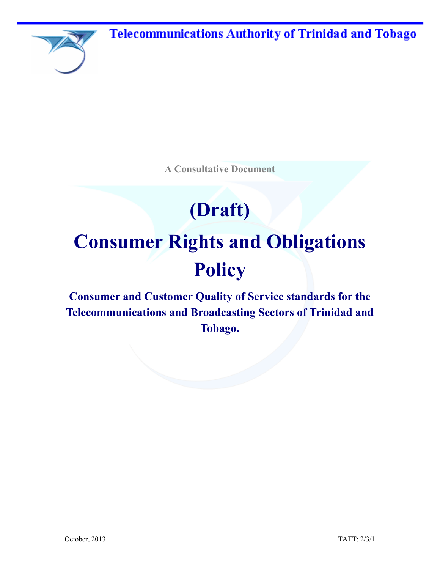**Telecommunications Authority of Trinidad and Tobago** 



**A Consultative Document** 

# **(Draft) Consumer Rights and Obligations Policy**

**Consumer and Customer Quality of Service standards for the Telecommunications and Broadcasting Sectors of Trinidad and Tobago.**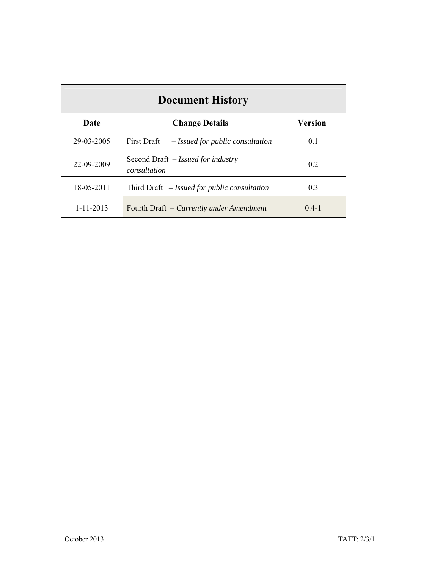| <b>Document History</b> |                                                    |                |
|-------------------------|----------------------------------------------------|----------------|
| Date                    | <b>Change Details</b>                              | <b>Version</b> |
| 29-03-2005              | First Draft<br>- Issued for public consultation    | 0.1            |
| 22-09-2009              | Second Draft – Issued for industry<br>consultation |                |
| 18-05-2011              | Third Draft $-$ Issued for public consultation     | 0.3            |
| $1 - 11 - 2013$         | Fourth Draft - Currently under Amendment           | $0.4 - 1$      |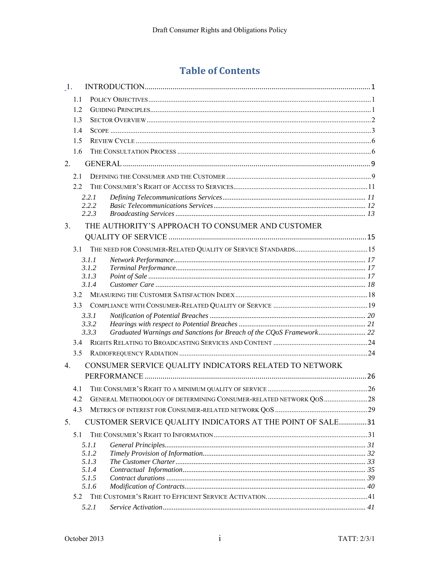# **Table of Contents**

| 1.             |            |                |                                                                      |  |
|----------------|------------|----------------|----------------------------------------------------------------------|--|
|                | 1.1        |                |                                                                      |  |
|                | 1.2        |                |                                                                      |  |
|                | 1.3        |                |                                                                      |  |
|                | 1.4        |                |                                                                      |  |
|                | 1.5        |                |                                                                      |  |
|                | 1.6        |                |                                                                      |  |
| 2.             |            |                |                                                                      |  |
|                | 2.1        |                |                                                                      |  |
|                | 22         |                |                                                                      |  |
|                |            | 2.2.1          |                                                                      |  |
|                |            | 2.2.2<br>2.2.3 |                                                                      |  |
| 3 <sub>1</sub> |            |                | THE AUTHORITY'S APPROACH TO CONSUMER AND CUSTOMER                    |  |
|                |            |                |                                                                      |  |
|                | 3.1        |                |                                                                      |  |
|                |            | 3.1.1          |                                                                      |  |
|                |            | 3.1.2          |                                                                      |  |
|                |            | 3.1.3          |                                                                      |  |
|                |            | 3.1.4          |                                                                      |  |
|                | 3.2<br>3.3 |                |                                                                      |  |
|                |            | 3.3.1          |                                                                      |  |
|                |            | 3.3.2          |                                                                      |  |
|                |            | 3.3.3          | Graduated Warnings and Sanctions for Breach of the CQoS Framework 22 |  |
|                | 3.4        |                |                                                                      |  |
|                | 3.5        |                |                                                                      |  |
| $4_{\cdot}$    |            |                | CONSUMER SERVICE QUALITY INDICATORS RELATED TO NETWORK               |  |
|                |            |                |                                                                      |  |
|                | 4.1        |                |                                                                      |  |
|                | 4.2        |                | GENERAL METHODOLOGY OF DETERMINING CONSUMER-RELATED NETWORK QOS  28  |  |
|                | 4.3        |                |                                                                      |  |
| 5.             |            |                | CUSTOMER SERVICE QUALITY INDICATORS AT THE POINT OF SALE31           |  |
|                | 5.1        |                |                                                                      |  |
|                |            | 5.1.1          |                                                                      |  |
|                |            | 5.1.2          |                                                                      |  |
|                |            | 5.1.3<br>5.1.4 |                                                                      |  |
|                |            | 5.1.5          |                                                                      |  |
|                |            | 5.1.6          |                                                                      |  |
|                | 5.2        |                |                                                                      |  |
|                |            | 5.2.1          |                                                                      |  |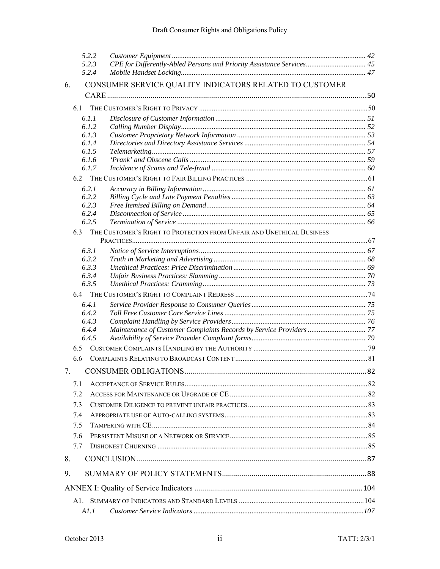|    | 5.2.2          |                                                                       |  |
|----|----------------|-----------------------------------------------------------------------|--|
|    | 5.2.3<br>5.2.4 | CPE for Differently-Abled Persons and Priority Assistance Services 45 |  |
| 6. |                | CONSUMER SERVICE QUALITY INDICATORS RELATED TO CUSTOMER               |  |
|    |                |                                                                       |  |
|    | 6.1            |                                                                       |  |
|    | 6.1.1          |                                                                       |  |
|    | 6.1.2          |                                                                       |  |
|    | 6.1.3          |                                                                       |  |
|    | 6.1.4          |                                                                       |  |
|    | 6.1.5          |                                                                       |  |
|    | 6.1.6<br>6.1.7 |                                                                       |  |
|    |                |                                                                       |  |
|    | 6.2.1          |                                                                       |  |
|    | 6.2.2          |                                                                       |  |
|    | 6.2.3          |                                                                       |  |
|    | 6.2.4          |                                                                       |  |
|    | 6.2.5          |                                                                       |  |
|    | 6.3            | THE CUSTOMER'S RIGHT TO PROTECTION FROM UNFAIR AND UNETHICAL BUSINESS |  |
|    |                |                                                                       |  |
|    | 6.3.1          |                                                                       |  |
|    | 6.3.2          |                                                                       |  |
|    | 6.3.3          |                                                                       |  |
|    | 6.3.4          |                                                                       |  |
|    | 6.3.5          |                                                                       |  |
|    | 6.4            |                                                                       |  |
|    | 6.4.1          |                                                                       |  |
|    | 6.4.2<br>6.4.3 |                                                                       |  |
|    | 6.4.4          | Maintenance of Customer Complaints Records by Service Providers  77   |  |
|    | 6.4.5          |                                                                       |  |
|    | 6.5            |                                                                       |  |
|    | 6.6            |                                                                       |  |
| 7. |                |                                                                       |  |
|    |                |                                                                       |  |
|    | 7.1            |                                                                       |  |
|    | 7.2            |                                                                       |  |
|    | 7.3            |                                                                       |  |
|    | 7.4            |                                                                       |  |
|    | 7.5            |                                                                       |  |
|    | 7.6            |                                                                       |  |
|    | 7.7            |                                                                       |  |
| 8. |                |                                                                       |  |
| 9. |                |                                                                       |  |
|    |                |                                                                       |  |
|    |                |                                                                       |  |
|    | A1.1           |                                                                       |  |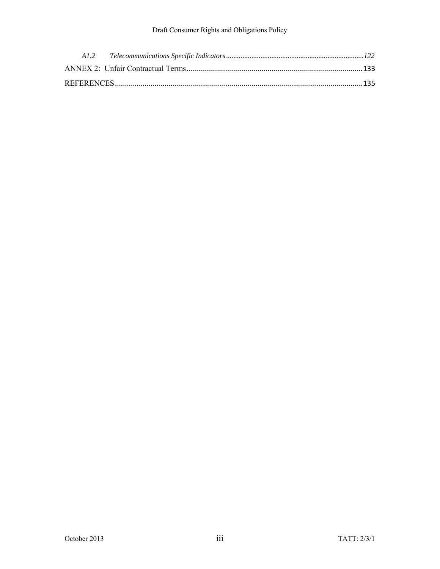#### Draft Consumer Rights and Obligations Policy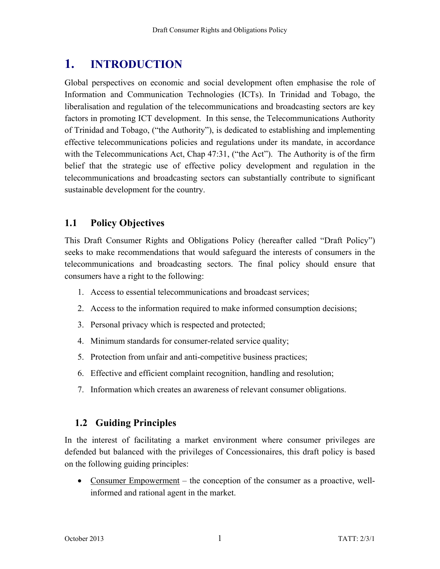# **1. INTRODUCTION**

Global perspectives on economic and social development often emphasise the role of Information and Communication Technologies (ICTs). In Trinidad and Tobago, the liberalisation and regulation of the telecommunications and broadcasting sectors are key factors in promoting ICT development. In this sense, the Telecommunications Authority of Trinidad and Tobago, ("the Authority"), is dedicated to establishing and implementing effective telecommunications policies and regulations under its mandate, in accordance with the Telecommunications Act, Chap 47:31, ("the Act"). The Authority is of the firm belief that the strategic use of effective policy development and regulation in the telecommunications and broadcasting sectors can substantially contribute to significant sustainable development for the country.

# **1.1 Policy Objectives**

This Draft Consumer Rights and Obligations Policy (hereafter called "Draft Policy") seeks to make recommendations that would safeguard the interests of consumers in the telecommunications and broadcasting sectors. The final policy should ensure that consumers have a right to the following:

- 1. Access to essential telecommunications and broadcast services;
- 2. Access to the information required to make informed consumption decisions;
- 3. Personal privacy which is respected and protected;
- 4. Minimum standards for consumer-related service quality;
- 5. Protection from unfair and anti-competitive business practices;
- 6. Effective and efficient complaint recognition, handling and resolution;
- 7. Information which creates an awareness of relevant consumer obligations.

# **1.2 Guiding Principles**

In the interest of facilitating a market environment where consumer privileges are defended but balanced with the privileges of Concessionaires, this draft policy is based on the following guiding principles:

 Consumer Empowerment – the conception of the consumer as a proactive, wellinformed and rational agent in the market.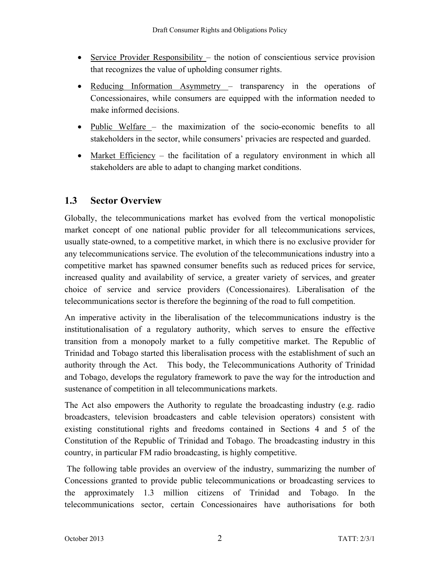- Service Provider Responsibility the notion of conscientious service provision that recognizes the value of upholding consumer rights.
- Reducing Information Asymmetry transparency in the operations of Concessionaires, while consumers are equipped with the information needed to make informed decisions.
- Public Welfare the maximization of the socio-economic benefits to all stakeholders in the sector, while consumers' privacies are respected and guarded.
- Market Efficiency the facilitation of a regulatory environment in which all stakeholders are able to adapt to changing market conditions.

# **1.3 Sector Overview**

Globally, the telecommunications market has evolved from the vertical monopolistic market concept of one national public provider for all telecommunications services, usually state-owned, to a competitive market, in which there is no exclusive provider for any telecommunications service. The evolution of the telecommunications industry into a competitive market has spawned consumer benefits such as reduced prices for service, increased quality and availability of service, a greater variety of services, and greater choice of service and service providers (Concessionaires). Liberalisation of the telecommunications sector is therefore the beginning of the road to full competition.

An imperative activity in the liberalisation of the telecommunications industry is the institutionalisation of a regulatory authority, which serves to ensure the effective transition from a monopoly market to a fully competitive market. The Republic of Trinidad and Tobago started this liberalisation process with the establishment of such an authority through the Act. This body, the Telecommunications Authority of Trinidad and Tobago, develops the regulatory framework to pave the way for the introduction and sustenance of competition in all telecommunications markets.

The Act also empowers the Authority to regulate the broadcasting industry (e.g. radio broadcasters, television broadcasters and cable television operators) consistent with existing constitutional rights and freedoms contained in Sections 4 and 5 of the Constitution of the Republic of Trinidad and Tobago. The broadcasting industry in this country, in particular FM radio broadcasting, is highly competitive.

 The following table provides an overview of the industry, summarizing the number of Concessions granted to provide public telecommunications or broadcasting services to the approximately 1.3 million citizens of Trinidad and Tobago. In the telecommunications sector, certain Concessionaires have authorisations for both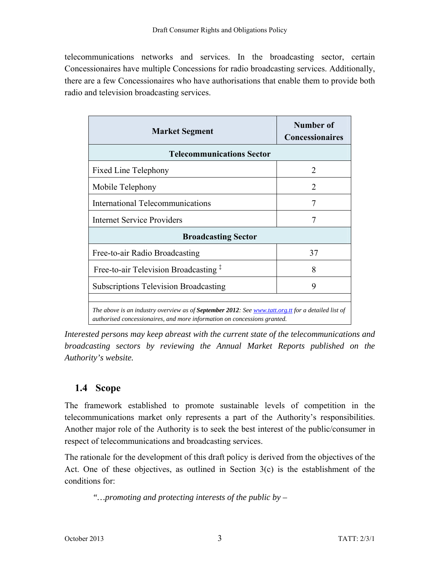telecommunications networks and services. In the broadcasting sector, certain Concessionaires have multiple Concessions for radio broadcasting services. Additionally, there are a few Concessionaires who have authorisations that enable them to provide both radio and television broadcasting services.

| <b>Market Segment</b>                                                                                                                                                                  | Number of<br><b>Concessionaires</b> |  |  |
|----------------------------------------------------------------------------------------------------------------------------------------------------------------------------------------|-------------------------------------|--|--|
| <b>Telecommunications Sector</b>                                                                                                                                                       |                                     |  |  |
| <b>Fixed Line Telephony</b>                                                                                                                                                            | 2                                   |  |  |
| Mobile Telephony                                                                                                                                                                       | 2                                   |  |  |
| <b>International Telecommunications</b>                                                                                                                                                | 7                                   |  |  |
| <b>Internet Service Providers</b>                                                                                                                                                      | 7                                   |  |  |
| <b>Broadcasting Sector</b>                                                                                                                                                             |                                     |  |  |
| Free-to-air Radio Broadcasting                                                                                                                                                         | 37                                  |  |  |
| Free-to-air Television Broadcasting <sup>‡</sup><br>8                                                                                                                                  |                                     |  |  |
| <b>Subscriptions Television Broadcasting</b><br>9                                                                                                                                      |                                     |  |  |
| The above is an industry overview as of <b>September 2012</b> : See www.tatt.org.tt for a detailed list of<br>authorised concessionaires, and more information on concessions granted. |                                     |  |  |

*Interested persons may keep abreast with the current state of the telecommunications and broadcasting sectors by reviewing the Annual Market Reports published on the Authority's website.* 

# **1.4 Scope**

The framework established to promote sustainable levels of competition in the telecommunications market only represents a part of the Authority's responsibilities. Another major role of the Authority is to seek the best interest of the public/consumer in respect of telecommunications and broadcasting services.

The rationale for the development of this draft policy is derived from the objectives of the Act. One of these objectives, as outlined in Section 3(c) is the establishment of the conditions for:

 *"…promoting and protecting interests of the public by –*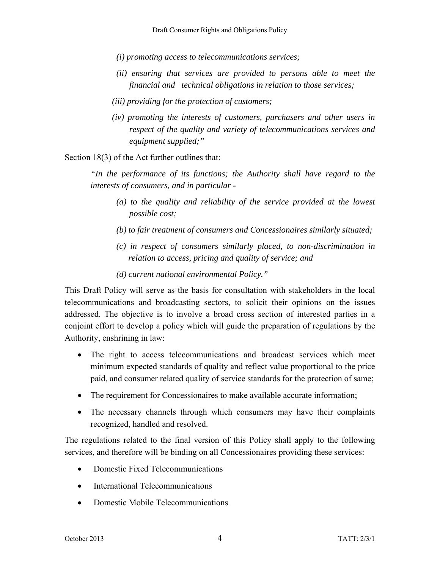*(i) promoting access to telecommunications services;* 

- *(ii) ensuring that services are provided to persons able to meet the financial and technical obligations in relation to those services;*
- *(iii) providing for the protection of customers;*
- *(iv) promoting the interests of customers, purchasers and other users in respect of the quality and variety of telecommunications services and equipment supplied;"*

Section 18(3) of the Act further outlines that:

*"In the performance of its functions; the Authority shall have regard to the interests of consumers, and in particular -* 

- *(a) to the quality and reliability of the service provided at the lowest possible cost;*
- *(b) to fair treatment of consumers and Concessionaires similarly situated;*
- *(c) in respect of consumers similarly placed, to non-discrimination in relation to access, pricing and quality of service; and*
- *(d) current national environmental Policy."*

This Draft Policy will serve as the basis for consultation with stakeholders in the local telecommunications and broadcasting sectors, to solicit their opinions on the issues addressed. The objective is to involve a broad cross section of interested parties in a conjoint effort to develop a policy which will guide the preparation of regulations by the Authority, enshrining in law:

- The right to access telecommunications and broadcast services which meet minimum expected standards of quality and reflect value proportional to the price paid, and consumer related quality of service standards for the protection of same;
- The requirement for Concessionaires to make available accurate information;
- The necessary channels through which consumers may have their complaints recognized, handled and resolved.

The regulations related to the final version of this Policy shall apply to the following services, and therefore will be binding on all Concessionaires providing these services:

- Domestic Fixed Telecommunications
- International Telecommunications
- Domestic Mobile Telecommunications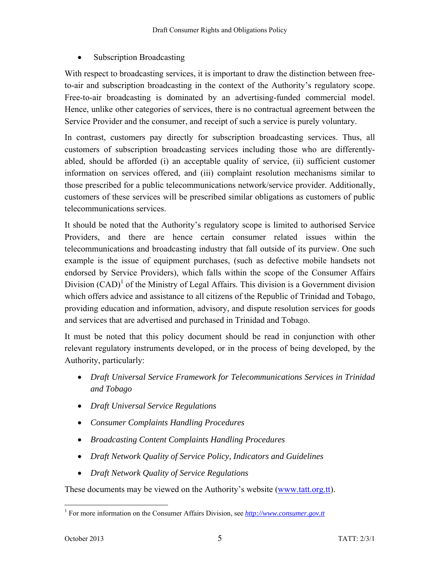#### • Subscription Broadcasting

With respect to broadcasting services, it is important to draw the distinction between freeto-air and subscription broadcasting in the context of the Authority's regulatory scope. Free-to-air broadcasting is dominated by an advertising-funded commercial model. Hence, unlike other categories of services, there is no contractual agreement between the Service Provider and the consumer, and receipt of such a service is purely voluntary.

In contrast, customers pay directly for subscription broadcasting services. Thus, all customers of subscription broadcasting services including those who are differentlyabled, should be afforded (i) an acceptable quality of service, (ii) sufficient customer information on services offered, and (iii) complaint resolution mechanisms similar to those prescribed for a public telecommunications network/service provider. Additionally, customers of these services will be prescribed similar obligations as customers of public telecommunications services.

It should be noted that the Authority's regulatory scope is limited to authorised Service Providers, and there are hence certain consumer related issues within the telecommunications and broadcasting industry that fall outside of its purview. One such example is the issue of equipment purchases, (such as defective mobile handsets not endorsed by Service Providers), which falls within the scope of the Consumer Affairs Division  $(CAD)^1$  of the Ministry of Legal Affairs. This division is a Government division which offers advice and assistance to all citizens of the Republic of Trinidad and Tobago, providing education and information, advisory, and dispute resolution services for goods and services that are advertised and purchased in Trinidad and Tobago.

It must be noted that this policy document should be read in conjunction with other relevant regulatory instruments developed, or in the process of being developed, by the Authority, particularly:

- *Draft Universal Service Framework for Telecommunications Services in Trinidad and Tobago*
- *Draft Universal Service Regulations*
- *Consumer Complaints Handling Procedures*
- *Broadcasting Content Complaints Handling Procedures*
- *Draft Network Quality of Service Policy, Indicators and Guidelines*
- *Draft Network Quality of Service Regulations*

These documents may be viewed on the Authority's website (www.tatt.org.tt).

 1 For more information on the Consumer Affairs Division, see *http://www.consumer.gov.tt*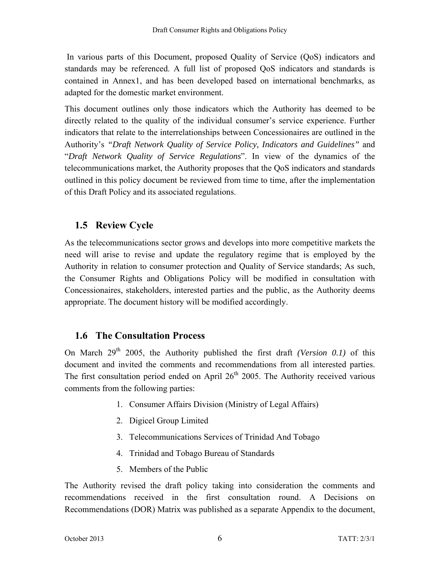In various parts of this Document, proposed Quality of Service (QoS) indicators and standards may be referenced. A full list of proposed QoS indicators and standards is contained in Annex1, and has been developed based on international benchmarks, as adapted for the domestic market environment.

This document outlines only those indicators which the Authority has deemed to be directly related to the quality of the individual consumer's service experience. Further indicators that relate to the interrelationships between Concessionaires are outlined in the Authority's *"Draft Network Quality of Service Policy, Indicators and Guidelines"* and "*Draft Network Quality of Service Regulations*". In view of the dynamics of the telecommunications market, the Authority proposes that the QoS indicators and standards outlined in this policy document be reviewed from time to time, after the implementation of this Draft Policy and its associated regulations.

# **1.5 Review Cycle**

As the telecommunications sector grows and develops into more competitive markets the need will arise to revise and update the regulatory regime that is employed by the Authority in relation to consumer protection and Quality of Service standards; As such, the Consumer Rights and Obligations Policy will be modified in consultation with Concessionaires, stakeholders, interested parties and the public, as the Authority deems appropriate. The document history will be modified accordingly.

# **1.6 The Consultation Process**

On March  $29<sup>th</sup>$  2005, the Authority published the first draft *(Version 0.1)* of this document and invited the comments and recommendations from all interested parties. The first consultation period ended on April  $26<sup>th</sup>$  2005. The Authority received various comments from the following parties:

- 1. Consumer Affairs Division (Ministry of Legal Affairs)
- 2. Digicel Group Limited
- 3. Telecommunications Services of Trinidad And Tobago
- 4. Trinidad and Tobago Bureau of Standards
- 5. Members of the Public

The Authority revised the draft policy taking into consideration the comments and recommendations received in the first consultation round. A Decisions on Recommendations (DOR) Matrix was published as a separate Appendix to the document,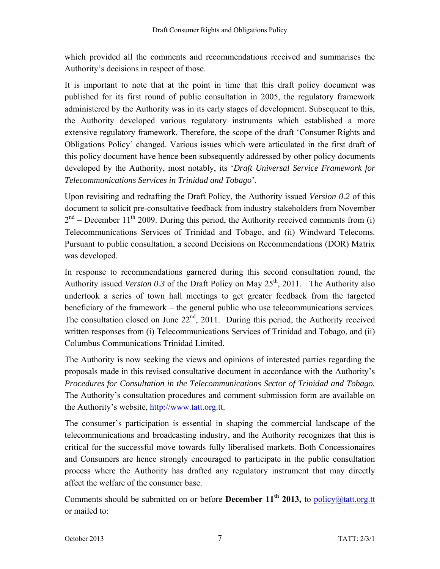which provided all the comments and recommendations received and summarises the Authority's decisions in respect of those.

It is important to note that at the point in time that this draft policy document was published for its first round of public consultation in 2005, the regulatory framework administered by the Authority was in its early stages of development. Subsequent to this, the Authority developed various regulatory instruments which established a more extensive regulatory framework. Therefore, the scope of the draft 'Consumer Rights and Obligations Policy' changed. Various issues which were articulated in the first draft of this policy document have hence been subsequently addressed by other policy documents developed by the Authority, most notably, its '*Draft Universal Service Framework for Telecommunications Services in Trinidad and Tobago*'.

Upon revisiting and redrafting the Draft Policy, the Authority issued *Version 0.2* of this document to solicit pre-consultative feedback from industry stakeholders from November  $2<sup>nd</sup>$  – December 11<sup>th</sup> 2009. During this period, the Authority received comments from (i) Telecommunications Services of Trinidad and Tobago, and (ii) Windward Telecoms. Pursuant to public consultation, a second Decisions on Recommendations (DOR) Matrix was developed.

In response to recommendations garnered during this second consultation round, the Authority issued *Version 0.3* of the Draft Policy on May  $25<sup>th</sup>$ , 2011. The Authority also undertook a series of town hall meetings to get greater feedback from the targeted beneficiary of the framework – the general public who use telecommunications services. The consultation closed on June  $22<sup>nd</sup>$ , 2011. During this period, the Authority received written responses from (i) Telecommunications Services of Trinidad and Tobago, and (ii) Columbus Communications Trinidad Limited.

The Authority is now seeking the views and opinions of interested parties regarding the proposals made in this revised consultative document in accordance with the Authority's *Procedures for Consultation in the Telecommunications Sector of Trinidad and Tobago.* The Authority's consultation procedures and comment submission form are available on the Authority's website, http://www.tatt.org.tt.

The consumer's participation is essential in shaping the commercial landscape of the telecommunications and broadcasting industry, and the Authority recognizes that this is critical for the successful move towards fully liberalised markets. Both Concessionaires and Consumers are hence strongly encouraged to participate in the public consultation process where the Authority has drafted any regulatory instrument that may directly affect the welfare of the consumer base.

Comments should be submitted on or before **December 11<sup>th</sup> 2013**, to policy@tatt.org.tt or mailed to: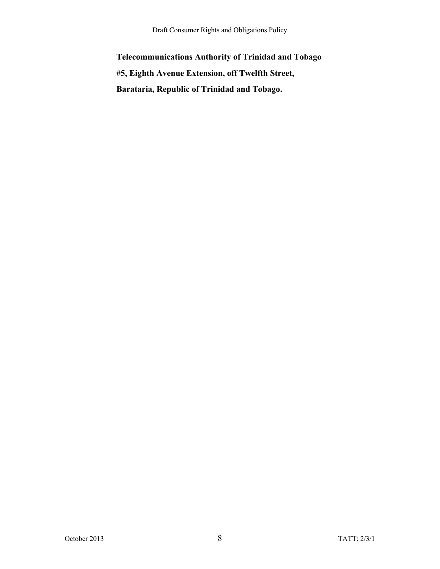**Telecommunications Authority of Trinidad and Tobago #5, Eighth Avenue Extension, off Twelfth Street, Barataria, Republic of Trinidad and Tobago.**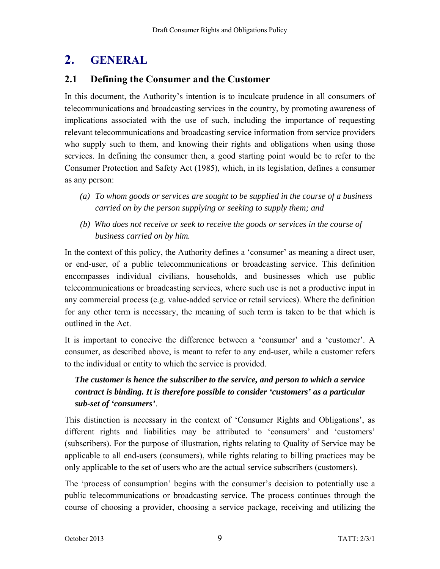# **2. GENERAL**

#### **2.1 Defining the Consumer and the Customer**

In this document, the Authority's intention is to inculcate prudence in all consumers of telecommunications and broadcasting services in the country, by promoting awareness of implications associated with the use of such, including the importance of requesting relevant telecommunications and broadcasting service information from service providers who supply such to them, and knowing their rights and obligations when using those services. In defining the consumer then, a good starting point would be to refer to the Consumer Protection and Safety Act (1985), which, in its legislation, defines a consumer as any person:

- *(a) To whom goods or services are sought to be supplied in the course of a business carried on by the person supplying or seeking to supply them; and*
- *(b) Who does not receive or seek to receive the goods or services in the course of business carried on by him.*

In the context of this policy, the Authority defines a 'consumer' as meaning a direct user, or end-user, of a public telecommunications or broadcasting service. This definition encompasses individual civilians, households, and businesses which use public telecommunications or broadcasting services, where such use is not a productive input in any commercial process (e.g. value-added service or retail services). Where the definition for any other term is necessary, the meaning of such term is taken to be that which is outlined in the Act.

It is important to conceive the difference between a 'consumer' and a 'customer'. A consumer, as described above, is meant to refer to any end-user, while a customer refers to the individual or entity to which the service is provided.

## *The customer is hence the subscriber to the service, and person to which a service contract is binding. It is therefore possible to consider 'customers' as a particular sub-set of 'consumers'*.

This distinction is necessary in the context of 'Consumer Rights and Obligations', as different rights and liabilities may be attributed to 'consumers' and 'customers' (subscribers). For the purpose of illustration, rights relating to Quality of Service may be applicable to all end-users (consumers), while rights relating to billing practices may be only applicable to the set of users who are the actual service subscribers (customers).

The 'process of consumption' begins with the consumer's decision to potentially use a public telecommunications or broadcasting service. The process continues through the course of choosing a provider, choosing a service package, receiving and utilizing the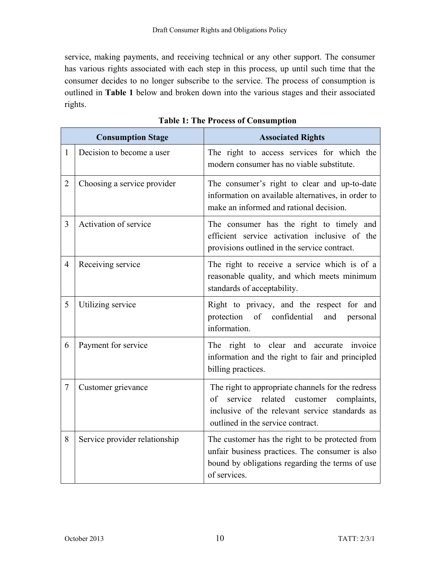service, making payments, and receiving technical or any other support. The consumer has various rights associated with each step in this process, up until such time that the consumer decides to no longer subscribe to the service. The process of consumption is outlined in **Table 1** below and broken down into the various stages and their associated rights.

| <b>Consumption Stage</b> |                               | <b>Associated Rights</b>                                                                                                                                                            |
|--------------------------|-------------------------------|-------------------------------------------------------------------------------------------------------------------------------------------------------------------------------------|
| $\mathbf{1}$             | Decision to become a user     | The right to access services for which the<br>modern consumer has no viable substitute.                                                                                             |
| $\overline{2}$           | Choosing a service provider   | The consumer's right to clear and up-to-date<br>information on available alternatives, in order to<br>make an informed and rational decision.                                       |
| 3                        | Activation of service         | The consumer has the right to timely and<br>efficient service activation inclusive of the<br>provisions outlined in the service contract.                                           |
| $\overline{4}$           | Receiving service             | The right to receive a service which is of a<br>reasonable quality, and which meets minimum<br>standards of acceptability.                                                          |
| 5                        | Utilizing service             | Right to privacy, and the respect for and<br>protection<br>of confidential<br>and<br>personal<br>information.                                                                       |
| 6                        | Payment for service           | The right to clear and accurate invoice<br>information and the right to fair and principled<br>billing practices.                                                                   |
| 7                        | Customer grievance            | The right to appropriate channels for the redress<br>of service related customer complaints,<br>inclusive of the relevant service standards as<br>outlined in the service contract. |
| 8                        | Service provider relationship | The customer has the right to be protected from<br>unfair business practices. The consumer is also<br>bound by obligations regarding the terms of use<br>of services.               |

**Table 1: The Process of Consumption**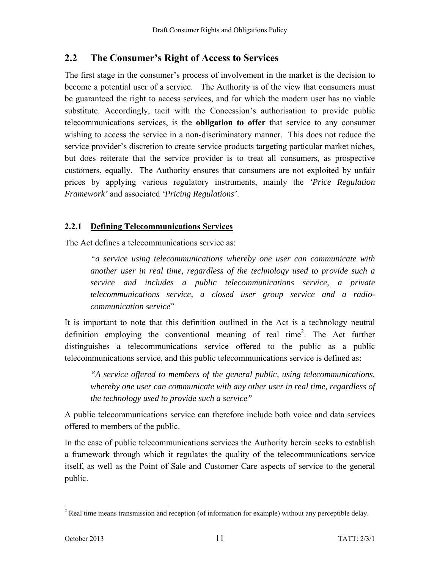## **2.2 The Consumer's Right of Access to Services**

The first stage in the consumer's process of involvement in the market is the decision to become a potential user of a service. The Authority is of the view that consumers must be guaranteed the right to access services, and for which the modern user has no viable substitute. Accordingly, tacit with the Concession's authorisation to provide public telecommunications services, is the **obligation to offer** that service to any consumer wishing to access the service in a non-discriminatory manner. This does not reduce the service provider's discretion to create service products targeting particular market niches, but does reiterate that the service provider is to treat all consumers, as prospective customers, equally. The Authority ensures that consumers are not exploited by unfair prices by applying various regulatory instruments, mainly the *'Price Regulation Framework'* and associated *'Pricing Regulations'*.

#### **2.2.1 Defining Telecommunications Services**

The Act defines a telecommunications service as:

*"a service using telecommunications whereby one user can communicate with another user in real time, regardless of the technology used to provide such a service and includes a public telecommunications service, a private telecommunications service, a closed user group service and a radiocommunication service*"

It is important to note that this definition outlined in the Act is a technology neutral definition employing the conventional meaning of real time<sup>2</sup>. The Act further distinguishes a telecommunications service offered to the public as a public telecommunications service, and this public telecommunications service is defined as:

*"A service offered to members of the general public, using telecommunications, whereby one user can communicate with any other user in real time, regardless of the technology used to provide such a service"* 

A public telecommunications service can therefore include both voice and data services offered to members of the public.

In the case of public telecommunications services the Authority herein seeks to establish a framework through which it regulates the quality of the telecommunications service itself, as well as the Point of Sale and Customer Care aspects of service to the general public.

<sup>&</sup>lt;sup>2</sup> Real time means transmission and reception (of information for example) without any perceptible delay.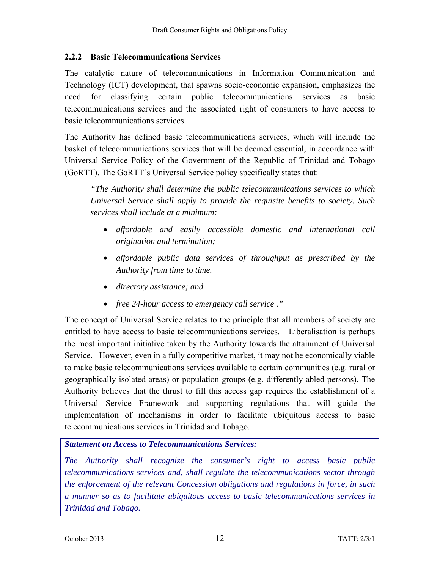#### **2.2.2 Basic Telecommunications Services**

The catalytic nature of telecommunications in Information Communication and Technology (ICT) development, that spawns socio-economic expansion, emphasizes the need for classifying certain public telecommunications services as basic telecommunications services and the associated right of consumers to have access to basic telecommunications services.

The Authority has defined basic telecommunications services, which will include the basket of telecommunications services that will be deemed essential, in accordance with Universal Service Policy of the Government of the Republic of Trinidad and Tobago (GoRTT). The GoRTT's Universal Service policy specifically states that:

*"The Authority shall determine the public telecommunications services to which Universal Service shall apply to provide the requisite benefits to society. Such services shall include at a minimum:* 

- *affordable and easily accessible domestic and international call origination and termination;*
- *affordable public data services of throughput as prescribed by the Authority from time to time.*
- *directory assistance; and*
- *free 24-hour access to emergency call service ."*

The concept of Universal Service relates to the principle that all members of society are entitled to have access to basic telecommunications services. Liberalisation is perhaps the most important initiative taken by the Authority towards the attainment of Universal Service. However, even in a fully competitive market, it may not be economically viable to make basic telecommunications services available to certain communities (e.g. rural or geographically isolated areas) or population groups (e.g. differently-abled persons). The Authority believes that the thrust to fill this access gap requires the establishment of a Universal Service Framework and supporting regulations that will guide the implementation of mechanisms in order to facilitate ubiquitous access to basic telecommunications services in Trinidad and Tobago.

#### *Statement on Access to Telecommunications Services:*

*The Authority shall recognize the consumer's right to access basic public telecommunications services and, shall regulate the telecommunications sector through the enforcement of the relevant Concession obligations and regulations in force, in such a manner so as to facilitate ubiquitous access to basic telecommunications services in Trinidad and Tobago.*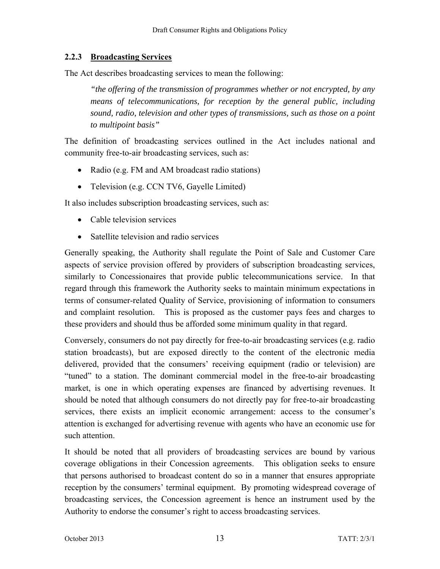#### **2.2.3 Broadcasting Services**

The Act describes broadcasting services to mean the following:

*"the offering of the transmission of programmes whether or not encrypted, by any means of telecommunications, for reception by the general public, including sound, radio, television and other types of transmissions, such as those on a point to multipoint basis"*

The definition of broadcasting services outlined in the Act includes national and community free-to-air broadcasting services, such as:

- Radio (e.g. FM and AM broadcast radio stations)
- Television (e.g. CCN TV6, Gayelle Limited)

It also includes subscription broadcasting services, such as:

- Cable television services
- Satellite television and radio services

Generally speaking, the Authority shall regulate the Point of Sale and Customer Care aspects of service provision offered by providers of subscription broadcasting services, similarly to Concessionaires that provide public telecommunications service. In that regard through this framework the Authority seeks to maintain minimum expectations in terms of consumer-related Quality of Service, provisioning of information to consumers and complaint resolution. This is proposed as the customer pays fees and charges to these providers and should thus be afforded some minimum quality in that regard.

Conversely, consumers do not pay directly for free-to-air broadcasting services (e.g. radio station broadcasts), but are exposed directly to the content of the electronic media delivered, provided that the consumers' receiving equipment (radio or television) are "tuned" to a station. The dominant commercial model in the free-to-air broadcasting market, is one in which operating expenses are financed by advertising revenues. It should be noted that although consumers do not directly pay for free-to-air broadcasting services, there exists an implicit economic arrangement: access to the consumer's attention is exchanged for advertising revenue with agents who have an economic use for such attention.

It should be noted that all providers of broadcasting services are bound by various coverage obligations in their Concession agreements. This obligation seeks to ensure that persons authorised to broadcast content do so in a manner that ensures appropriate reception by the consumers' terminal equipment. By promoting widespread coverage of broadcasting services, the Concession agreement is hence an instrument used by the Authority to endorse the consumer's right to access broadcasting services.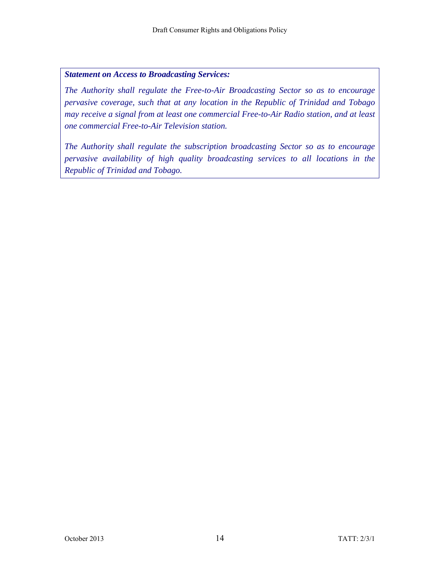#### *Statement on Access to Broadcasting Services:*

*The Authority shall regulate the Free-to-Air Broadcasting Sector so as to encourage pervasive coverage, such that at any location in the Republic of Trinidad and Tobago may receive a signal from at least one commercial Free-to-Air Radio station, and at least one commercial Free-to-Air Television station.* 

*The Authority shall regulate the subscription broadcasting Sector so as to encourage pervasive availability of high quality broadcasting services to all locations in the Republic of Trinidad and Tobago.*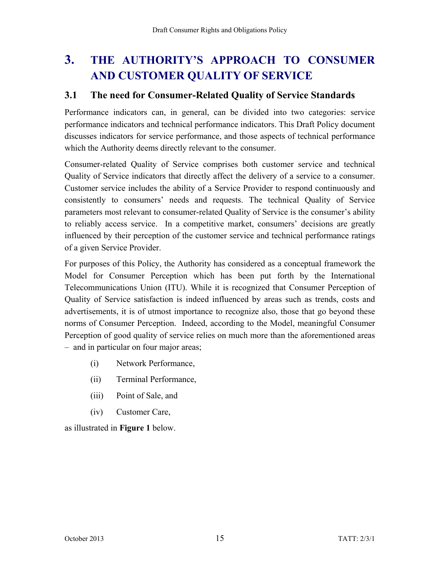# **3. THE AUTHORITY'S APPROACH TO CONSUMER AND CUSTOMER QUALITY OF SERVICE**

#### **3.1 The need for Consumer-Related Quality of Service Standards**

Performance indicators can, in general, can be divided into two categories: service performance indicators and technical performance indicators. This Draft Policy document discusses indicators for service performance, and those aspects of technical performance which the Authority deems directly relevant to the consumer.

Consumer-related Quality of Service comprises both customer service and technical Quality of Service indicators that directly affect the delivery of a service to a consumer. Customer service includes the ability of a Service Provider to respond continuously and consistently to consumers' needs and requests. The technical Quality of Service parameters most relevant to consumer-related Quality of Service is the consumer's ability to reliably access service. In a competitive market, consumers' decisions are greatly influenced by their perception of the customer service and technical performance ratings of a given Service Provider.

For purposes of this Policy, the Authority has considered as a conceptual framework the Model for Consumer Perception which has been put forth by the International Telecommunications Union (ITU). While it is recognized that Consumer Perception of Quality of Service satisfaction is indeed influenced by areas such as trends, costs and advertisements, it is of utmost importance to recognize also, those that go beyond these norms of Consumer Perception. Indeed, according to the Model, meaningful Consumer Perception of good quality of service relies on much more than the aforementioned areas – and in particular on four major areas;

- (i) Network Performance,
- (ii) Terminal Performance,
- (iii) Point of Sale, and
- (iv) Customer Care,

as illustrated in **Figure 1** below.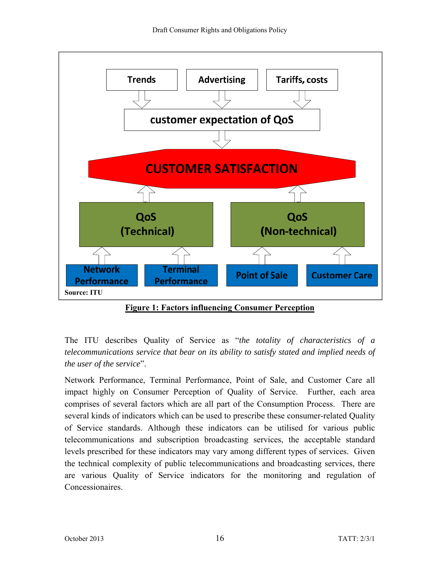

**Figure 1: Factors influencing Consumer Perception** 

The ITU describes Quality of Service as "*the totality of characteristics of a telecommunications service that bear on its ability to satisfy stated and implied needs of the user of the service*".

Network Performance, Terminal Performance, Point of Sale, and Customer Care all impact highly on Consumer Perception of Quality of Service. Further, each area comprises of several factors which are all part of the Consumption Process. There are several kinds of indicators which can be used to prescribe these consumer-related Quality of Service standards. Although these indicators can be utilised for various public telecommunications and subscription broadcasting services, the acceptable standard levels prescribed for these indicators may vary among different types of services. Given the technical complexity of public telecommunications and broadcasting services, there are various Quality of Service indicators for the monitoring and regulation of Concessionaires.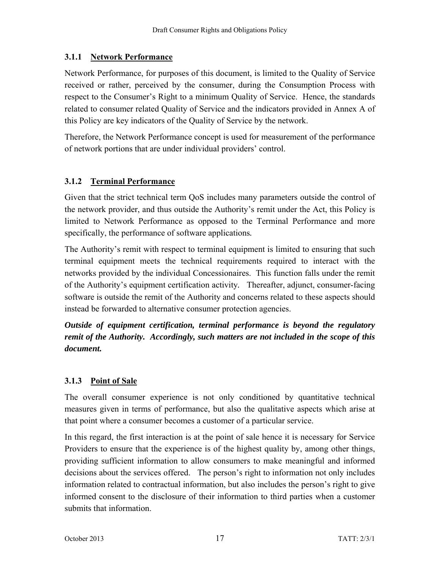#### **3.1.1 Network Performance**

Network Performance, for purposes of this document, is limited to the Quality of Service received or rather, perceived by the consumer, during the Consumption Process with respect to the Consumer's Right to a minimum Quality of Service. Hence, the standards related to consumer related Quality of Service and the indicators provided in Annex A of this Policy are key indicators of the Quality of Service by the network.

Therefore, the Network Performance concept is used for measurement of the performance of network portions that are under individual providers' control.

#### **3.1.2 Terminal Performance**

Given that the strict technical term QoS includes many parameters outside the control of the network provider, and thus outside the Authority's remit under the Act, this Policy is limited to Network Performance as opposed to the Terminal Performance and more specifically, the performance of software applications*.* 

The Authority's remit with respect to terminal equipment is limited to ensuring that such terminal equipment meets the technical requirements required to interact with the networks provided by the individual Concessionaires. This function falls under the remit of the Authority's equipment certification activity*.* Thereafter, adjunct, consumer-facing software is outside the remit of the Authority and concerns related to these aspects should instead be forwarded to alternative consumer protection agencies.

*Outside of equipment certification, terminal performance is beyond the regulatory remit of the Authority. Accordingly, such matters are not included in the scope of this document.*

#### **3.1.3 Point of Sale**

The overall consumer experience is not only conditioned by quantitative technical measures given in terms of performance, but also the qualitative aspects which arise at that point where a consumer becomes a customer of a particular service.

In this regard, the first interaction is at the point of sale hence it is necessary for Service Providers to ensure that the experience is of the highest quality by, among other things, providing sufficient information to allow consumers to make meaningful and informed decisions about the services offered. The person's right to information not only includes information related to contractual information, but also includes the person's right to give informed consent to the disclosure of their information to third parties when a customer submits that information.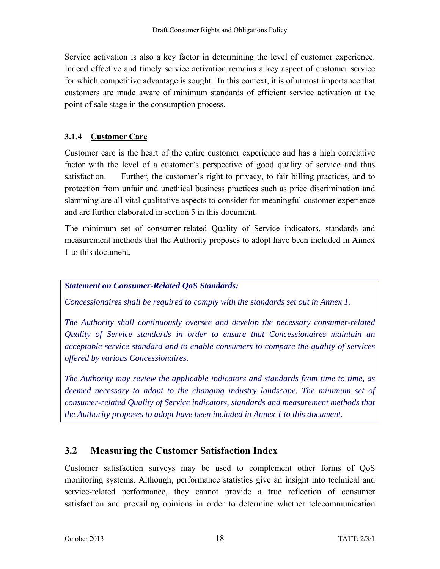Service activation is also a key factor in determining the level of customer experience. Indeed effective and timely service activation remains a key aspect of customer service for which competitive advantage is sought. In this context, it is of utmost importance that customers are made aware of minimum standards of efficient service activation at the point of sale stage in the consumption process.

#### **3.1.4 Customer Care**

Customer care is the heart of the entire customer experience and has a high correlative factor with the level of a customer's perspective of good quality of service and thus satisfaction. Further, the customer's right to privacy, to fair billing practices, and to protection from unfair and unethical business practices such as price discrimination and slamming are all vital qualitative aspects to consider for meaningful customer experience and are further elaborated in section 5 in this document.

The minimum set of consumer-related Quality of Service indicators, standards and measurement methods that the Authority proposes to adopt have been included in Annex 1 to this document.

#### *Statement on Consumer-Related QoS Standards:*

*Concessionaires shall be required to comply with the standards set out in Annex 1.* 

*The Authority shall continuously oversee and develop the necessary consumer-related Quality of Service standards in order to ensure that Concessionaires maintain an acceptable service standard and to enable consumers to compare the quality of services offered by various Concessionaires.* 

*The Authority may review the applicable indicators and standards from time to time, as deemed necessary to adapt to the changing industry landscape. The minimum set of consumer-related Quality of Service indicators, standards and measurement methods that the Authority proposes to adopt have been included in Annex 1 to this document.* 

# **3.2 Measuring the Customer Satisfaction Index**

Customer satisfaction surveys may be used to complement other forms of QoS monitoring systems. Although, performance statistics give an insight into technical and service-related performance, they cannot provide a true reflection of consumer satisfaction and prevailing opinions in order to determine whether telecommunication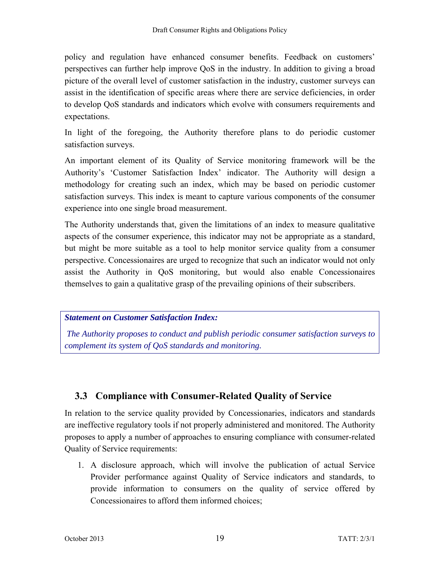policy and regulation have enhanced consumer benefits. Feedback on customers' perspectives can further help improve QoS in the industry. In addition to giving a broad picture of the overall level of customer satisfaction in the industry, customer surveys can assist in the identification of specific areas where there are service deficiencies, in order to develop QoS standards and indicators which evolve with consumers requirements and expectations.

In light of the foregoing, the Authority therefore plans to do periodic customer satisfaction surveys.

An important element of its Quality of Service monitoring framework will be the Authority's 'Customer Satisfaction Index' indicator. The Authority will design a methodology for creating such an index, which may be based on periodic customer satisfaction surveys. This index is meant to capture various components of the consumer experience into one single broad measurement.

The Authority understands that, given the limitations of an index to measure qualitative aspects of the consumer experience, this indicator may not be appropriate as a standard, but might be more suitable as a tool to help monitor service quality from a consumer perspective. Concessionaires are urged to recognize that such an indicator would not only assist the Authority in QoS monitoring, but would also enable Concessionaires themselves to gain a qualitative grasp of the prevailing opinions of their subscribers.

*Statement on Customer Satisfaction Index:* 

 *The Authority proposes to conduct and publish periodic consumer satisfaction surveys to complement its system of QoS standards and monitoring.* 

# **3.3 Compliance with Consumer-Related Quality of Service**

In relation to the service quality provided by Concessionaries, indicators and standards are ineffective regulatory tools if not properly administered and monitored. The Authority proposes to apply a number of approaches to ensuring compliance with consumer-related Quality of Service requirements:

1. A disclosure approach, which will involve the publication of actual Service Provider performance against Quality of Service indicators and standards, to provide information to consumers on the quality of service offered by Concessionaires to afford them informed choices;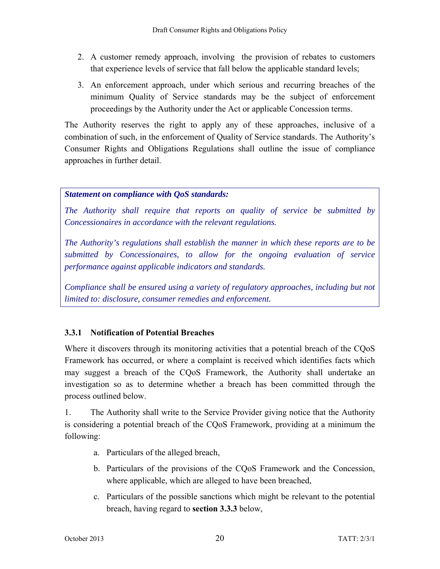- 2. A customer remedy approach, involving the provision of rebates to customers that experience levels of service that fall below the applicable standard levels;
- 3. An enforcement approach, under which serious and recurring breaches of the minimum Quality of Service standards may be the subject of enforcement proceedings by the Authority under the Act or applicable Concession terms.

The Authority reserves the right to apply any of these approaches, inclusive of a combination of such, in the enforcement of Quality of Service standards. The Authority's Consumer Rights and Obligations Regulations shall outline the issue of compliance approaches in further detail.

#### *Statement on compliance with QoS standards:*

*The Authority shall require that reports on quality of service be submitted by Concessionaires in accordance with the relevant regulations.* 

*The Authority's regulations shall establish the manner in which these reports are to be submitted by Concessionaires, to allow for the ongoing evaluation of service performance against applicable indicators and standards.* 

*Compliance shall be ensured using a variety of regulatory approaches, including but not limited to: disclosure, consumer remedies and enforcement.* 

#### **3.3.1 Notification of Potential Breaches**

Where it discovers through its monitoring activities that a potential breach of the COoS Framework has occurred, or where a complaint is received which identifies facts which may suggest a breach of the CQoS Framework, the Authority shall undertake an investigation so as to determine whether a breach has been committed through the process outlined below.

1. The Authority shall write to the Service Provider giving notice that the Authority is considering a potential breach of the CQoS Framework, providing at a minimum the following:

- a. Particulars of the alleged breach,
- b. Particulars of the provisions of the CQoS Framework and the Concession, where applicable, which are alleged to have been breached,
- c. Particulars of the possible sanctions which might be relevant to the potential breach, having regard to **section 3.3.3** below,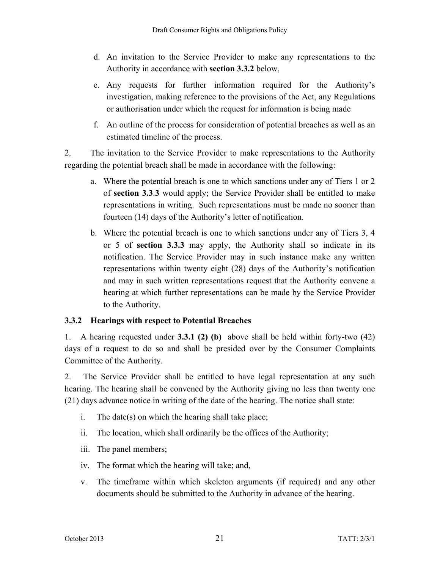- d. An invitation to the Service Provider to make any representations to the Authority in accordance with **section 3.3.2** below,
- e. Any requests for further information required for the Authority's investigation, making reference to the provisions of the Act, any Regulations or authorisation under which the request for information is being made
- f. An outline of the process for consideration of potential breaches as well as an estimated timeline of the process.

2. The invitation to the Service Provider to make representations to the Authority regarding the potential breach shall be made in accordance with the following:

- a. Where the potential breach is one to which sanctions under any of Tiers 1 or 2 of **section 3.3**.**3** would apply; the Service Provider shall be entitled to make representations in writing. Such representations must be made no sooner than fourteen (14) days of the Authority's letter of notification.
- b. Where the potential breach is one to which sanctions under any of Tiers 3, 4 or 5 of **section 3.3.3** may apply, the Authority shall so indicate in its notification. The Service Provider may in such instance make any written representations within twenty eight (28) days of the Authority's notification and may in such written representations request that the Authority convene a hearing at which further representations can be made by the Service Provider to the Authority.

#### **3.3.2 Hearings with respect to Potential Breaches**

1. A hearing requested under **3.3.1 (2) (b)** above shall be held within forty-two (42) days of a request to do so and shall be presided over by the Consumer Complaints Committee of the Authority.

2. The Service Provider shall be entitled to have legal representation at any such hearing. The hearing shall be convened by the Authority giving no less than twenty one (21) days advance notice in writing of the date of the hearing. The notice shall state:

- i. The date(s) on which the hearing shall take place;
- ii. The location, which shall ordinarily be the offices of the Authority;
- iii. The panel members;
- iv. The format which the hearing will take; and,
- v. The timeframe within which skeleton arguments (if required) and any other documents should be submitted to the Authority in advance of the hearing.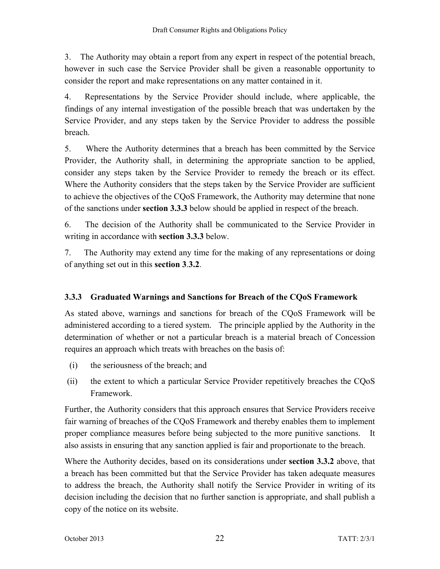3. The Authority may obtain a report from any expert in respect of the potential breach, however in such case the Service Provider shall be given a reasonable opportunity to consider the report and make representations on any matter contained in it.

4. Representations by the Service Provider should include, where applicable, the findings of any internal investigation of the possible breach that was undertaken by the Service Provider, and any steps taken by the Service Provider to address the possible breach.

5. Where the Authority determines that a breach has been committed by the Service Provider, the Authority shall, in determining the appropriate sanction to be applied, consider any steps taken by the Service Provider to remedy the breach or its effect. Where the Authority considers that the steps taken by the Service Provider are sufficient to achieve the objectives of the CQoS Framework, the Authority may determine that none of the sanctions under **section 3.3.3** below should be applied in respect of the breach.

6. The decision of the Authority shall be communicated to the Service Provider in writing in accordance with **section 3.3.3** below.

7. The Authority may extend any time for the making of any representations or doing of anything set out in this **section 3**.**3.2**.

#### **3.3.3 Graduated Warnings and Sanctions for Breach of the CQoS Framework**

As stated above, warnings and sanctions for breach of the CQoS Framework will be administered according to a tiered system. The principle applied by the Authority in the determination of whether or not a particular breach is a material breach of Concession requires an approach which treats with breaches on the basis of:

- (i) the seriousness of the breach; and
- (ii) the extent to which a particular Service Provider repetitively breaches the CQoS Framework.

Further, the Authority considers that this approach ensures that Service Providers receive fair warning of breaches of the CQoS Framework and thereby enables them to implement proper compliance measures before being subjected to the more punitive sanctions. It also assists in ensuring that any sanction applied is fair and proportionate to the breach.

Where the Authority decides, based on its considerations under **section 3.3.2** above, that a breach has been committed but that the Service Provider has taken adequate measures to address the breach, the Authority shall notify the Service Provider in writing of its decision including the decision that no further sanction is appropriate, and shall publish a copy of the notice on its website.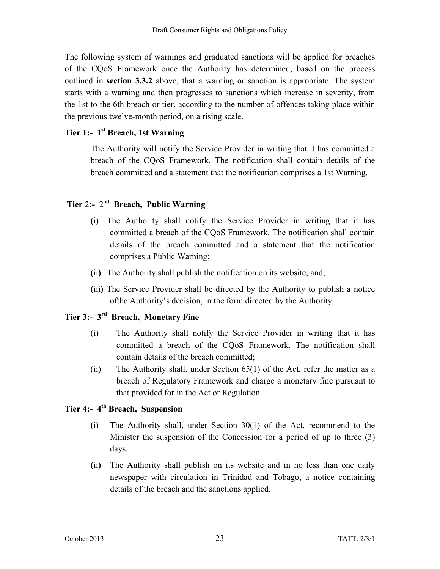The following system of warnings and graduated sanctions will be applied for breaches of the CQoS Framework once the Authority has determined, based on the process outlined in **section 3.3.2** above, that a warning or sanction is appropriate. The system starts with a warning and then progresses to sanctions which increase in severity, from the 1st to the 6th breach or tier, according to the number of offences taking place within the previous twelve-month period, on a rising scale.

#### **Tier 1:- 1st Breach, 1st Warning**

The Authority will notify the Service Provider in writing that it has committed a breach of the CQoS Framework. The notification shall contain details of the breach committed and a statement that the notification comprises a 1st Warning.

# **Tier** 2**:-** 2n**d Breach, Public Warning**

- **(**i**)** The Authority shall notify the Service Provider in writing that it has committed a breach of the CQoS Framework. The notification shall contain details of the breach committed and a statement that the notification comprises a Public Warning;
- **(**ii**)** The Authority shall publish the notification on its website; and,
- **(**iii**)** The Service Provider shall be directed by the Authority to publish a notice ofthe Authority's decision, in the form directed by the Authority.

# **Tier 3:- 3rd Breach, Monetary Fine**

- (i) The Authority shall notify the Service Provider in writing that it has committed a breach of the CQoS Framework. The notification shall contain details of the breach committed;
- (ii) The Authority shall, under Section 65(1) of the Act, refer the matter as a breach of Regulatory Framework and charge a monetary fine pursuant to that provided for in the Act or Regulation

# **Tier 4:- 4th Breach, Suspension**

- **(**i**)** The Authority shall, under Section 30(1) of the Act, recommend to the Minister the suspension of the Concession for a period of up to three (3) days.
- **(**ii**)** The Authority shall publish on its website and in no less than one daily newspaper with circulation in Trinidad and Tobago, a notice containing details of the breach and the sanctions applied.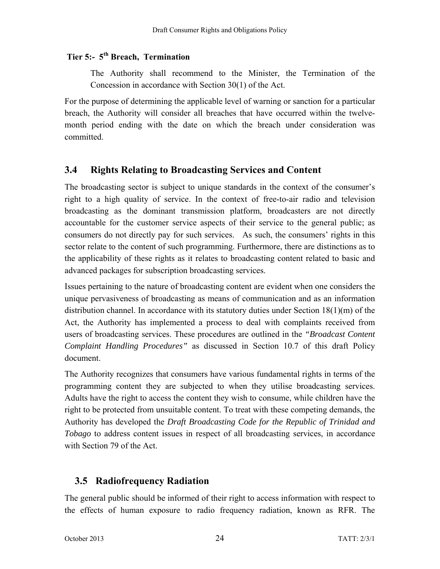# **Tier 5:- 5th Breach, Termination**

The Authority shall recommend to the Minister, the Termination of the Concession in accordance with Section 30(1) of the Act.

For the purpose of determining the applicable level of warning or sanction for a particular breach, the Authority will consider all breaches that have occurred within the twelvemonth period ending with the date on which the breach under consideration was committed.

### **3.4 Rights Relating to Broadcasting Services and Content**

The broadcasting sector is subject to unique standards in the context of the consumer's right to a high quality of service. In the context of free-to-air radio and television broadcasting as the dominant transmission platform, broadcasters are not directly accountable for the customer service aspects of their service to the general public; as consumers do not directly pay for such services. As such, the consumers' rights in this sector relate to the content of such programming. Furthermore, there are distinctions as to the applicability of these rights as it relates to broadcasting content related to basic and advanced packages for subscription broadcasting services.

Issues pertaining to the nature of broadcasting content are evident when one considers the unique pervasiveness of broadcasting as means of communication and as an information distribution channel. In accordance with its statutory duties under Section 18(1)(m) of the Act, the Authority has implemented a process to deal with complaints received from users of broadcasting services. These procedures are outlined in the *"Broadcast Content Complaint Handling Procedures"* as discussed in Section 10.7 of this draft Policy document.

The Authority recognizes that consumers have various fundamental rights in terms of the programming content they are subjected to when they utilise broadcasting services. Adults have the right to access the content they wish to consume, while children have the right to be protected from unsuitable content. To treat with these competing demands, the Authority has developed the *Draft Broadcasting Code for the Republic of Trinidad and Tobago* to address content issues in respect of all broadcasting services, in accordance with Section 79 of the Act.

# **3.5 Radiofrequency Radiation**

The general public should be informed of their right to access information with respect to the effects of human exposure to radio frequency radiation, known as RFR. The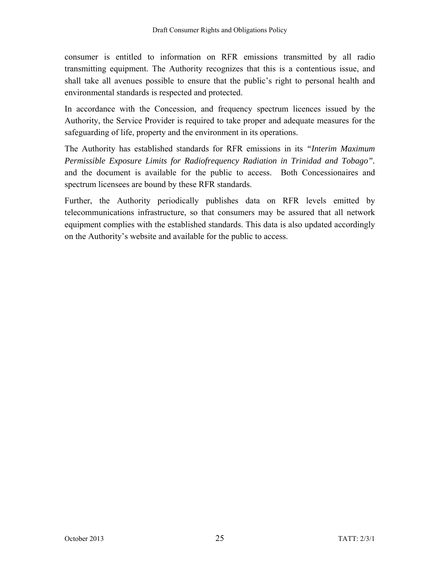consumer is entitled to information on RFR emissions transmitted by all radio transmitting equipment. The Authority recognizes that this is a contentious issue, and shall take all avenues possible to ensure that the public's right to personal health and environmental standards is respected and protected.

In accordance with the Concession, and frequency spectrum licences issued by the Authority, the Service Provider is required to take proper and adequate measures for the safeguarding of life, property and the environment in its operations.

The Authority has established standards for RFR emissions in its *"Interim Maximum Permissible Exposure Limits for Radiofrequency Radiation in Trinidad and Tobago".*  and the document is available for the public to access. Both Concessionaires and spectrum licensees are bound by these RFR standards.

Further, the Authority periodically publishes data on RFR levels emitted by telecommunications infrastructure, so that consumers may be assured that all network equipment complies with the established standards. This data is also updated accordingly on the Authority's website and available for the public to access.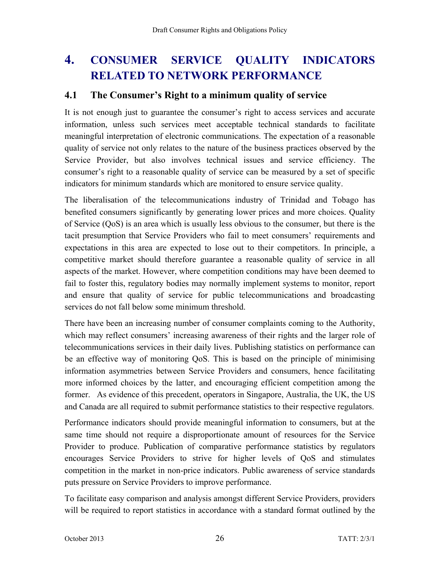# **4. CONSUMER SERVICE QUALITY INDICATORS RELATED TO NETWORK PERFORMANCE**

#### **4.1 The Consumer's Right to a minimum quality of service**

It is not enough just to guarantee the consumer's right to access services and accurate information, unless such services meet acceptable technical standards to facilitate meaningful interpretation of electronic communications. The expectation of a reasonable quality of service not only relates to the nature of the business practices observed by the Service Provider, but also involves technical issues and service efficiency. The consumer's right to a reasonable quality of service can be measured by a set of specific indicators for minimum standards which are monitored to ensure service quality.

The liberalisation of the telecommunications industry of Trinidad and Tobago has benefited consumers significantly by generating lower prices and more choices. Quality of Service (QoS) is an area which is usually less obvious to the consumer, but there is the tacit presumption that Service Providers who fail to meet consumers' requirements and expectations in this area are expected to lose out to their competitors. In principle, a competitive market should therefore guarantee a reasonable quality of service in all aspects of the market. However, where competition conditions may have been deemed to fail to foster this, regulatory bodies may normally implement systems to monitor, report and ensure that quality of service for public telecommunications and broadcasting services do not fall below some minimum threshold.

There have been an increasing number of consumer complaints coming to the Authority, which may reflect consumers' increasing awareness of their rights and the larger role of telecommunications services in their daily lives. Publishing statistics on performance can be an effective way of monitoring QoS. This is based on the principle of minimising information asymmetries between Service Providers and consumers, hence facilitating more informed choices by the latter, and encouraging efficient competition among the former. As evidence of this precedent, operators in Singapore, Australia, the UK, the US and Canada are all required to submit performance statistics to their respective regulators.

Performance indicators should provide meaningful information to consumers, but at the same time should not require a disproportionate amount of resources for the Service Provider to produce. Publication of comparative performance statistics by regulators encourages Service Providers to strive for higher levels of QoS and stimulates competition in the market in non-price indicators. Public awareness of service standards puts pressure on Service Providers to improve performance.

To facilitate easy comparison and analysis amongst different Service Providers, providers will be required to report statistics in accordance with a standard format outlined by the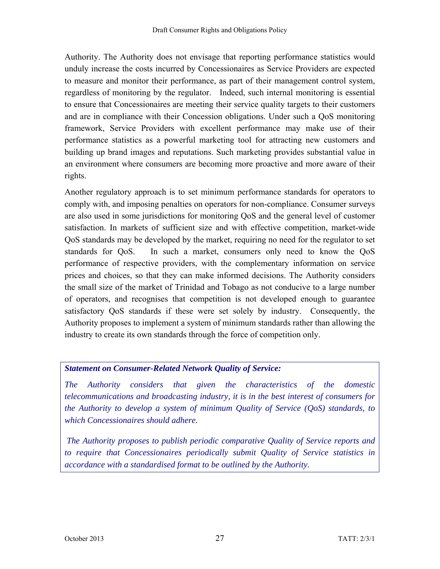Authority. The Authority does not envisage that reporting performance statistics would unduly increase the costs incurred by Concessionaires as Service Providers are expected to measure and monitor their performance, as part of their management control system, regardless of monitoring by the regulator. Indeed, such internal monitoring is essential to ensure that Concessionaires are meeting their service quality targets to their customers and are in compliance with their Concession obligations. Under such a QoS monitoring framework, Service Providers with excellent performance may make use of their performance statistics as a powerful marketing tool for attracting new customers and building up brand images and reputations. Such marketing provides substantial value in an environment where consumers are becoming more proactive and more aware of their rights.

Another regulatory approach is to set minimum performance standards for operators to comply with, and imposing penalties on operators for non-compliance. Consumer surveys are also used in some jurisdictions for monitoring QoS and the general level of customer satisfaction. In markets of sufficient size and with effective competition, market-wide QoS standards may be developed by the market, requiring no need for the regulator to set standards for QoS. In such a market, consumers only need to know the QoS performance of respective providers, with the complementary information on service prices and choices, so that they can make informed decisions. The Authority considers the small size of the market of Trinidad and Tobago as not conducive to a large number of operators, and recognises that competition is not developed enough to guarantee satisfactory QoS standards if these were set solely by industry. Consequently, the Authority proposes to implement a system of minimum standards rather than allowing the industry to create its own standards through the force of competition only.

#### *Statement on Consumer-Related Network Quality of Service:*

*The Authority considers that given the characteristics of the domestic telecommunications and broadcasting industry, it is in the best interest of consumers for the Authority to develop a system of minimum Quality of Service (QoS) standards, to which Concessionaires should adhere.* 

 *The Authority proposes to publish periodic comparative Quality of Service reports and to require that Concessionaires periodically submit Quality of Service statistics in accordance with a standardised format to be outlined by the Authority.*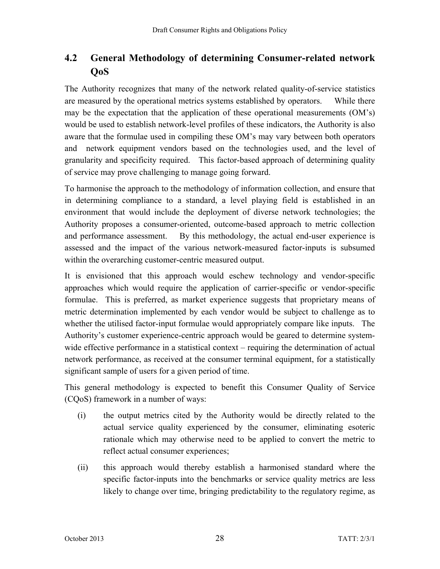# **4.2 General Methodology of determining Consumer-related network QoS**

The Authority recognizes that many of the network related quality-of-service statistics are measured by the operational metrics systems established by operators. While there may be the expectation that the application of these operational measurements (OM's) would be used to establish network-level profiles of these indicators, the Authority is also aware that the formulae used in compiling these OM's may vary between both operators and network equipment vendors based on the technologies used, and the level of granularity and specificity required. This factor-based approach of determining quality of service may prove challenging to manage going forward.

To harmonise the approach to the methodology of information collection, and ensure that in determining compliance to a standard, a level playing field is established in an environment that would include the deployment of diverse network technologies; the Authority proposes a consumer-oriented, outcome-based approach to metric collection and performance assessment. By this methodology, the actual end-user experience is assessed and the impact of the various network-measured factor-inputs is subsumed within the overarching customer-centric measured output.

It is envisioned that this approach would eschew technology and vendor-specific approaches which would require the application of carrier-specific or vendor-specific formulae. This is preferred, as market experience suggests that proprietary means of metric determination implemented by each vendor would be subject to challenge as to whether the utilised factor-input formulae would appropriately compare like inputs. The Authority's customer experience-centric approach would be geared to determine systemwide effective performance in a statistical context – requiring the determination of actual network performance, as received at the consumer terminal equipment, for a statistically significant sample of users for a given period of time.

This general methodology is expected to benefit this Consumer Quality of Service (CQoS) framework in a number of ways:

- (i) the output metrics cited by the Authority would be directly related to the actual service quality experienced by the consumer, eliminating esoteric rationale which may otherwise need to be applied to convert the metric to reflect actual consumer experiences;
- (ii) this approach would thereby establish a harmonised standard where the specific factor-inputs into the benchmarks or service quality metrics are less likely to change over time, bringing predictability to the regulatory regime, as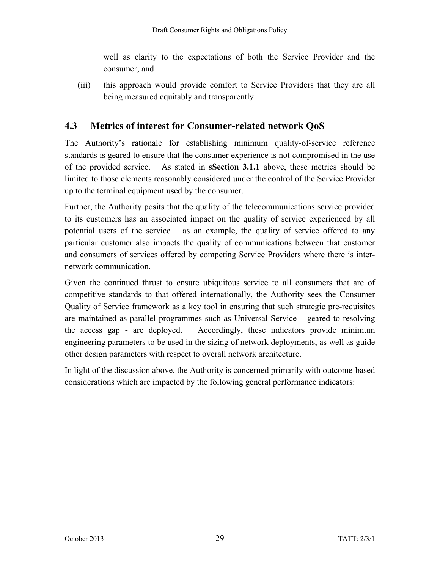well as clarity to the expectations of both the Service Provider and the consumer; and

(iii) this approach would provide comfort to Service Providers that they are all being measured equitably and transparently.

# **4.3 Metrics of interest for Consumer-related network QoS**

The Authority's rationale for establishing minimum quality-of-service reference standards is geared to ensure that the consumer experience is not compromised in the use of the provided service. As stated in **sSection 3.1.1** above, these metrics should be limited to those elements reasonably considered under the control of the Service Provider up to the terminal equipment used by the consumer.

Further, the Authority posits that the quality of the telecommunications service provided to its customers has an associated impact on the quality of service experienced by all potential users of the service – as an example, the quality of service offered to any particular customer also impacts the quality of communications between that customer and consumers of services offered by competing Service Providers where there is internetwork communication.

Given the continued thrust to ensure ubiquitous service to all consumers that are of competitive standards to that offered internationally, the Authority sees the Consumer Quality of Service framework as a key tool in ensuring that such strategic pre-requisites are maintained as parallel programmes such as Universal Service – geared to resolving the access gap - are deployed. Accordingly, these indicators provide minimum engineering parameters to be used in the sizing of network deployments, as well as guide other design parameters with respect to overall network architecture.

In light of the discussion above, the Authority is concerned primarily with outcome-based considerations which are impacted by the following general performance indicators: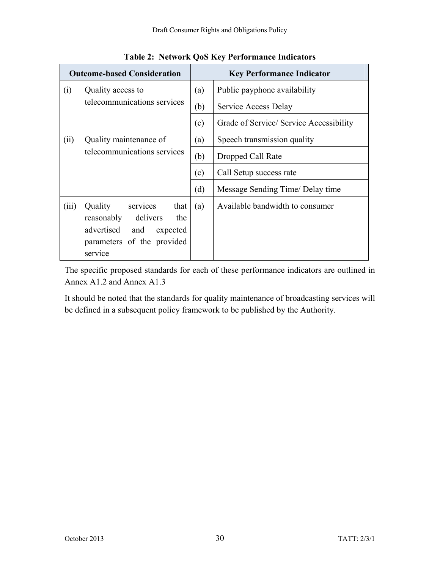| <b>Outcome-based Consideration</b> |                                                                                                                                  | <b>Key Performance Indicator</b> |                                         |
|------------------------------------|----------------------------------------------------------------------------------------------------------------------------------|----------------------------------|-----------------------------------------|
| (i)                                | Quality access to<br>telecommunications services                                                                                 | (a)                              | Public payphone availability            |
|                                    |                                                                                                                                  | (b)                              | Service Access Delay                    |
|                                    |                                                                                                                                  | (c)                              | Grade of Service/ Service Accessibility |
| (ii)                               | Quality maintenance of                                                                                                           |                                  | Speech transmission quality             |
|                                    | telecommunications services                                                                                                      | (b)                              | Dropped Call Rate                       |
|                                    |                                                                                                                                  | (c)                              | Call Setup success rate                 |
|                                    |                                                                                                                                  | (d)                              | Message Sending Time/ Delay time        |
| (iii)                              | Quality<br>services<br>that<br>reasonably delivers<br>the<br>advertised<br>and expected<br>parameters of the provided<br>service | (a)                              | Available bandwidth to consumer         |

**Table 2: Network QoS Key Performance Indicators** 

The specific proposed standards for each of these performance indicators are outlined in Annex A1.2 and Annex A1.3

It should be noted that the standards for quality maintenance of broadcasting services will be defined in a subsequent policy framework to be published by the Authority.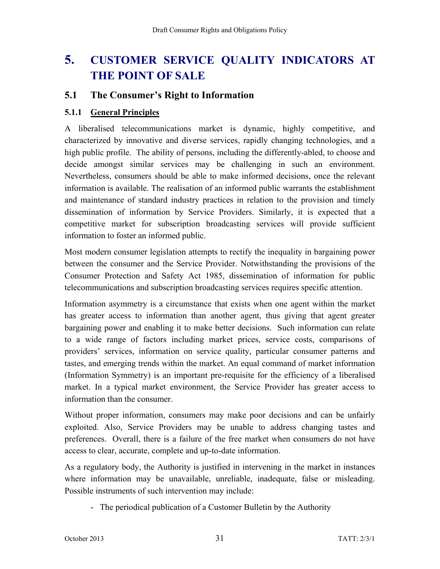# **5. CUSTOMER SERVICE QUALITY INDICATORS AT THE POINT OF SALE**

# **5.1 The Consumer's Right to Information**

# **5.1.1 General Principles**

A liberalised telecommunications market is dynamic, highly competitive, and characterized by innovative and diverse services, rapidly changing technologies, and a high public profile. The ability of persons, including the differently-abled, to choose and decide amongst similar services may be challenging in such an environment. Nevertheless, consumers should be able to make informed decisions, once the relevant information is available. The realisation of an informed public warrants the establishment and maintenance of standard industry practices in relation to the provision and timely dissemination of information by Service Providers. Similarly, it is expected that a competitive market for subscription broadcasting services will provide sufficient information to foster an informed public.

Most modern consumer legislation attempts to rectify the inequality in bargaining power between the consumer and the Service Provider. Notwithstanding the provisions of the Consumer Protection and Safety Act 1985, dissemination of information for public telecommunications and subscription broadcasting services requires specific attention.

Information asymmetry is a circumstance that exists when one agent within the market has greater access to information than another agent, thus giving that agent greater bargaining power and enabling it to make better decisions. Such information can relate to a wide range of factors including market prices, service costs, comparisons of providers' services, information on service quality, particular consumer patterns and tastes, and emerging trends within the market. An equal command of market information (Information Symmetry) is an important pre-requisite for the efficiency of a liberalised market. In a typical market environment, the Service Provider has greater access to information than the consumer.

Without proper information, consumers may make poor decisions and can be unfairly exploited. Also, Service Providers may be unable to address changing tastes and preferences. Overall, there is a failure of the free market when consumers do not have access to clear, accurate, complete and up-to-date information.

As a regulatory body, the Authority is justified in intervening in the market in instances where information may be unavailable, unreliable, inadequate, false or misleading. Possible instruments of such intervention may include:

- The periodical publication of a Customer Bulletin by the Authority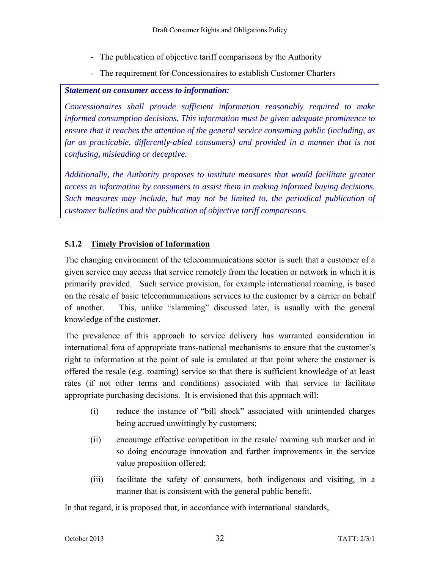- The publication of objective tariff comparisons by the Authority
- The requirement for Concessionaires to establish Customer Charters

#### *Statement on consumer access to information:*

*Concessionaires shall provide sufficient information reasonably required to make informed consumption decisions. This information must be given adequate prominence to ensure that it reaches the attention of the general service consuming public (including, as far as practicable, differently-abled consumers) and provided in a manner that is not confusing, misleading or deceptive.* 

*Additionally, the Authority proposes to institute measures that would facilitate greater access to information by consumers to assist them in making informed buying decisions. Such measures may include, but may not be limited to, the periodical publication of customer bulletins and the publication of objective tariff comparisons.* 

## **5.1.2 Timely Provision of Information**

The changing environment of the telecommunications sector is such that a customer of a given service may access that service remotely from the location or network in which it is primarily provided. Such service provision, for example international roaming, is based on the resale of basic telecommunications services to the customer by a carrier on behalf of another. This, unlike "slamming" discussed later, is usually with the general knowledge of the customer.

The prevalence of this approach to service delivery has warranted consideration in international fora of appropriate trans-national mechanisms to ensure that the customer's right to information at the point of sale is emulated at that point where the customer is offered the resale (e.g. roaming) service so that there is sufficient knowledge of at least rates (if not other terms and conditions) associated with that service to facilitate appropriate purchasing decisions. It is envisioned that this approach will:

- (i) reduce the instance of "bill shock" associated with unintended charges being accrued unwittingly by customers;
- (ii) encourage effective competition in the resale/ roaming sub market and in so doing encourage innovation and further improvements in the service value proposition offered;
- (iii) facilitate the safety of consumers, both indigenous and visiting, in a manner that is consistent with the general public benefit.

In that regard, it is proposed that, in accordance with international standards,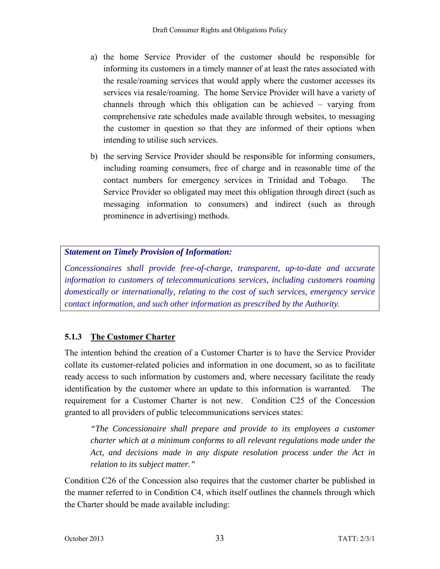- a) the home Service Provider of the customer should be responsible for informing its customers in a timely manner of at least the rates associated with the resale/roaming services that would apply where the customer accesses its services via resale/roaming. The home Service Provider will have a variety of channels through which this obligation can be achieved – varying from comprehensive rate schedules made available through websites, to messaging the customer in question so that they are informed of their options when intending to utilise such services.
- b) the serving Service Provider should be responsible for informing consumers, including roaming consumers, free of charge and in reasonable time of the contact numbers for emergency services in Trinidad and Tobago. The Service Provider so obligated may meet this obligation through direct (such as messaging information to consumers) and indirect (such as through prominence in advertising) methods.

# *Statement on Timely Provision of Information:*

*Concessionaires shall provide free-of-charge, transparent, up-to-date and accurate information to customers of telecommunications services, including customers roaming domestically or internationally, relating to the cost of such services, emergency service contact information, and such other information as prescribed by the Authority.*

# **5.1.3 The Customer Charter**

The intention behind the creation of a Customer Charter is to have the Service Provider collate its customer-related policies and information in one document, so as to facilitate ready access to such information by customers and, where necessary facilitate the ready identification by the customer where an update to this information is warranted. requirement for a Customer Charter is not new. Condition C25 of the Concession granted to all providers of public telecommunications services states:

*"The Concessionaire shall prepare and provide to its employees a customer charter which at a minimum conforms to all relevant regulations made under the Act, and decisions made in any dispute resolution process under the Act in relation to its subject matter."* 

Condition C26 of the Concession also requires that the customer charter be published in the manner referred to in Condition C4, which itself outlines the channels through which the Charter should be made available including: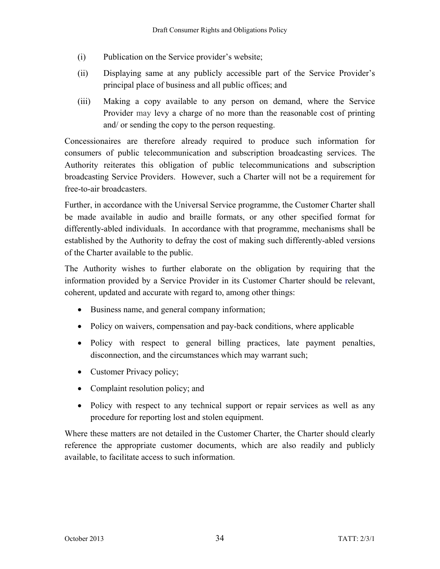- (i) Publication on the Service provider's website;
- (ii) Displaying same at any publicly accessible part of the Service Provider's principal place of business and all public offices; and
- (iii) Making a copy available to any person on demand, where the Service Provider may levy a charge of no more than the reasonable cost of printing and/ or sending the copy to the person requesting.

Concessionaires are therefore already required to produce such information for consumers of public telecommunication and subscription broadcasting services. The Authority reiterates this obligation of public telecommunications and subscription broadcasting Service Providers. However, such a Charter will not be a requirement for free-to-air broadcasters.

Further, in accordance with the Universal Service programme, the Customer Charter shall be made available in audio and braille formats, or any other specified format for differently-abled individuals. In accordance with that programme, mechanisms shall be established by the Authority to defray the cost of making such differently-abled versions of the Charter available to the public.

The Authority wishes to further elaborate on the obligation by requiring that the information provided by a Service Provider in its Customer Charter should be relevant, coherent, updated and accurate with regard to, among other things:

- Business name, and general company information;
- Policy on waivers, compensation and pay-back conditions, where applicable
- Policy with respect to general billing practices, late payment penalties, disconnection, and the circumstances which may warrant such;
- Customer Privacy policy;
- Complaint resolution policy; and
- Policy with respect to any technical support or repair services as well as any procedure for reporting lost and stolen equipment.

Where these matters are not detailed in the Customer Charter, the Charter should clearly reference the appropriate customer documents, which are also readily and publicly available, to facilitate access to such information.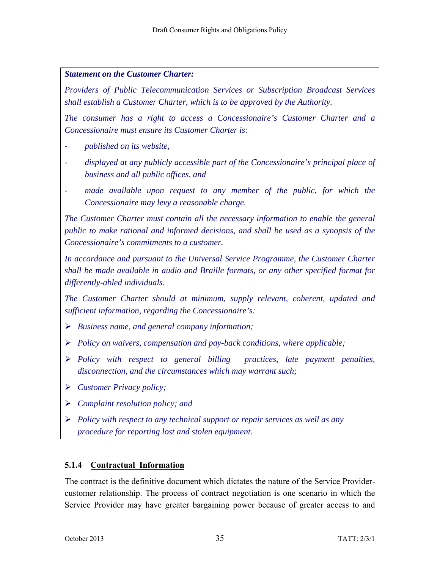#### *Statement on the Customer Charter:*

*Providers of Public Telecommunication Services or Subscription Broadcast Services shall establish a Customer Charter, which is to be approved by the Authority.* 

*The consumer has a right to access a Concessionaire's Customer Charter and a Concessionaire must ensure its Customer Charter is:* 

- *published on its website,*
- *displayed at any publicly accessible part of the Concessionaire's principal place of business and all public offices, and*
- *made available upon request to any member of the public, for which the Concessionaire may levy a reasonable charge.*

*The Customer Charter must contain all the necessary information to enable the general public to make rational and informed decisions, and shall be used as a synopsis of the Concessionaire's commitments to a customer.* 

*In accordance and pursuant to the Universal Service Programme, the Customer Charter shall be made available in audio and Braille formats, or any other specified format for differently-abled individuals.* 

*The Customer Charter should at minimum, supply relevant, coherent, updated and sufficient information, regarding the Concessionaire's:* 

- *Business name, and general company information;*
- *Policy on waivers, compensation and pay-back conditions, where applicable;*
- *Policy with respect to general billing practices, late payment penalties, disconnection, and the circumstances which may warrant such;*
- *Customer Privacy policy;*
- *Complaint resolution policy; and*
- *Policy with respect to any technical support or repair services as well as any procedure for reporting lost and stolen equipment.*

#### **5.1.4 Contractual Information**

The contract is the definitive document which dictates the nature of the Service Providercustomer relationship. The process of contract negotiation is one scenario in which the Service Provider may have greater bargaining power because of greater access to and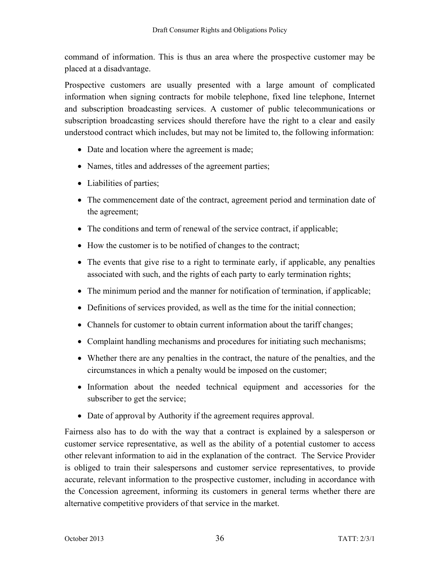command of information. This is thus an area where the prospective customer may be placed at a disadvantage.

Prospective customers are usually presented with a large amount of complicated information when signing contracts for mobile telephone, fixed line telephone, Internet and subscription broadcasting services. A customer of public telecommunications or subscription broadcasting services should therefore have the right to a clear and easily understood contract which includes, but may not be limited to, the following information:

- Date and location where the agreement is made;
- Names, titles and addresses of the agreement parties;
- Liabilities of parties;
- The commencement date of the contract, agreement period and termination date of the agreement;
- The conditions and term of renewal of the service contract, if applicable;
- How the customer is to be notified of changes to the contract;
- The events that give rise to a right to terminate early, if applicable, any penalties associated with such, and the rights of each party to early termination rights;
- The minimum period and the manner for notification of termination, if applicable;
- Definitions of services provided, as well as the time for the initial connection;
- Channels for customer to obtain current information about the tariff changes;
- Complaint handling mechanisms and procedures for initiating such mechanisms;
- Whether there are any penalties in the contract, the nature of the penalties, and the circumstances in which a penalty would be imposed on the customer;
- Information about the needed technical equipment and accessories for the subscriber to get the service;
- Date of approval by Authority if the agreement requires approval.

Fairness also has to do with the way that a contract is explained by a salesperson or customer service representative, as well as the ability of a potential customer to access other relevant information to aid in the explanation of the contract. The Service Provider is obliged to train their salespersons and customer service representatives, to provide accurate, relevant information to the prospective customer, including in accordance with the Concession agreement, informing its customers in general terms whether there are alternative competitive providers of that service in the market.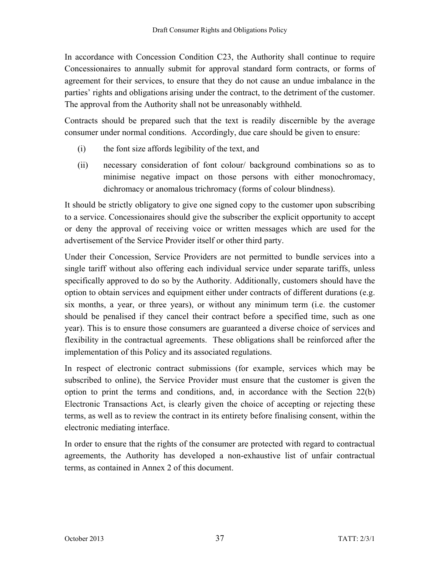In accordance with Concession Condition C23, the Authority shall continue to require Concessionaires to annually submit for approval standard form contracts, or forms of agreement for their services, to ensure that they do not cause an undue imbalance in the parties' rights and obligations arising under the contract, to the detriment of the customer. The approval from the Authority shall not be unreasonably withheld.

Contracts should be prepared such that the text is readily discernible by the average consumer under normal conditions. Accordingly, due care should be given to ensure:

- (i) the font size affords legibility of the text, and
- (ii) necessary consideration of font colour/ background combinations so as to minimise negative impact on those persons with either monochromacy, dichromacy or anomalous trichromacy (forms of colour blindness).

It should be strictly obligatory to give one signed copy to the customer upon subscribing to a service. Concessionaires should give the subscriber the explicit opportunity to accept or deny the approval of receiving voice or written messages which are used for the advertisement of the Service Provider itself or other third party.

Under their Concession, Service Providers are not permitted to bundle services into a single tariff without also offering each individual service under separate tariffs, unless specifically approved to do so by the Authority. Additionally, customers should have the option to obtain services and equipment either under contracts of different durations (e.g. six months, a year, or three years), or without any minimum term (i.e. the customer should be penalised if they cancel their contract before a specified time, such as one year). This is to ensure those consumers are guaranteed a diverse choice of services and flexibility in the contractual agreements. These obligations shall be reinforced after the implementation of this Policy and its associated regulations.

In respect of electronic contract submissions (for example, services which may be subscribed to online), the Service Provider must ensure that the customer is given the option to print the terms and conditions, and, in accordance with the Section 22(b) Electronic Transactions Act, is clearly given the choice of accepting or rejecting these terms, as well as to review the contract in its entirety before finalising consent, within the electronic mediating interface.

In order to ensure that the rights of the consumer are protected with regard to contractual agreements, the Authority has developed a non-exhaustive list of unfair contractual terms, as contained in Annex 2 of this document.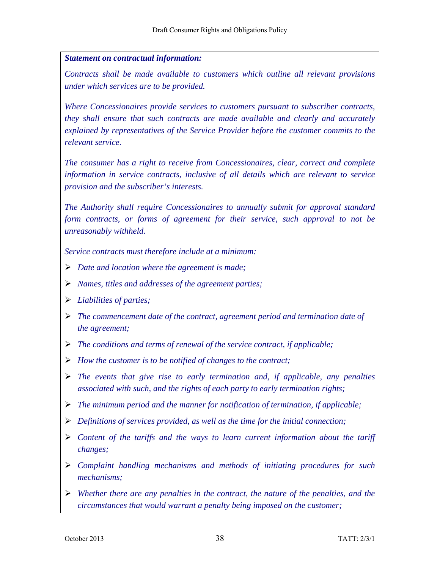#### *Statement on contractual information:*

*Contracts shall be made available to customers which outline all relevant provisions under which services are to be provided.* 

*Where Concessionaires provide services to customers pursuant to subscriber contracts, they shall ensure that such contracts are made available and clearly and accurately explained by representatives of the Service Provider before the customer commits to the relevant service.* 

*The consumer has a right to receive from Concessionaires, clear, correct and complete information in service contracts, inclusive of all details which are relevant to service provision and the subscriber's interests.* 

*The Authority shall require Concessionaires to annually submit for approval standard form contracts, or forms of agreement for their service, such approval to not be unreasonably withheld.* 

*Service contracts must therefore include at a minimum:* 

- *Date and location where the agreement is made;*
- *Names, titles and addresses of the agreement parties;*
- *Liabilities of parties;*
- *The commencement date of the contract, agreement period and termination date of the agreement;*
- *The conditions and terms of renewal of the service contract, if applicable;*
- *How the customer is to be notified of changes to the contract;*
- $\triangleright$  The events that give rise to early termination and, if applicable, any penalties *associated with such, and the rights of each party to early termination rights;*
- *The minimum period and the manner for notification of termination, if applicable;*
- *Definitions of services provided, as well as the time for the initial connection;*
- *Content of the tariffs and the ways to learn current information about the tariff changes;*
- *Complaint handling mechanisms and methods of initiating procedures for such mechanisms;*
- *Whether there are any penalties in the contract, the nature of the penalties, and the circumstances that would warrant a penalty being imposed on the customer;*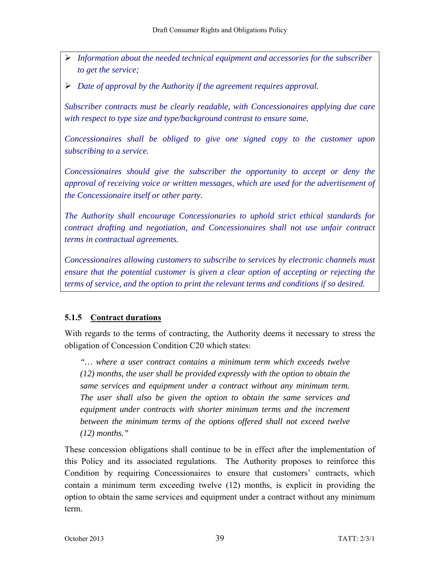- *Information about the needed technical equipment and accessories for the subscriber to get the service;*
- *Date of approval by the Authority if the agreement requires approval.*

*Subscriber contracts must be clearly readable, with Concessionaires applying due care with respect to type size and type/background contrast to ensure same.* 

*Concessionaires shall be obliged to give one signed copy to the customer upon subscribing to a service.* 

*Concessionaires should give the subscriber the opportunity to accept or deny the approval of receiving voice or written messages, which are used for the advertisement of the Concessionaire itself or other party.* 

*The Authority shall encourage Concessionaries to uphold strict ethical standards for contract drafting and negotiation, and Concessionaires shall not use unfair contract terms in contractual agreements.* 

*Concessionaires allowing customers to subscribe to services by electronic channels must ensure that the potential customer is given a clear option of accepting or rejecting the terms of service, and the option to print the relevant terms and conditions if so desired.* 

# **5.1.5 Contract durations**

With regards to the terms of contracting, the Authority deems it necessary to stress the obligation of Concession Condition C20 which states:

*"… where a user contract contains a minimum term which exceeds twelve (12) months, the user shall be provided expressly with the option to obtain the same services and equipment under a contract without any minimum term. The user shall also be given the option to obtain the same services and equipment under contracts with shorter minimum terms and the increment between the minimum terms of the options offered shall not exceed twelve (12) months."*

These concession obligations shall continue to be in effect after the implementation of this Policy and its associated regulations. The Authority proposes to reinforce this Condition by requiring Concessionaires to ensure that customers' contracts, which contain a minimum term exceeding twelve (12) months, is explicit in providing the option to obtain the same services and equipment under a contract without any minimum term.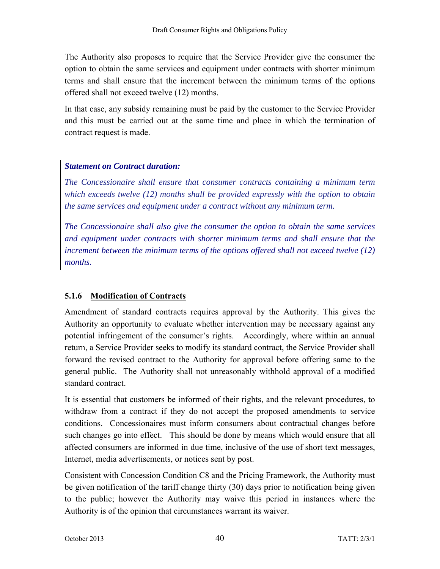The Authority also proposes to require that the Service Provider give the consumer the option to obtain the same services and equipment under contracts with shorter minimum terms and shall ensure that the increment between the minimum terms of the options offered shall not exceed twelve (12) months.

In that case, any subsidy remaining must be paid by the customer to the Service Provider and this must be carried out at the same time and place in which the termination of contract request is made.

## *Statement on Contract duration:*

*The Concessionaire shall ensure that consumer contracts containing a minimum term which exceeds twelve (12) months shall be provided expressly with the option to obtain the same services and equipment under a contract without any minimum term.* 

*The Concessionaire shall also give the consumer the option to obtain the same services and equipment under contracts with shorter minimum terms and shall ensure that the increment between the minimum terms of the options offered shall not exceed twelve (12) months.* 

# **5.1.6 Modification of Contracts**

Amendment of standard contracts requires approval by the Authority. This gives the Authority an opportunity to evaluate whether intervention may be necessary against any potential infringement of the consumer's rights. Accordingly, where within an annual return, a Service Provider seeks to modify its standard contract, the Service Provider shall forward the revised contract to the Authority for approval before offering same to the general public. The Authority shall not unreasonably withhold approval of a modified standard contract.

It is essential that customers be informed of their rights, and the relevant procedures, to withdraw from a contract if they do not accept the proposed amendments to service conditions. Concessionaires must inform consumers about contractual changes before such changes go into effect. This should be done by means which would ensure that all affected consumers are informed in due time, inclusive of the use of short text messages, Internet, media advertisements, or notices sent by post.

Consistent with Concession Condition C8 and the Pricing Framework, the Authority must be given notification of the tariff change thirty (30) days prior to notification being given to the public; however the Authority may waive this period in instances where the Authority is of the opinion that circumstances warrant its waiver.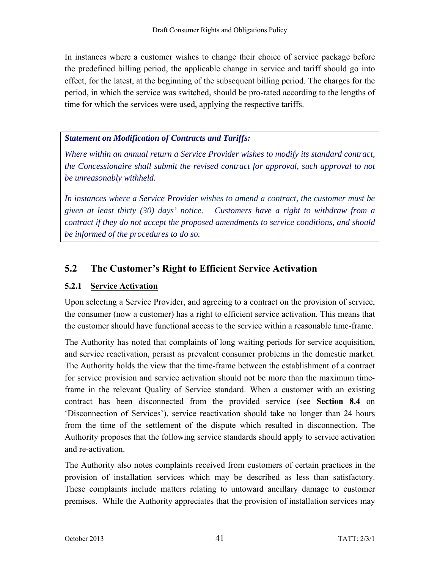In instances where a customer wishes to change their choice of service package before the predefined billing period, the applicable change in service and tariff should go into effect, for the latest, at the beginning of the subsequent billing period. The charges for the period, in which the service was switched, should be pro-rated according to the lengths of time for which the services were used, applying the respective tariffs.

# *Statement on Modification of Contracts and Tariffs:*

*Where within an annual return a Service Provider wishes to modify its standard contract, the Concessionaire shall submit the revised contract for approval, such approval to not be unreasonably withheld.* 

*In instances where a Service Provider wishes to amend a contract, the customer must be given at least thirty (30) days' notice. Customers have a right to withdraw from a contract if they do not accept the proposed amendments to service conditions, and should be informed of the procedures to do so.* 

# **5.2 The Customer's Right to Efficient Service Activation**

# **5.2.1 Service Activation**

Upon selecting a Service Provider, and agreeing to a contract on the provision of service, the consumer (now a customer) has a right to efficient service activation. This means that the customer should have functional access to the service within a reasonable time-frame.

The Authority has noted that complaints of long waiting periods for service acquisition, and service reactivation, persist as prevalent consumer problems in the domestic market. The Authority holds the view that the time-frame between the establishment of a contract for service provision and service activation should not be more than the maximum timeframe in the relevant Quality of Service standard. When a customer with an existing contract has been disconnected from the provided service (see **Section 8.4** on 'Disconnection of Services'), service reactivation should take no longer than 24 hours from the time of the settlement of the dispute which resulted in disconnection. The Authority proposes that the following service standards should apply to service activation and re-activation.

The Authority also notes complaints received from customers of certain practices in the provision of installation services which may be described as less than satisfactory. These complaints include matters relating to untoward ancillary damage to customer premises. While the Authority appreciates that the provision of installation services may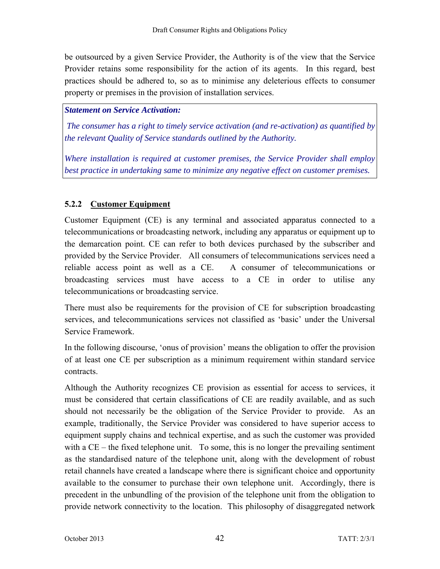be outsourced by a given Service Provider, the Authority is of the view that the Service Provider retains some responsibility for the action of its agents. In this regard, best practices should be adhered to, so as to minimise any deleterious effects to consumer property or premises in the provision of installation services.

#### *Statement on Service Activation:*

 *The consumer has a right to timely service activation (and re-activation) as quantified by the relevant Quality of Service standards outlined by the Authority.* 

*Where installation is required at customer premises, the Service Provider shall employ best practice in undertaking same to minimize any negative effect on customer premises.* 

## **5.2.2 Customer Equipment**

Customer Equipment (CE) is any terminal and associated apparatus connected to a telecommunications or broadcasting network, including any apparatus or equipment up to the demarcation point. CE can refer to both devices purchased by the subscriber and provided by the Service Provider. All consumers of telecommunications services need a reliable access point as well as a CE. A consumer of telecommunications or broadcasting services must have access to a CE in order to utilise any telecommunications or broadcasting service.

There must also be requirements for the provision of CE for subscription broadcasting services, and telecommunications services not classified as 'basic' under the Universal Service Framework.

In the following discourse, 'onus of provision' means the obligation to offer the provision of at least one CE per subscription as a minimum requirement within standard service contracts.

Although the Authority recognizes CE provision as essential for access to services, it must be considered that certain classifications of CE are readily available, and as such should not necessarily be the obligation of the Service Provider to provide. As an example, traditionally, the Service Provider was considered to have superior access to equipment supply chains and technical expertise, and as such the customer was provided with a CE – the fixed telephone unit. To some, this is no longer the prevailing sentiment as the standardised nature of the telephone unit, along with the development of robust retail channels have created a landscape where there is significant choice and opportunity available to the consumer to purchase their own telephone unit. Accordingly, there is precedent in the unbundling of the provision of the telephone unit from the obligation to provide network connectivity to the location. This philosophy of disaggregated network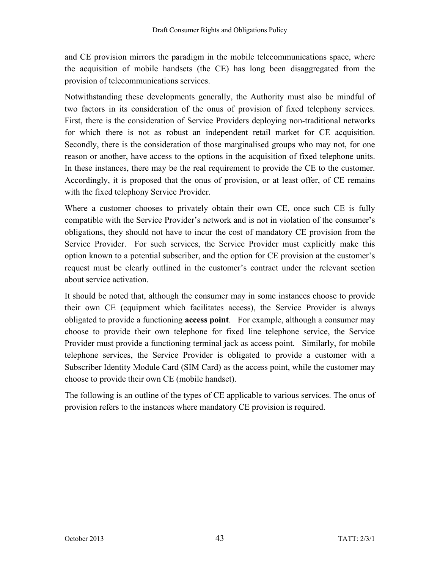and CE provision mirrors the paradigm in the mobile telecommunications space, where the acquisition of mobile handsets (the CE) has long been disaggregated from the provision of telecommunications services.

Notwithstanding these developments generally, the Authority must also be mindful of two factors in its consideration of the onus of provision of fixed telephony services. First, there is the consideration of Service Providers deploying non-traditional networks for which there is not as robust an independent retail market for CE acquisition. Secondly, there is the consideration of those marginalised groups who may not, for one reason or another, have access to the options in the acquisition of fixed telephone units. In these instances, there may be the real requirement to provide the CE to the customer. Accordingly, it is proposed that the onus of provision, or at least offer, of CE remains with the fixed telephony Service Provider.

Where a customer chooses to privately obtain their own CE, once such CE is fully compatible with the Service Provider's network and is not in violation of the consumer's obligations, they should not have to incur the cost of mandatory CE provision from the Service Provider. For such services, the Service Provider must explicitly make this option known to a potential subscriber, and the option for CE provision at the customer's request must be clearly outlined in the customer's contract under the relevant section about service activation.

It should be noted that, although the consumer may in some instances choose to provide their own CE (equipment which facilitates access), the Service Provider is always obligated to provide a functioning **access point**. For example, although a consumer may choose to provide their own telephone for fixed line telephone service, the Service Provider must provide a functioning terminal jack as access point. Similarly, for mobile telephone services, the Service Provider is obligated to provide a customer with a Subscriber Identity Module Card (SIM Card) as the access point, while the customer may choose to provide their own CE (mobile handset).

The following is an outline of the types of CE applicable to various services. The onus of provision refers to the instances where mandatory CE provision is required.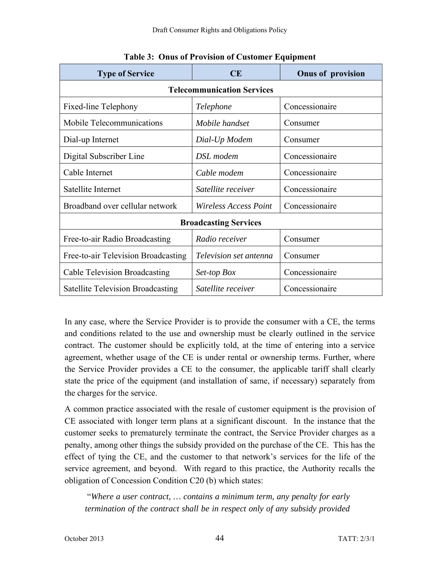| <b>Type of Service</b>                   | CE                     | <b>Onus of provision</b> |  |  |  |
|------------------------------------------|------------------------|--------------------------|--|--|--|
| <b>Telecommunication Services</b>        |                        |                          |  |  |  |
| Fixed-line Telephony                     | Telephone              | Concessionaire           |  |  |  |
| Mobile Telecommunications                | Mobile handset         | Consumer                 |  |  |  |
| Dial-up Internet                         | Dial-Up Modem          | Consumer                 |  |  |  |
| Digital Subscriber Line                  | DSL modem              | Concessionaire           |  |  |  |
| Cable Internet                           | Cable modem            | Concessionaire           |  |  |  |
| Satellite Internet                       | Satellite receiver     | Concessionaire           |  |  |  |
| Broadband over cellular network          | Wireless Access Point  | Concessionaire           |  |  |  |
| <b>Broadcasting Services</b>             |                        |                          |  |  |  |
| Free-to-air Radio Broadcasting           | Radio receiver         | Consumer                 |  |  |  |
| Free-to-air Television Broadcasting      | Television set antenna | Consumer                 |  |  |  |
| <b>Cable Television Broadcasting</b>     | Set-top Box            | Concessionaire           |  |  |  |
| <b>Satellite Television Broadcasting</b> | Satellite receiver     | Concessionaire           |  |  |  |

**Table 3: Onus of Provision of Customer Equipment** 

In any case, where the Service Provider is to provide the consumer with a CE, the terms and conditions related to the use and ownership must be clearly outlined in the service contract. The customer should be explicitly told, at the time of entering into a service agreement, whether usage of the CE is under rental or ownership terms. Further, where the Service Provider provides a CE to the consumer, the applicable tariff shall clearly state the price of the equipment (and installation of same, if necessary) separately from the charges for the service.

A common practice associated with the resale of customer equipment is the provision of CE associated with longer term plans at a significant discount. In the instance that the customer seeks to prematurely terminate the contract, the Service Provider charges as a penalty, among other things the subsidy provided on the purchase of the CE. This has the effect of tying the CE, and the customer to that network's services for the life of the service agreement, and beyond. With regard to this practice, the Authority recalls the obligation of Concession Condition C20 (b) which states:

 "*Where a user contract, … contains a minimum term, any penalty for early termination of the contract shall be in respect only of any subsidy provided*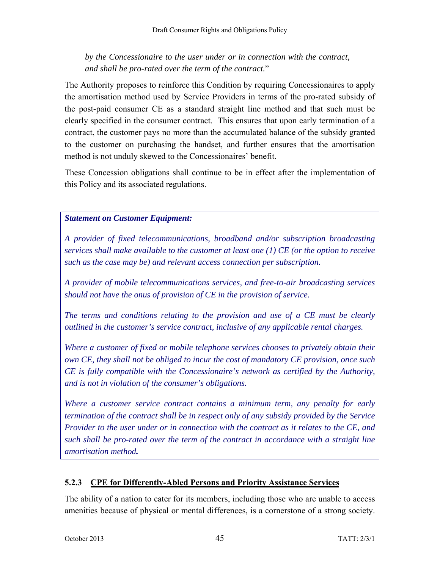# *by the Concessionaire to the user under or in connection with the contract, and shall be pro-rated over the term of the contract.*"

The Authority proposes to reinforce this Condition by requiring Concessionaires to apply the amortisation method used by Service Providers in terms of the pro-rated subsidy of the post-paid consumer CE as a standard straight line method and that such must be clearly specified in the consumer contract. This ensures that upon early termination of a contract, the customer pays no more than the accumulated balance of the subsidy granted to the customer on purchasing the handset, and further ensures that the amortisation method is not unduly skewed to the Concessionaires' benefit.

These Concession obligations shall continue to be in effect after the implementation of this Policy and its associated regulations.

# *Statement on Customer Equipment:*

*A provider of fixed telecommunications, broadband and/or subscription broadcasting services shall make available to the customer at least one (1) CE (or the option to receive such as the case may be) and relevant access connection per subscription.* 

*A provider of mobile telecommunications services, and free-to-air broadcasting services should not have the onus of provision of CE in the provision of service.* 

*The terms and conditions relating to the provision and use of a CE must be clearly outlined in the customer's service contract, inclusive of any applicable rental charges.* 

*Where a customer of fixed or mobile telephone services chooses to privately obtain their own CE, they shall not be obliged to incur the cost of mandatory CE provision, once such CE is fully compatible with the Concessionaire's network as certified by the Authority, and is not in violation of the consumer's obligations.* 

*Where a customer service contract contains a minimum term, any penalty for early termination of the contract shall be in respect only of any subsidy provided by the Service Provider to the user under or in connection with the contract as it relates to the CE, and such shall be pro-rated over the term of the contract in accordance with a straight line amortisation method.* 

# **5.2.3 CPE for Differently-Abled Persons and Priority Assistance Services**

The ability of a nation to cater for its members, including those who are unable to access amenities because of physical or mental differences, is a cornerstone of a strong society.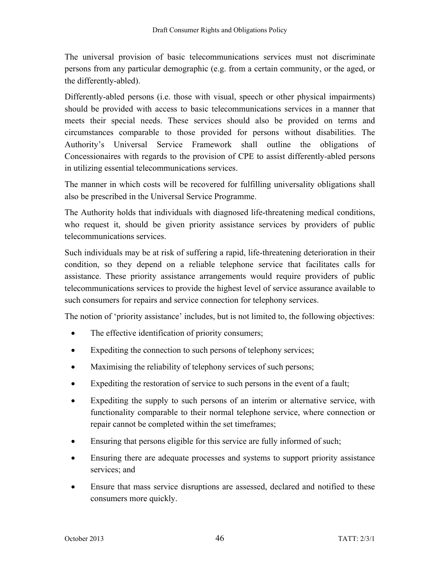The universal provision of basic telecommunications services must not discriminate persons from any particular demographic (e.g. from a certain community, or the aged, or the differently-abled).

Differently-abled persons (i.e. those with visual, speech or other physical impairments) should be provided with access to basic telecommunications services in a manner that meets their special needs. These services should also be provided on terms and circumstances comparable to those provided for persons without disabilities. The Authority's Universal Service Framework shall outline the obligations of Concessionaires with regards to the provision of CPE to assist differently-abled persons in utilizing essential telecommunications services.

The manner in which costs will be recovered for fulfilling universality obligations shall also be prescribed in the Universal Service Programme.

The Authority holds that individuals with diagnosed life-threatening medical conditions, who request it, should be given priority assistance services by providers of public telecommunications services.

Such individuals may be at risk of suffering a rapid, life-threatening deterioration in their condition, so they depend on a reliable telephone service that facilitates calls for assistance. These priority assistance arrangements would require providers of public telecommunications services to provide the highest level of service assurance available to such consumers for repairs and service connection for telephony services.

The notion of 'priority assistance' includes, but is not limited to, the following objectives:

- The effective identification of priority consumers;
- Expediting the connection to such persons of telephony services;
- Maximising the reliability of telephony services of such persons;
- Expediting the restoration of service to such persons in the event of a fault;
- Expediting the supply to such persons of an interim or alternative service, with functionality comparable to their normal telephone service, where connection or repair cannot be completed within the set timeframes;
- Ensuring that persons eligible for this service are fully informed of such;
- Ensuring there are adequate processes and systems to support priority assistance services; and
- Ensure that mass service disruptions are assessed, declared and notified to these consumers more quickly.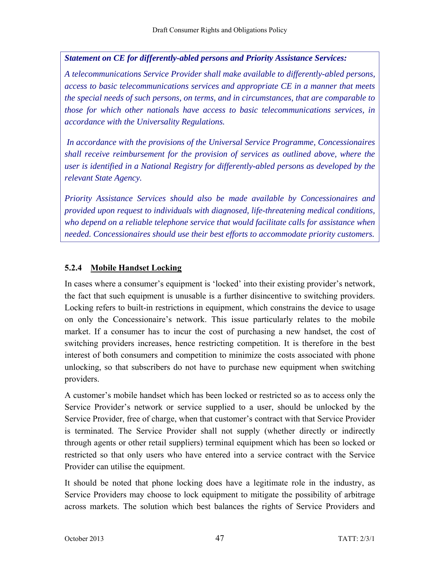## *Statement on CE for differently-abled persons and Priority Assistance Services:*

*A telecommunications Service Provider shall make available to differently-abled persons, access to basic telecommunications services and appropriate CE in a manner that meets the special needs of such persons, on terms, and in circumstances, that are comparable to those for which other nationals have access to basic telecommunications services, in accordance with the Universality Regulations.* 

 *In accordance with the provisions of the Universal Service Programme, Concessionaires shall receive reimbursement for the provision of services as outlined above, where the user is identified in a National Registry for differently-abled persons as developed by the relevant State Agency.* 

*Priority Assistance Services should also be made available by Concessionaires and provided upon request to individuals with diagnosed, life-threatening medical conditions, who depend on a reliable telephone service that would facilitate calls for assistance when needed. Concessionaires should use their best efforts to accommodate priority customers.* 

## **5.2.4 Mobile Handset Locking**

In cases where a consumer's equipment is 'locked' into their existing provider's network, the fact that such equipment is unusable is a further disincentive to switching providers. Locking refers to built-in restrictions in equipment, which constrains the device to usage on only the Concessionaire's network. This issue particularly relates to the mobile market. If a consumer has to incur the cost of purchasing a new handset, the cost of switching providers increases, hence restricting competition. It is therefore in the best interest of both consumers and competition to minimize the costs associated with phone unlocking, so that subscribers do not have to purchase new equipment when switching providers.

A customer's mobile handset which has been locked or restricted so as to access only the Service Provider's network or service supplied to a user, should be unlocked by the Service Provider, free of charge, when that customer's contract with that Service Provider is terminated. The Service Provider shall not supply (whether directly or indirectly through agents or other retail suppliers) terminal equipment which has been so locked or restricted so that only users who have entered into a service contract with the Service Provider can utilise the equipment.

It should be noted that phone locking does have a legitimate role in the industry, as Service Providers may choose to lock equipment to mitigate the possibility of arbitrage across markets. The solution which best balances the rights of Service Providers and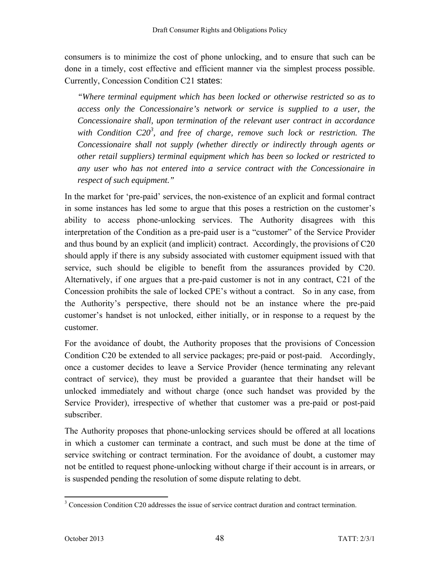consumers is to minimize the cost of phone unlocking, and to ensure that such can be done in a timely, cost effective and efficient manner via the simplest process possible. Currently, Concession Condition C21 states:

*"Where terminal equipment which has been locked or otherwise restricted so as to access only the Concessionaire's network or service is supplied to a user, the Concessionaire shall, upon termination of the relevant user contract in accordance*  with Condition C20<sup>3</sup>, and free of charge, remove such lock or restriction. The *Concessionaire shall not supply (whether directly or indirectly through agents or other retail suppliers) terminal equipment which has been so locked or restricted to any user who has not entered into a service contract with the Concessionaire in respect of such equipment."* 

In the market for 'pre-paid' services, the non-existence of an explicit and formal contract in some instances has led some to argue that this poses a restriction on the customer's ability to access phone-unlocking services. The Authority disagrees with this interpretation of the Condition as a pre-paid user is a "customer" of the Service Provider and thus bound by an explicit (and implicit) contract. Accordingly, the provisions of C20 should apply if there is any subsidy associated with customer equipment issued with that service, such should be eligible to benefit from the assurances provided by C20. Alternatively, if one argues that a pre-paid customer is not in any contract, C21 of the Concession prohibits the sale of locked CPE's without a contract. So in any case, from the Authority's perspective, there should not be an instance where the pre-paid customer's handset is not unlocked, either initially, or in response to a request by the customer.

For the avoidance of doubt, the Authority proposes that the provisions of Concession Condition C20 be extended to all service packages; pre-paid or post-paid. Accordingly, once a customer decides to leave a Service Provider (hence terminating any relevant contract of service), they must be provided a guarantee that their handset will be unlocked immediately and without charge (once such handset was provided by the Service Provider), irrespective of whether that customer was a pre-paid or post-paid subscriber.

The Authority proposes that phone-unlocking services should be offered at all locations in which a customer can terminate a contract, and such must be done at the time of service switching or contract termination. For the avoidance of doubt, a customer may not be entitled to request phone-unlocking without charge if their account is in arrears, or is suspended pending the resolution of some dispute relating to debt.

<sup>&</sup>lt;sup>3</sup> Concession Condition C20 addresses the issue of service contract duration and contract termination.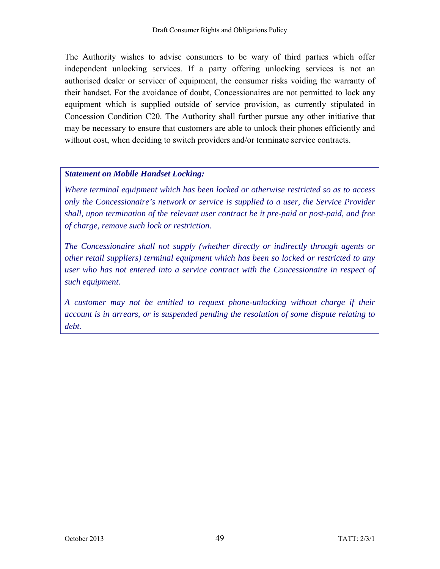The Authority wishes to advise consumers to be wary of third parties which offer independent unlocking services. If a party offering unlocking services is not an authorised dealer or servicer of equipment, the consumer risks voiding the warranty of their handset. For the avoidance of doubt, Concessionaires are not permitted to lock any equipment which is supplied outside of service provision, as currently stipulated in Concession Condition C20. The Authority shall further pursue any other initiative that may be necessary to ensure that customers are able to unlock their phones efficiently and without cost, when deciding to switch providers and/or terminate service contracts.

#### *Statement on Mobile Handset Locking:*

*Where terminal equipment which has been locked or otherwise restricted so as to access only the Concessionaire's network or service is supplied to a user, the Service Provider shall, upon termination of the relevant user contract be it pre-paid or post-paid, and free of charge, remove such lock or restriction.* 

*The Concessionaire shall not supply (whether directly or indirectly through agents or other retail suppliers) terminal equipment which has been so locked or restricted to any user who has not entered into a service contract with the Concessionaire in respect of such equipment.* 

*A customer may not be entitled to request phone-unlocking without charge if their account is in arrears, or is suspended pending the resolution of some dispute relating to debt.*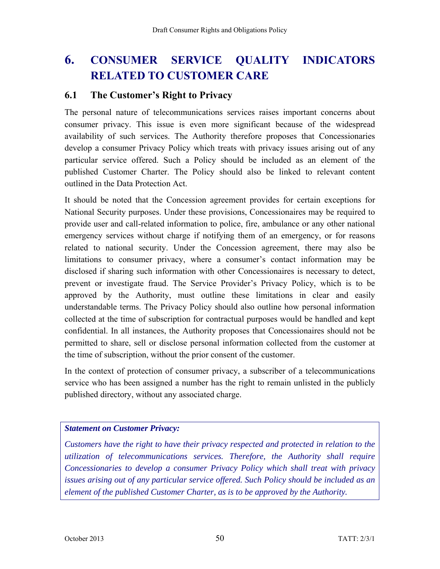# **6. CONSUMER SERVICE QUALITY INDICATORS RELATED TO CUSTOMER CARE**

# **6.1 The Customer's Right to Privacy**

The personal nature of telecommunications services raises important concerns about consumer privacy. This issue is even more significant because of the widespread availability of such services. The Authority therefore proposes that Concessionaries develop a consumer Privacy Policy which treats with privacy issues arising out of any particular service offered. Such a Policy should be included as an element of the published Customer Charter. The Policy should also be linked to relevant content outlined in the Data Protection Act.

It should be noted that the Concession agreement provides for certain exceptions for National Security purposes. Under these provisions, Concessionaires may be required to provide user and call-related information to police, fire, ambulance or any other national emergency services without charge if notifying them of an emergency, or for reasons related to national security. Under the Concession agreement, there may also be limitations to consumer privacy, where a consumer's contact information may be disclosed if sharing such information with other Concessionaires is necessary to detect, prevent or investigate fraud. The Service Provider's Privacy Policy, which is to be approved by the Authority, must outline these limitations in clear and easily understandable terms. The Privacy Policy should also outline how personal information collected at the time of subscription for contractual purposes would be handled and kept confidential. In all instances, the Authority proposes that Concessionaires should not be permitted to share, sell or disclose personal information collected from the customer at the time of subscription, without the prior consent of the customer.

In the context of protection of consumer privacy, a subscriber of a telecommunications service who has been assigned a number has the right to remain unlisted in the publicly published directory, without any associated charge.

#### *Statement on Customer Privacy:*

*Customers have the right to have their privacy respected and protected in relation to the utilization of telecommunications services. Therefore, the Authority shall require Concessionaries to develop a consumer Privacy Policy which shall treat with privacy issues arising out of any particular service offered. Such Policy should be included as an element of the published Customer Charter, as is to be approved by the Authority.*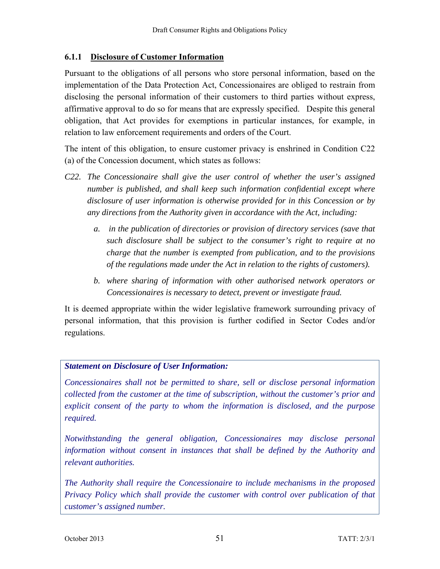# **6.1.1 Disclosure of Customer Information**

Pursuant to the obligations of all persons who store personal information, based on the implementation of the Data Protection Act, Concessionaires are obliged to restrain from disclosing the personal information of their customers to third parties without express, affirmative approval to do so for means that are expressly specified. Despite this general obligation, that Act provides for exemptions in particular instances, for example, in relation to law enforcement requirements and orders of the Court.

The intent of this obligation, to ensure customer privacy is enshrined in Condition C22 (a) of the Concession document, which states as follows:

- *C22. The Concessionaire shall give the user control of whether the user's assigned number is published, and shall keep such information confidential except where disclosure of user information is otherwise provided for in this Concession or by any directions from the Authority given in accordance with the Act, including:* 
	- *a. in the publication of directories or provision of directory services (save that such disclosure shall be subject to the consumer's right to require at no charge that the number is exempted from publication, and to the provisions of the regulations made under the Act in relation to the rights of customers).*
	- *b. where sharing of information with other authorised network operators or Concessionaires is necessary to detect, prevent or investigate fraud.*

It is deemed appropriate within the wider legislative framework surrounding privacy of personal information, that this provision is further codified in Sector Codes and/or regulations.

# *Statement on Disclosure of User Information:*

*Concessionaires shall not be permitted to share, sell or disclose personal information collected from the customer at the time of subscription, without the customer's prior and explicit consent of the party to whom the information is disclosed, and the purpose required.* 

*Notwithstanding the general obligation, Concessionaires may disclose personal information without consent in instances that shall be defined by the Authority and relevant authorities.* 

*The Authority shall require the Concessionaire to include mechanisms in the proposed Privacy Policy which shall provide the customer with control over publication of that customer's assigned number.*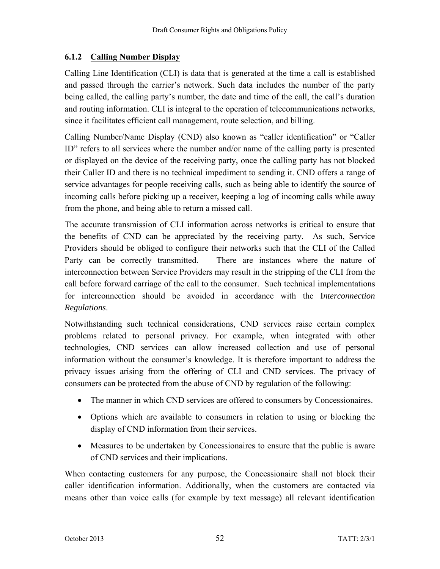# **6.1.2 Calling Number Display**

Calling Line Identification (CLI) is data that is generated at the time a call is established and passed through the carrier's network. Such data includes the number of the party being called, the calling party's number, the date and time of the call, the call's duration and routing information. CLI is integral to the operation of telecommunications networks, since it facilitates efficient call management, route selection, and billing.

Calling Number/Name Display (CND) also known as "caller identification" or "Caller ID" refers to all services where the number and/or name of the calling party is presented or displayed on the device of the receiving party, once the calling party has not blocked their Caller ID and there is no technical impediment to sending it. CND offers a range of service advantages for people receiving calls, such as being able to identify the source of incoming calls before picking up a receiver, keeping a log of incoming calls while away from the phone, and being able to return a missed call.

The accurate transmission of CLI information across networks is critical to ensure that the benefits of CND can be appreciated by the receiving party. As such, Service Providers should be obliged to configure their networks such that the CLI of the Called Party can be correctly transmitted. There are instances where the nature of interconnection between Service Providers may result in the stripping of the CLI from the call before forward carriage of the call to the consumer. Such technical implementations for interconnection should be avoided in accordance with the I*nterconnection Regulations*.

Notwithstanding such technical considerations, CND services raise certain complex problems related to personal privacy. For example, when integrated with other technologies, CND services can allow increased collection and use of personal information without the consumer's knowledge. It is therefore important to address the privacy issues arising from the offering of CLI and CND services. The privacy of consumers can be protected from the abuse of CND by regulation of the following:

- The manner in which CND services are offered to consumers by Concessionaires.
- Options which are available to consumers in relation to using or blocking the display of CND information from their services.
- Measures to be undertaken by Concessionaires to ensure that the public is aware of CND services and their implications.

When contacting customers for any purpose, the Concessionaire shall not block their caller identification information. Additionally, when the customers are contacted via means other than voice calls (for example by text message) all relevant identification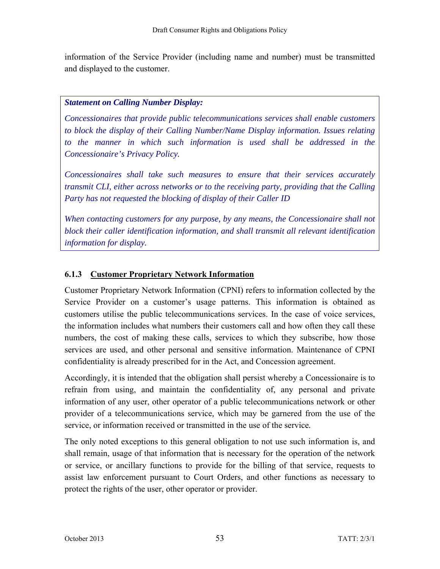information of the Service Provider (including name and number) must be transmitted and displayed to the customer.

## *Statement on Calling Number Display:*

*Concessionaires that provide public telecommunications services shall enable customers to block the display of their Calling Number/Name Display information. Issues relating to the manner in which such information is used shall be addressed in the Concessionaire's Privacy Policy.* 

*Concessionaires shall take such measures to ensure that their services accurately transmit CLI, either across networks or to the receiving party, providing that the Calling Party has not requested the blocking of display of their Caller ID* 

*When contacting customers for any purpose, by any means, the Concessionaire shall not block their caller identification information, and shall transmit all relevant identification information for display.* 

# **6.1.3 Customer Proprietary Network Information**

Customer Proprietary Network Information (CPNI) refers to information collected by the Service Provider on a customer's usage patterns. This information is obtained as customers utilise the public telecommunications services. In the case of voice services, the information includes what numbers their customers call and how often they call these numbers, the cost of making these calls, services to which they subscribe, how those services are used, and other personal and sensitive information. Maintenance of CPNI confidentiality is already prescribed for in the Act, and Concession agreement.

Accordingly, it is intended that the obligation shall persist whereby a Concessionaire is to refrain from using, and maintain the confidentiality of, any personal and private information of any user, other operator of a public telecommunications network or other provider of a telecommunications service*,* which may be garnered from the use of the service, or information received or transmitted in the use of the service*.* 

The only noted exceptions to this general obligation to not use such information is, and shall remain, usage of that information that is necessary for the operation of the network or service, or ancillary functions to provide for the billing of that service, requests to assist law enforcement pursuant to Court Orders, and other functions as necessary to protect the rights of the user, other operator or provider.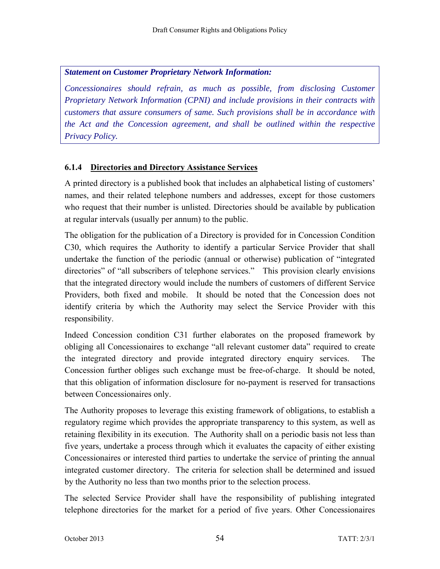*Statement on Customer Proprietary Network Information:* 

*Concessionaires should refrain, as much as possible, from disclosing Customer Proprietary Network Information (CPNI) and include provisions in their contracts with customers that assure consumers of same. Such provisions shall be in accordance with the Act and the Concession agreement, and shall be outlined within the respective Privacy Policy.*

# **6.1.4 Directories and Directory Assistance Services**

A printed directory is a published book that includes an alphabetical listing of customers' names, and their related telephone numbers and addresses, except for those customers who request that their number is unlisted. Directories should be available by publication at regular intervals (usually per annum) to the public.

The obligation for the publication of a Directory is provided for in Concession Condition C30, which requires the Authority to identify a particular Service Provider that shall undertake the function of the periodic (annual or otherwise) publication of "integrated directories" of "all subscribers of telephone services." This provision clearly envisions that the integrated directory would include the numbers of customers of different Service Providers, both fixed and mobile. It should be noted that the Concession does not identify criteria by which the Authority may select the Service Provider with this responsibility.

Indeed Concession condition C31 further elaborates on the proposed framework by obliging all Concessionaires to exchange "all relevant customer data" required to create the integrated directory and provide integrated directory enquiry services. The Concession further obliges such exchange must be free-of-charge. It should be noted, that this obligation of information disclosure for no-payment is reserved for transactions between Concessionaires only.

The Authority proposes to leverage this existing framework of obligations, to establish a regulatory regime which provides the appropriate transparency to this system, as well as retaining flexibility in its execution. The Authority shall on a periodic basis not less than five years, undertake a process through which it evaluates the capacity of either existing Concessionaires or interested third parties to undertake the service of printing the annual integrated customer directory. The criteria for selection shall be determined and issued by the Authority no less than two months prior to the selection process.

The selected Service Provider shall have the responsibility of publishing integrated telephone directories for the market for a period of five years. Other Concessionaires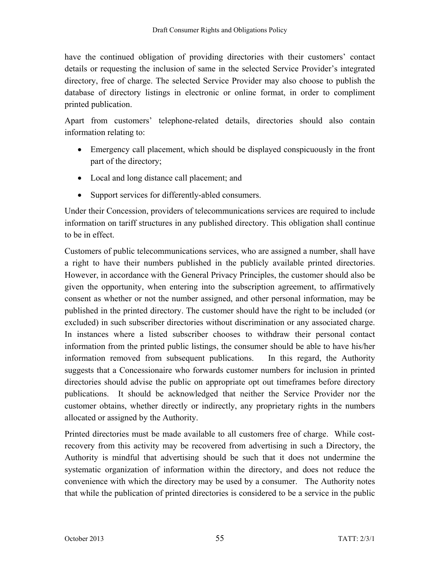have the continued obligation of providing directories with their customers' contact details or requesting the inclusion of same in the selected Service Provider's integrated directory, free of charge. The selected Service Provider may also choose to publish the database of directory listings in electronic or online format, in order to compliment printed publication.

Apart from customers' telephone-related details, directories should also contain information relating to:

- Emergency call placement, which should be displayed conspicuously in the front part of the directory;
- Local and long distance call placement; and
- Support services for differently-abled consumers.

Under their Concession, providers of telecommunications services are required to include information on tariff structures in any published directory. This obligation shall continue to be in effect.

Customers of public telecommunications services, who are assigned a number, shall have a right to have their numbers published in the publicly available printed directories. However, in accordance with the General Privacy Principles, the customer should also be given the opportunity, when entering into the subscription agreement, to affirmatively consent as whether or not the number assigned, and other personal information, may be published in the printed directory. The customer should have the right to be included (or excluded) in such subscriber directories without discrimination or any associated charge. In instances where a listed subscriber chooses to withdraw their personal contact information from the printed public listings, the consumer should be able to have his/her information removed from subsequent publications. In this regard, the Authority suggests that a Concessionaire who forwards customer numbers for inclusion in printed directories should advise the public on appropriate opt out timeframes before directory publications. It should be acknowledged that neither the Service Provider nor the customer obtains, whether directly or indirectly, any proprietary rights in the numbers allocated or assigned by the Authority.

Printed directories must be made available to all customers free of charge. While costrecovery from this activity may be recovered from advertising in such a Directory, the Authority is mindful that advertising should be such that it does not undermine the systematic organization of information within the directory, and does not reduce the convenience with which the directory may be used by a consumer. The Authority notes that while the publication of printed directories is considered to be a service in the public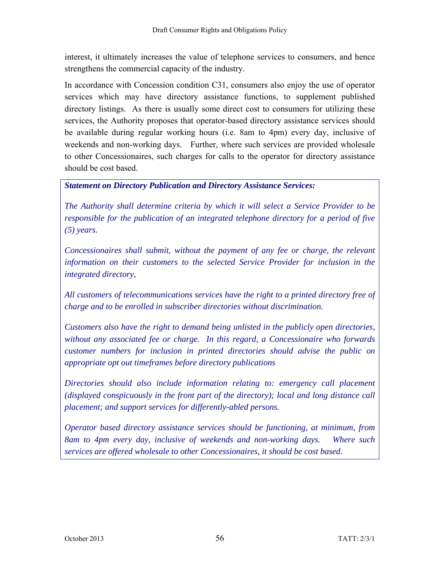interest, it ultimately increases the value of telephone services to consumers, and hence strengthens the commercial capacity of the industry.

In accordance with Concession condition C31, consumers also enjoy the use of operator services which may have directory assistance functions, to supplement published directory listings.As there is usually some direct cost to consumers for utilizing these services, the Authority proposes that operator-based directory assistance services should be available during regular working hours (i.e. 8am to 4pm) every day, inclusive of weekends and non-working days. Further, where such services are provided wholesale to other Concessionaires, such charges for calls to the operator for directory assistance should be cost based.

## *Statement on Directory Publication and Directory Assistance Services:*

*The Authority shall determine criteria by which it will select a Service Provider to be responsible for the publication of an integrated telephone directory for a period of five (5) years.* 

*Concessionaires shall submit, without the payment of any fee or charge, the relevant information on their customers to the selected Service Provider for inclusion in the integrated directory,* 

*All customers of telecommunications services have the right to a printed directory free of charge and to be enrolled in subscriber directories without discrimination.* 

*Customers also have the right to demand being unlisted in the publicly open directories, without any associated fee or charge. In this regard, a Concessionaire who forwards customer numbers for inclusion in printed directories should advise the public on appropriate opt out timeframes before directory publications* 

*Directories should also include information relating to: emergency call placement (displayed conspicuously in the front part of the directory); local and long distance call placement; and support services for differently-abled persons.* 

*Operator based directory assistance services should be functioning, at minimum, from 8am to 4pm every day, inclusive of weekends and non-working days. Where such services are offered wholesale to other Concessionaires, it should be cost based.*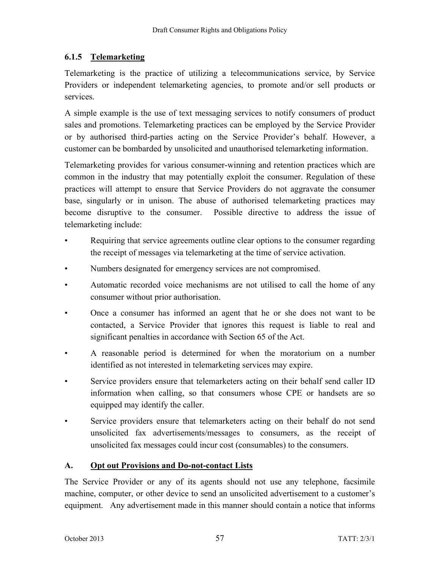# **6.1.5 Telemarketing**

Telemarketing is the practice of utilizing a telecommunications service, by Service Providers or independent telemarketing agencies, to promote and/or sell products or services.

A simple example is the use of text messaging services to notify consumers of product sales and promotions. Telemarketing practices can be employed by the Service Provider or by authorised third-parties acting on the Service Provider's behalf. However, a customer can be bombarded by unsolicited and unauthorised telemarketing information.

Telemarketing provides for various consumer-winning and retention practices which are common in the industry that may potentially exploit the consumer. Regulation of these practices will attempt to ensure that Service Providers do not aggravate the consumer base, singularly or in unison. The abuse of authorised telemarketing practices may become disruptive to the consumer. Possible directive to address the issue of telemarketing include:

- Requiring that service agreements outline clear options to the consumer regarding the receipt of messages via telemarketing at the time of service activation.
- Numbers designated for emergency services are not compromised.
- Automatic recorded voice mechanisms are not utilised to call the home of any consumer without prior authorisation.
- Once a consumer has informed an agent that he or she does not want to be contacted, a Service Provider that ignores this request is liable to real and significant penalties in accordance with Section 65 of the Act.
- A reasonable period is determined for when the moratorium on a number identified as not interested in telemarketing services may expire.
- Service providers ensure that telemarketers acting on their behalf send caller ID information when calling, so that consumers whose CPE or handsets are so equipped may identify the caller.
- Service providers ensure that telemarketers acting on their behalf do not send unsolicited fax advertisements/messages to consumers, as the receipt of unsolicited fax messages could incur cost (consumables) to the consumers.

# **A. Opt out Provisions and Do-not-contact Lists**

The Service Provider or any of its agents should not use any telephone, facsimile machine, computer, or other device to send an unsolicited advertisement to a customer's equipment. Any advertisement made in this manner should contain a notice that informs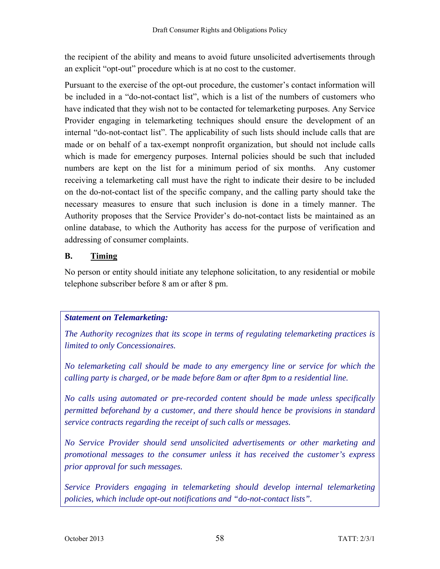the recipient of the ability and means to avoid future unsolicited advertisements through an explicit "opt-out" procedure which is at no cost to the customer.

Pursuant to the exercise of the opt-out procedure, the customer's contact information will be included in a "do-not-contact list", which is a list of the numbers of customers who have indicated that they wish not to be contacted for telemarketing purposes. Any Service Provider engaging in telemarketing techniques should ensure the development of an internal "do-not-contact list". The applicability of such lists should include calls that are made or on behalf of a tax-exempt nonprofit organization, but should not include calls which is made for emergency purposes. Internal policies should be such that included numbers are kept on the list for a minimum period of six months. Any customer receiving a telemarketing call must have the right to indicate their desire to be included on the do-not-contact list of the specific company, and the calling party should take the necessary measures to ensure that such inclusion is done in a timely manner. The Authority proposes that the Service Provider's do-not-contact lists be maintained as an online database, to which the Authority has access for the purpose of verification and addressing of consumer complaints.

# **B. Timing**

No person or entity should initiate any telephone solicitation, to any residential or mobile telephone subscriber before 8 am or after 8 pm.

# *Statement on Telemarketing:*

*The Authority recognizes that its scope in terms of regulating telemarketing practices is limited to only Concessionaires.* 

*No telemarketing call should be made to any emergency line or service for which the calling party is charged, or be made before 8am or after 8pm to a residential line.* 

*No calls using automated or pre-recorded content should be made unless specifically permitted beforehand by a customer, and there should hence be provisions in standard service contracts regarding the receipt of such calls or messages.* 

*No Service Provider should send unsolicited advertisements or other marketing and promotional messages to the consumer unless it has received the customer's express prior approval for such messages.* 

*Service Providers engaging in telemarketing should develop internal telemarketing policies, which include opt-out notifications and "do-not-contact lists".*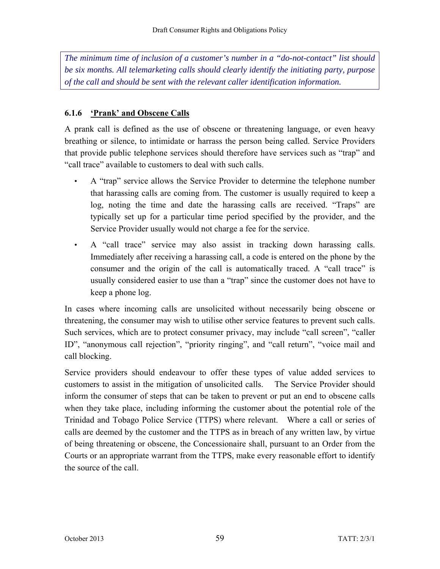*The minimum time of inclusion of a customer's number in a "do-not-contact" list should be six months. All telemarketing calls should clearly identify the initiating party, purpose of the call and should be sent with the relevant caller identification information.* 

## **6.1.6 'Prank' and Obscene Calls**

A prank call is defined as the use of obscene or threatening language, or even heavy breathing or silence, to intimidate or harrass the person being called. Service Providers that provide public telephone services should therefore have services such as "trap" and "call trace" available to customers to deal with such calls.

- A "trap" service allows the Service Provider to determine the telephone number that harassing calls are coming from. The customer is usually required to keep a log, noting the time and date the harassing calls are received. "Traps" are typically set up for a particular time period specified by the provider, and the Service Provider usually would not charge a fee for the service.
- A "call trace" service may also assist in tracking down harassing calls. Immediately after receiving a harassing call, a code is entered on the phone by the consumer and the origin of the call is automatically traced. A "call trace" is usually considered easier to use than a "trap" since the customer does not have to keep a phone log.

In cases where incoming calls are unsolicited without necessarily being obscene or threatening, the consumer may wish to utilise other service features to prevent such calls. Such services, which are to protect consumer privacy, may include "call screen", "caller ID", "anonymous call rejection", "priority ringing", and "call return", "voice mail and call blocking.

Service providers should endeavour to offer these types of value added services to customers to assist in the mitigation of unsolicited calls. The Service Provider should inform the consumer of steps that can be taken to prevent or put an end to obscene calls when they take place, including informing the customer about the potential role of the Trinidad and Tobago Police Service (TTPS) where relevant. Where a call or series of calls are deemed by the customer and the TTPS as in breach of any written law, by virtue of being threatening or obscene, the Concessionaire shall, pursuant to an Order from the Courts or an appropriate warrant from the TTPS, make every reasonable effort to identify the source of the call.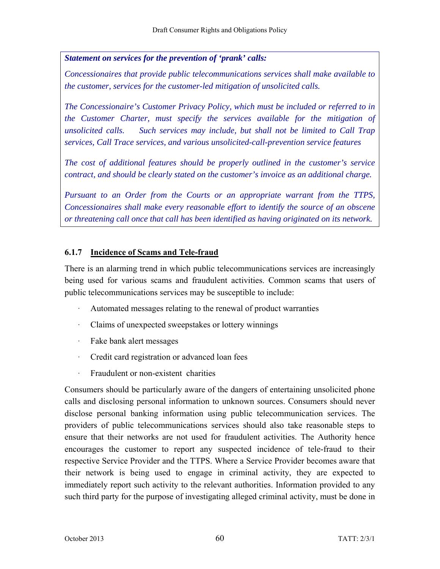*Statement on services for the prevention of 'prank' calls:*

*Concessionaires that provide public telecommunications services shall make available to the customer, services for the customer-led mitigation of unsolicited calls.* 

*The Concessionaire's Customer Privacy Policy, which must be included or referred to in the Customer Charter, must specify the services available for the mitigation of unsolicited calls. Such services may include, but shall not be limited to Call Trap services, Call Trace services, and various unsolicited-call-prevention service features* 

*The cost of additional features should be properly outlined in the customer's service contract, and should be clearly stated on the customer's invoice as an additional charge.* 

*Pursuant to an Order from the Courts or an appropriate warrant from the TTPS, Concessionaires shall make every reasonable effort to identify the source of an obscene or threatening call once that call has been identified as having originated on its network.* 

## **6.1.7 Incidence of Scams and Tele-fraud**

There is an alarming trend in which public telecommunications services are increasingly being used for various scams and fraudulent activities. Common scams that users of public telecommunications services may be susceptible to include:

- Automated messages relating to the renewal of product warranties
- Claims of unexpected sweepstakes or lottery winnings
- · Fake bank alert messages
- · Credit card registration or advanced loan fees
- · Fraudulent or non-existent charities

Consumers should be particularly aware of the dangers of entertaining unsolicited phone calls and disclosing personal information to unknown sources. Consumers should never disclose personal banking information using public telecommunication services. The providers of public telecommunications services should also take reasonable steps to ensure that their networks are not used for fraudulent activities. The Authority hence encourages the customer to report any suspected incidence of tele-fraud to their respective Service Provider and the TTPS. Where a Service Provider becomes aware that their network is being used to engage in criminal activity, they are expected to immediately report such activity to the relevant authorities. Information provided to any such third party for the purpose of investigating alleged criminal activity, must be done in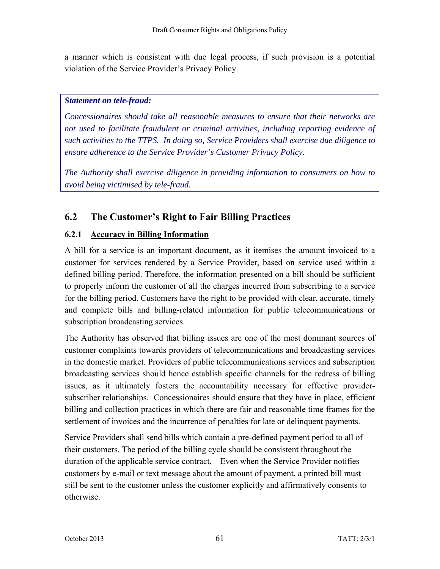a manner which is consistent with due legal process, if such provision is a potential violation of the Service Provider's Privacy Policy.

#### *Statement on tele-fraud:*

*Concessionaires should take all reasonable measures to ensure that their networks are not used to facilitate fraudulent or criminal activities, including reporting evidence of such activities to the TTPS. In doing so, Service Providers shall exercise due diligence to ensure adherence to the Service Provider's Customer Privacy Policy.* 

*The Authority shall exercise diligence in providing information to consumers on how to avoid being victimised by tele-fraud.* 

# **6.2 The Customer's Right to Fair Billing Practices**

# **6.2.1 Accuracy in Billing Information**

A bill for a service is an important document, as it itemises the amount invoiced to a customer for services rendered by a Service Provider, based on service used within a defined billing period. Therefore, the information presented on a bill should be sufficient to properly inform the customer of all the charges incurred from subscribing to a service for the billing period. Customers have the right to be provided with clear, accurate, timely and complete bills and billing-related information for public telecommunications or subscription broadcasting services.

The Authority has observed that billing issues are one of the most dominant sources of customer complaints towards providers of telecommunications and broadcasting services in the domestic market. Providers of public telecommunications services and subscription broadcasting services should hence establish specific channels for the redress of billing issues, as it ultimately fosters the accountability necessary for effective providersubscriber relationships. Concessionaires should ensure that they have in place, efficient billing and collection practices in which there are fair and reasonable time frames for the settlement of invoices and the incurrence of penalties for late or delinquent payments.

Service Providers shall send bills which contain a pre-defined payment period to all of their customers. The period of the billing cycle should be consistent throughout the duration of the applicable service contract. Even when the Service Provider notifies customers by e-mail or text message about the amount of payment, a printed bill must still be sent to the customer unless the customer explicitly and affirmatively consents to otherwise.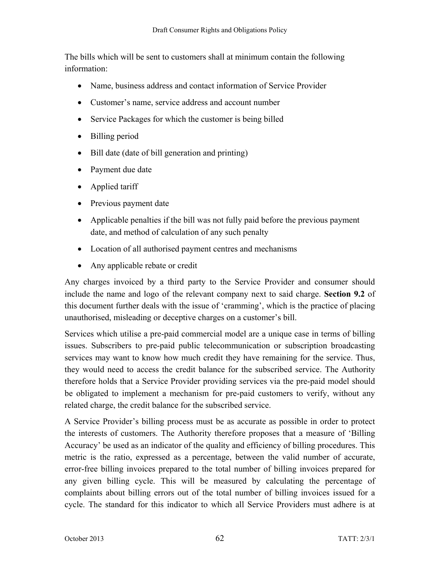The bills which will be sent to customers shall at minimum contain the following information:

- Name, business address and contact information of Service Provider
- Customer's name, service address and account number
- Service Packages for which the customer is being billed
- Billing period
- Bill date (date of bill generation and printing)
- Payment due date
- Applied tariff
- Previous payment date
- Applicable penalties if the bill was not fully paid before the previous payment date, and method of calculation of any such penalty
- Location of all authorised payment centres and mechanisms
- Any applicable rebate or credit

Any charges invoiced by a third party to the Service Provider and consumer should include the name and logo of the relevant company next to said charge. **Section 9.2** of this document further deals with the issue of 'cramming', which is the practice of placing unauthorised, misleading or deceptive charges on a customer's bill.

Services which utilise a pre-paid commercial model are a unique case in terms of billing issues. Subscribers to pre-paid public telecommunication or subscription broadcasting services may want to know how much credit they have remaining for the service. Thus, they would need to access the credit balance for the subscribed service. The Authority therefore holds that a Service Provider providing services via the pre-paid model should be obligated to implement a mechanism for pre-paid customers to verify, without any related charge, the credit balance for the subscribed service.

A Service Provider's billing process must be as accurate as possible in order to protect the interests of customers. The Authority therefore proposes that a measure of 'Billing Accuracy' be used as an indicator of the quality and efficiency of billing procedures. This metric is the ratio, expressed as a percentage, between the valid number of accurate, error-free billing invoices prepared to the total number of billing invoices prepared for any given billing cycle. This will be measured by calculating the percentage of complaints about billing errors out of the total number of billing invoices issued for a cycle. The standard for this indicator to which all Service Providers must adhere is at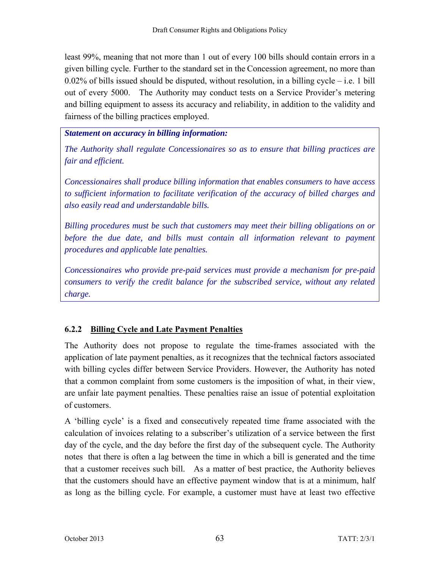least 99%, meaning that not more than 1 out of every 100 bills should contain errors in a given billing cycle. Further to the standard set in the Concession agreement, no more than  $0.02\%$  of bills issued should be disputed, without resolution, in a billing cycle – i.e. 1 bill out of every 5000. The Authority may conduct tests on a Service Provider's metering and billing equipment to assess its accuracy and reliability, in addition to the validity and fairness of the billing practices employed.

## *Statement on accuracy in billing information:*

*The Authority shall regulate Concessionaires so as to ensure that billing practices are fair and efficient.* 

*Concessionaires shall produce billing information that enables consumers to have access to sufficient information to facilitate verification of the accuracy of billed charges and also easily read and understandable bills.* 

*Billing procedures must be such that customers may meet their billing obligations on or before the due date, and bills must contain all information relevant to payment procedures and applicable late penalties.* 

*Concessionaires who provide pre-paid services must provide a mechanism for pre-paid consumers to verify the credit balance for the subscribed service, without any related charge.* 

# **6.2.2 Billing Cycle and Late Payment Penalties**

The Authority does not propose to regulate the time-frames associated with the application of late payment penalties, as it recognizes that the technical factors associated with billing cycles differ between Service Providers. However, the Authority has noted that a common complaint from some customers is the imposition of what, in their view, are unfair late payment penalties. These penalties raise an issue of potential exploitation of customers.

A 'billing cycle' is a fixed and consecutively repeated time frame associated with the calculation of invoices relating to a subscriber's utilization of a service between the first day of the cycle, and the day before the first day of the subsequent cycle. The Authority notes that there is often a lag between the time in which a bill is generated and the time that a customer receives such bill. As a matter of best practice, the Authority believes that the customers should have an effective payment window that is at a minimum, half as long as the billing cycle. For example, a customer must have at least two effective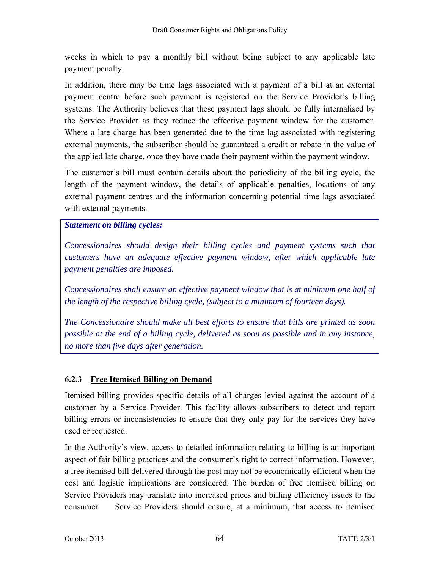weeks in which to pay a monthly bill without being subject to any applicable late payment penalty.

In addition, there may be time lags associated with a payment of a bill at an external payment centre before such payment is registered on the Service Provider's billing systems. The Authority believes that these payment lags should be fully internalised by the Service Provider as they reduce the effective payment window for the customer. Where a late charge has been generated due to the time lag associated with registering external payments, the subscriber should be guaranteed a credit or rebate in the value of the applied late charge, once they have made their payment within the payment window.

The customer's bill must contain details about the periodicity of the billing cycle, the length of the payment window, the details of applicable penalties, locations of any external payment centres and the information concerning potential time lags associated with external payments.

## *Statement on billing cycles:*

*Concessionaires should design their billing cycles and payment systems such that customers have an adequate effective payment window, after which applicable late payment penalties are imposed.* 

*Concessionaires shall ensure an effective payment window that is at minimum one half of the length of the respective billing cycle, (subject to a minimum of fourteen days).* 

*The Concessionaire should make all best efforts to ensure that bills are printed as soon possible at the end of a billing cycle, delivered as soon as possible and in any instance, no more than five days after generation.* 

# **6.2.3 Free Itemised Billing on Demand**

Itemised billing provides specific details of all charges levied against the account of a customer by a Service Provider. This facility allows subscribers to detect and report billing errors or inconsistencies to ensure that they only pay for the services they have used or requested.

In the Authority's view, access to detailed information relating to billing is an important aspect of fair billing practices and the consumer's right to correct information. However, a free itemised bill delivered through the post may not be economically efficient when the cost and logistic implications are considered. The burden of free itemised billing on Service Providers may translate into increased prices and billing efficiency issues to the consumer. Service Providers should ensure, at a minimum, that access to itemised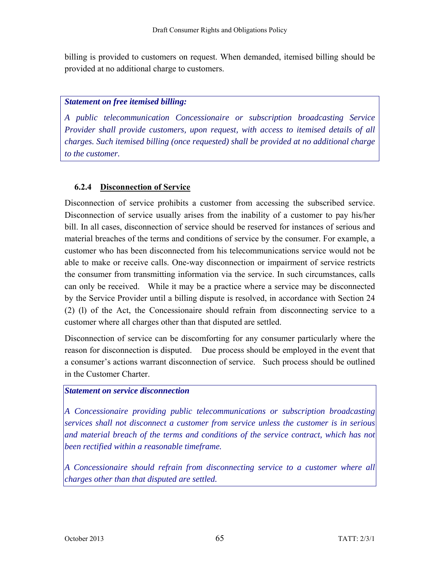billing is provided to customers on request. When demanded, itemised billing should be provided at no additional charge to customers.

### *Statement on free itemised billing:*

*A public telecommunication Concessionaire or subscription broadcasting Service Provider shall provide customers, upon request, with access to itemised details of all charges. Such itemised billing (once requested) shall be provided at no additional charge to the customer.* 

### **6.2.4 Disconnection of Service**

Disconnection of service prohibits a customer from accessing the subscribed service. Disconnection of service usually arises from the inability of a customer to pay his/her bill. In all cases, disconnection of service should be reserved for instances of serious and material breaches of the terms and conditions of service by the consumer. For example, a customer who has been disconnected from his telecommunications service would not be able to make or receive calls. One-way disconnection or impairment of service restricts the consumer from transmitting information via the service. In such circumstances, calls can only be received. While it may be a practice where a service may be disconnected by the Service Provider until a billing dispute is resolved, in accordance with Section 24 (2) (l) of the Act, the Concessionaire should refrain from disconnecting service to a customer where all charges other than that disputed are settled.

Disconnection of service can be discomforting for any consumer particularly where the reason for disconnection is disputed. Due process should be employed in the event that a consumer's actions warrant disconnection of service. Such process should be outlined in the Customer Charter.

### *Statement on service disconnection*

*A Concessionaire providing public telecommunications or subscription broadcasting services shall not disconnect a customer from service unless the customer is in serious*  and material breach of the terms and conditions of the service contract, which has not *been rectified within a reasonable timeframe.* 

*A Concessionaire should refrain from disconnecting service to a customer where all charges other than that disputed are settled.*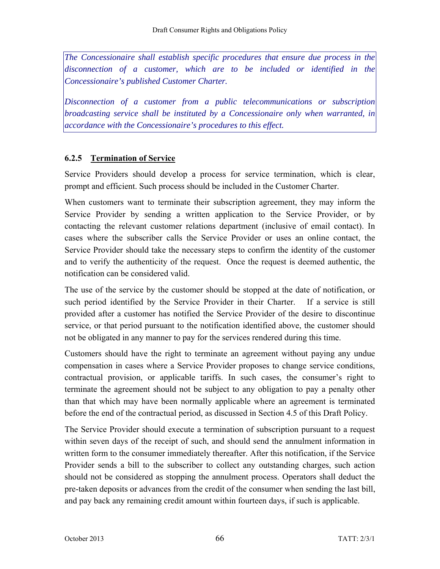*The Concessionaire shall establish specific procedures that ensure due process in the disconnection of a customer, which are to be included or identified in the Concessionaire's published Customer Charter.* 

*Disconnection of a customer from a public telecommunications or subscription broadcasting service shall be instituted by a Concessionaire only when warranted, in accordance with the Concessionaire's procedures to this effect.* 

### **6.2.5 Termination of Service**

Service Providers should develop a process for service termination, which is clear, prompt and efficient. Such process should be included in the Customer Charter.

When customers want to terminate their subscription agreement, they may inform the Service Provider by sending a written application to the Service Provider, or by contacting the relevant customer relations department (inclusive of email contact). In cases where the subscriber calls the Service Provider or uses an online contact, the Service Provider should take the necessary steps to confirm the identity of the customer and to verify the authenticity of the request. Once the request is deemed authentic, the notification can be considered valid.

The use of the service by the customer should be stopped at the date of notification, or such period identified by the Service Provider in their Charter. If a service is still provided after a customer has notified the Service Provider of the desire to discontinue service, or that period pursuant to the notification identified above, the customer should not be obligated in any manner to pay for the services rendered during this time.

Customers should have the right to terminate an agreement without paying any undue compensation in cases where a Service Provider proposes to change service conditions, contractual provision, or applicable tariffs. In such cases, the consumer's right to terminate the agreement should not be subject to any obligation to pay a penalty other than that which may have been normally applicable where an agreement is terminated before the end of the contractual period, as discussed in Section 4.5 of this Draft Policy.

The Service Provider should execute a termination of subscription pursuant to a request within seven days of the receipt of such, and should send the annulment information in written form to the consumer immediately thereafter. After this notification, if the Service Provider sends a bill to the subscriber to collect any outstanding charges, such action should not be considered as stopping the annulment process. Operators shall deduct the pre-taken deposits or advances from the credit of the consumer when sending the last bill, and pay back any remaining credit amount within fourteen days, if such is applicable.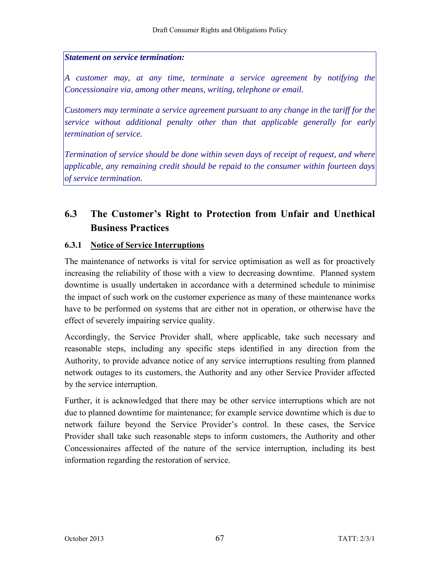### *Statement on service termination:*

*A customer may, at any time, terminate a service agreement by notifying the Concessionaire via, among other means, writing, telephone or email.* 

*Customers may terminate a service agreement pursuant to any change in the tariff for the service without additional penalty other than that applicable generally for early termination of service.* 

*Termination of service should be done within seven days of receipt of request, and where applicable, any remaining credit should be repaid to the consumer within fourteen days of service termination.* 

## **6.3 The Customer's Right to Protection from Unfair and Unethical Business Practices**

### **6.3.1 Notice of Service Interruptions**

The maintenance of networks is vital for service optimisation as well as for proactively increasing the reliability of those with a view to decreasing downtime. Planned system downtime is usually undertaken in accordance with a determined schedule to minimise the impact of such work on the customer experience as many of these maintenance works have to be performed on systems that are either not in operation, or otherwise have the effect of severely impairing service quality.

Accordingly, the Service Provider shall, where applicable, take such necessary and reasonable steps, including any specific steps identified in any direction from the Authority, to provide advance notice of any service interruptions resulting from planned network outages to its customers, the Authority and any other Service Provider affected by the service interruption.

Further, it is acknowledged that there may be other service interruptions which are not due to planned downtime for maintenance; for example service downtime which is due to network failure beyond the Service Provider's control. In these cases, the Service Provider shall take such reasonable steps to inform customers, the Authority and other Concessionaires affected of the nature of the service interruption, including its best information regarding the restoration of service.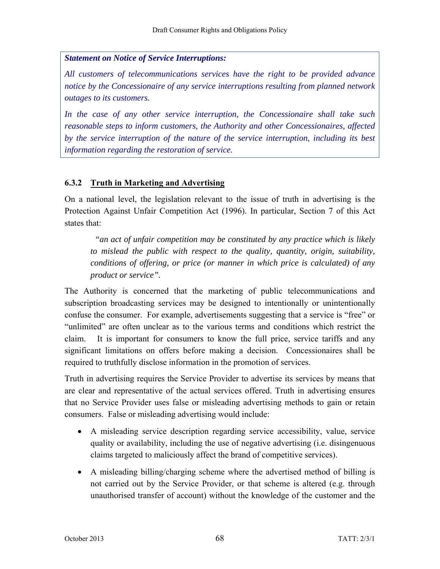### *Statement on Notice of Service Interruptions:*

*All customers of telecommunications services have the right to be provided advance notice by the Concessionaire of any service interruptions resulting from planned network outages to its customers.* 

*In the case of any other service interruption, the Concessionaire shall take such reasonable steps to inform customers, the Authority and other Concessionaires, affected by the service interruption of the nature of the service interruption, including its best information regarding the restoration of service.* 

### **6.3.2 Truth in Marketing and Advertising**

On a national level, the legislation relevant to the issue of truth in advertising is the Protection Against Unfair Competition Act (1996). In particular, Section 7 of this Act states that:

 *"an act of unfair competition may be constituted by any practice which is likely to mislead the public with respect to the quality, quantity, origin, suitability, conditions of offering, or price (or manner in which price is calculated) of any product or service".* 

The Authority is concerned that the marketing of public telecommunications and subscription broadcasting services may be designed to intentionally or unintentionally confuse the consumer. For example, advertisements suggesting that a service is "free" or "unlimited" are often unclear as to the various terms and conditions which restrict the claim. It is important for consumers to know the full price, service tariffs and any significant limitations on offers before making a decision. Concessionaires shall be required to truthfully disclose information in the promotion of services.

Truth in advertising requires the Service Provider to advertise its services by means that are clear and representative of the actual services offered. Truth in advertising ensures that no Service Provider uses false or misleading advertising methods to gain or retain consumers. False or misleading advertising would include:

- A misleading service description regarding service accessibility, value, service quality or availability, including the use of negative advertising (i.e. disingenuous claims targeted to maliciously affect the brand of competitive services).
- A misleading billing/charging scheme where the advertised method of billing is not carried out by the Service Provider, or that scheme is altered (e.g. through unauthorised transfer of account) without the knowledge of the customer and the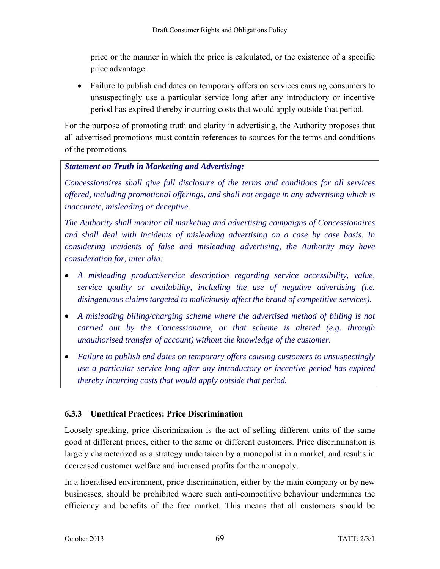price or the manner in which the price is calculated, or the existence of a specific price advantage.

• Failure to publish end dates on temporary offers on services causing consumers to unsuspectingly use a particular service long after any introductory or incentive period has expired thereby incurring costs that would apply outside that period.

For the purpose of promoting truth and clarity in advertising, the Authority proposes that all advertised promotions must contain references to sources for the terms and conditions of the promotions.

### *Statement on Truth in Marketing and Advertising:*

*Concessionaires shall give full disclosure of the terms and conditions for all services offered, including promotional offerings, and shall not engage in any advertising which is inaccurate, misleading or deceptive.* 

*The Authority shall monitor all marketing and advertising campaigns of Concessionaires and shall deal with incidents of misleading advertising on a case by case basis. In considering incidents of false and misleading advertising, the Authority may have consideration for, inter alia:* 

- *A misleading product/service description regarding service accessibility, value, service quality or availability, including the use of negative advertising (i.e. disingenuous claims targeted to maliciously affect the brand of competitive services).*
- *A misleading billing/charging scheme where the advertised method of billing is not carried out by the Concessionaire, or that scheme is altered (e.g. through unauthorised transfer of account) without the knowledge of the customer.*
- *Failure to publish end dates on temporary offers causing customers to unsuspectingly use a particular service long after any introductory or incentive period has expired thereby incurring costs that would apply outside that period.*

### **6.3.3 Unethical Practices: Price Discrimination**

Loosely speaking, price discrimination is the act of selling different units of the same good at different prices, either to the same or different customers. Price discrimination is largely characterized as a strategy undertaken by a monopolist in a market, and results in decreased customer welfare and increased profits for the monopoly.

In a liberalised environment, price discrimination, either by the main company or by new businesses, should be prohibited where such anti-competitive behaviour undermines the efficiency and benefits of the free market. This means that all customers should be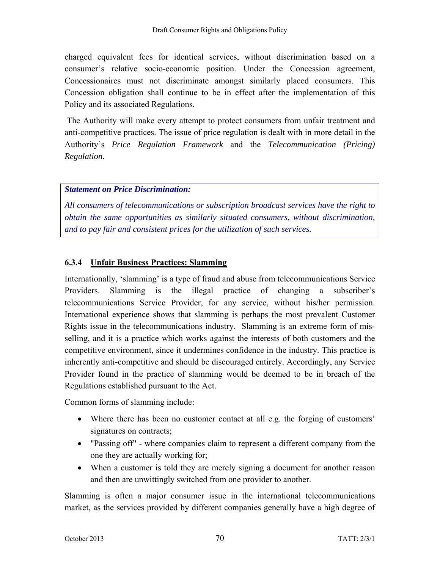charged equivalent fees for identical services, without discrimination based on a consumer's relative socio-economic position. Under the Concession agreement, Concessionaires must not discriminate amongst similarly placed consumers. This Concession obligation shall continue to be in effect after the implementation of this Policy and its associated Regulations.

 The Authority will make every attempt to protect consumers from unfair treatment and anti-competitive practices. The issue of price regulation is dealt with in more detail in the Authority's *Price Regulation Framework* and the *Telecommunication (Pricing) Regulation*.

### *Statement on Price Discrimination:*

*All consumers of telecommunications or subscription broadcast services have the right to obtain the same opportunities as similarly situated consumers, without discrimination, and to pay fair and consistent prices for the utilization of such services.* 

### **6.3.4 Unfair Business Practices: Slamming**

Internationally, 'slamming' is a type of fraud and abuse from telecommunications Service Providers. Slamming is the illegal practice of changing a subscriber's telecommunications Service Provider, for any service, without his/her permission. International experience shows that slamming is perhaps the most prevalent Customer Rights issue in the telecommunications industry. Slamming is an extreme form of misselling, and it is a practice which works against the interests of both customers and the competitive environment, since it undermines confidence in the industry. This practice is inherently anti-competitive and should be discouraged entirely. Accordingly, any Service Provider found in the practice of slamming would be deemed to be in breach of the Regulations established pursuant to the Act.

Common forms of slamming include:

- Where there has been no customer contact at all e.g. the forging of customers' signatures on contracts;
- "Passing off" where companies claim to represent a different company from the one they are actually working for;
- When a customer is told they are merely signing a document for another reason and then are unwittingly switched from one provider to another.

Slamming is often a major consumer issue in the international telecommunications market, as the services provided by different companies generally have a high degree of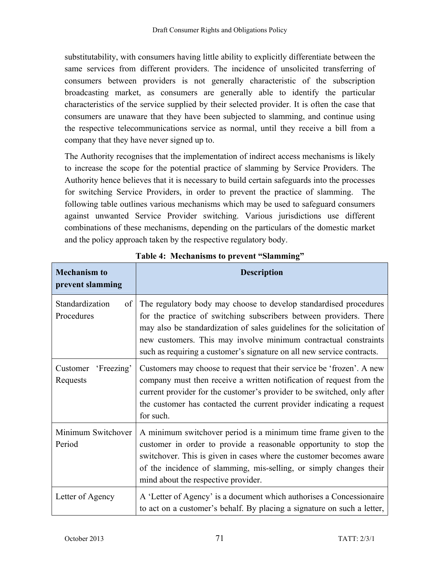substitutability, with consumers having little ability to explicitly differentiate between the same services from different providers. The incidence of unsolicited transferring of consumers between providers is not generally characteristic of the subscription broadcasting market, as consumers are generally able to identify the particular characteristics of the service supplied by their selected provider. It is often the case that consumers are unaware that they have been subjected to slamming, and continue using the respective telecommunications service as normal, until they receive a bill from a company that they have never signed up to.

The Authority recognises that the implementation of indirect access mechanisms is likely to increase the scope for the potential practice of slamming by Service Providers. The Authority hence believes that it is necessary to build certain safeguards into the processes for switching Service Providers, in order to prevent the practice of slamming. The following table outlines various mechanisms which may be used to safeguard consumers against unwanted Service Provider switching. Various jurisdictions use different combinations of these mechanisms, depending on the particulars of the domestic market and the policy approach taken by the respective regulatory body.

| <b>Mechanism to</b><br>prevent slamming   | <b>Description</b>                                                                                                                                                                                                                                                                                                                                              |
|-------------------------------------------|-----------------------------------------------------------------------------------------------------------------------------------------------------------------------------------------------------------------------------------------------------------------------------------------------------------------------------------------------------------------|
| Standardization<br>$\sigma$<br>Procedures | The regulatory body may choose to develop standardised procedures<br>for the practice of switching subscribers between providers. There<br>may also be standardization of sales guidelines for the solicitation of<br>new customers. This may involve minimum contractual constraints<br>such as requiring a customer's signature on all new service contracts. |
| 'Freezing'<br>Customer<br>Requests        | Customers may choose to request that their service be 'frozen'. A new<br>company must then receive a written notification of request from the<br>current provider for the customer's provider to be switched, only after<br>the customer has contacted the current provider indicating a request<br>for such.                                                   |
| Minimum Switchover<br>Period              | A minimum switchover period is a minimum time frame given to the<br>customer in order to provide a reasonable opportunity to stop the<br>switchover. This is given in cases where the customer becomes aware<br>of the incidence of slamming, mis-selling, or simply changes their<br>mind about the respective provider.                                       |
| Letter of Agency                          | A 'Letter of Agency' is a document which authorises a Concessionaire<br>to act on a customer's behalf. By placing a signature on such a letter,                                                                                                                                                                                                                 |

**Table 4: Mechanisms to prevent "Slamming"**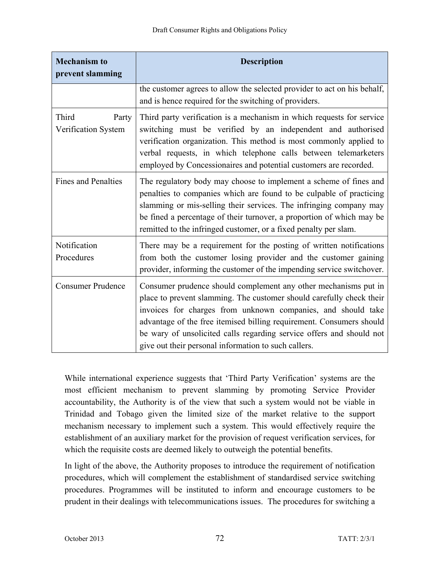| <b>Mechanism to</b><br>prevent slamming | <b>Description</b>                                                                                                                                                                                                                                                                                                                                                                                              |
|-----------------------------------------|-----------------------------------------------------------------------------------------------------------------------------------------------------------------------------------------------------------------------------------------------------------------------------------------------------------------------------------------------------------------------------------------------------------------|
|                                         | the customer agrees to allow the selected provider to act on his behalf,<br>and is hence required for the switching of providers.                                                                                                                                                                                                                                                                               |
| Third<br>Party<br>Verification System   | Third party verification is a mechanism in which requests for service<br>switching must be verified by an independent and authorised<br>verification organization. This method is most commonly applied to<br>verbal requests, in which telephone calls between telemarketers<br>employed by Concessionaires and potential customers are recorded.                                                              |
| <b>Fines and Penalties</b>              | The regulatory body may choose to implement a scheme of fines and<br>penalties to companies which are found to be culpable of practicing<br>slamming or mis-selling their services. The infringing company may<br>be fined a percentage of their turnover, a proportion of which may be<br>remitted to the infringed customer, or a fixed penalty per slam.                                                     |
| Notification<br>Procedures              | There may be a requirement for the posting of written notifications<br>from both the customer losing provider and the customer gaining<br>provider, informing the customer of the impending service switchover.                                                                                                                                                                                                 |
| <b>Consumer Prudence</b>                | Consumer prudence should complement any other mechanisms put in<br>place to prevent slamming. The customer should carefully check their<br>invoices for charges from unknown companies, and should take<br>advantage of the free itemised billing requirement. Consumers should<br>be wary of unsolicited calls regarding service offers and should not<br>give out their personal information to such callers. |

While international experience suggests that 'Third Party Verification' systems are the most efficient mechanism to prevent slamming by promoting Service Provider accountability, the Authority is of the view that such a system would not be viable in Trinidad and Tobago given the limited size of the market relative to the support mechanism necessary to implement such a system. This would effectively require the establishment of an auxiliary market for the provision of request verification services, for which the requisite costs are deemed likely to outweigh the potential benefits.

In light of the above, the Authority proposes to introduce the requirement of notification procedures, which will complement the establishment of standardised service switching procedures. Programmes will be instituted to inform and encourage customers to be prudent in their dealings with telecommunications issues. The procedures for switching a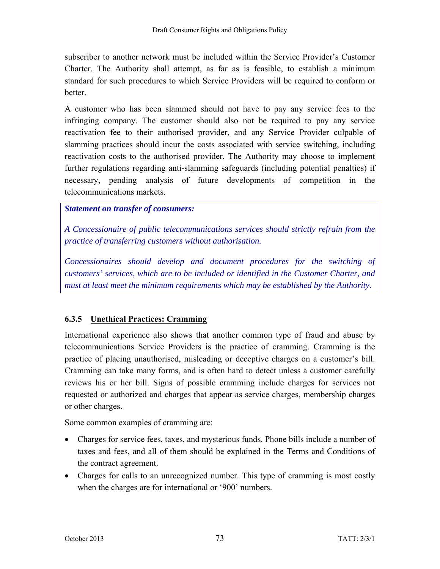subscriber to another network must be included within the Service Provider's Customer Charter. The Authority shall attempt, as far as is feasible, to establish a minimum standard for such procedures to which Service Providers will be required to conform or better.

A customer who has been slammed should not have to pay any service fees to the infringing company. The customer should also not be required to pay any service reactivation fee to their authorised provider, and any Service Provider culpable of slamming practices should incur the costs associated with service switching, including reactivation costs to the authorised provider. The Authority may choose to implement further regulations regarding anti-slamming safeguards (including potential penalties) if necessary, pending analysis of future developments of competition in the telecommunications markets.

### *Statement on transfer of consumers:*

*A Concessionaire of public telecommunications services should strictly refrain from the practice of transferring customers without authorisation.* 

*Concessionaires should develop and document procedures for the switching of customers' services, which are to be included or identified in the Customer Charter, and must at least meet the minimum requirements which may be established by the Authority.* 

### **6.3.5 Unethical Practices: Cramming**

International experience also shows that another common type of fraud and abuse by telecommunications Service Providers is the practice of cramming. Cramming is the practice of placing unauthorised, misleading or deceptive charges on a customer's bill. Cramming can take many forms, and is often hard to detect unless a customer carefully reviews his or her bill. Signs of possible cramming include charges for services not requested or authorized and charges that appear as service charges, membership charges or other charges.

Some common examples of cramming are:

- Charges for service fees, taxes, and mysterious funds. Phone bills include a number of taxes and fees, and all of them should be explained in the Terms and Conditions of the contract agreement.
- Charges for calls to an unrecognized number. This type of cramming is most costly when the charges are for international or '900' numbers.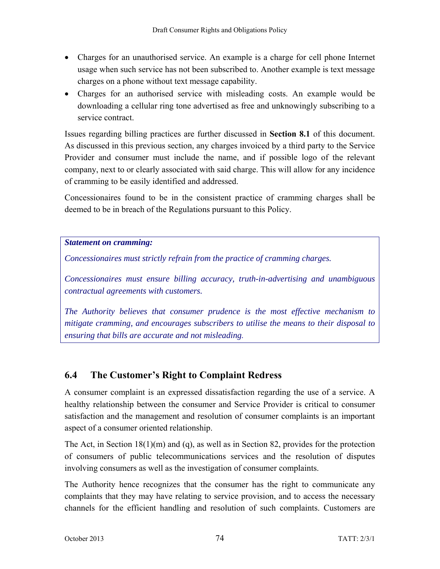- Charges for an unauthorised service. An example is a charge for cell phone Internet usage when such service has not been subscribed to. Another example is text message charges on a phone without text message capability.
- Charges for an authorised service with misleading costs. An example would be downloading a cellular ring tone advertised as free and unknowingly subscribing to a service contract.

Issues regarding billing practices are further discussed in **Section 8.1** of this document. As discussed in this previous section, any charges invoiced by a third party to the Service Provider and consumer must include the name, and if possible logo of the relevant company, next to or clearly associated with said charge. This will allow for any incidence of cramming to be easily identified and addressed.

Concessionaires found to be in the consistent practice of cramming charges shall be deemed to be in breach of the Regulations pursuant to this Policy.

*Statement on cramming:* 

*Concessionaires must strictly refrain from the practice of cramming charges.* 

*Concessionaires must ensure billing accuracy, truth-in-advertising and unambiguous contractual agreements with customers.* 

*The Authority believes that consumer prudence is the most effective mechanism to mitigate cramming, and encourages subscribers to utilise the means to their disposal to ensuring that bills are accurate and not misleading.* 

## **6.4 The Customer's Right to Complaint Redress**

A consumer complaint is an expressed dissatisfaction regarding the use of a service. A healthy relationship between the consumer and Service Provider is critical to consumer satisfaction and the management and resolution of consumer complaints is an important aspect of a consumer oriented relationship.

The Act, in Section 18(1)(m) and (q), as well as in Section 82, provides for the protection of consumers of public telecommunications services and the resolution of disputes involving consumers as well as the investigation of consumer complaints.

The Authority hence recognizes that the consumer has the right to communicate any complaints that they may have relating to service provision, and to access the necessary channels for the efficient handling and resolution of such complaints. Customers are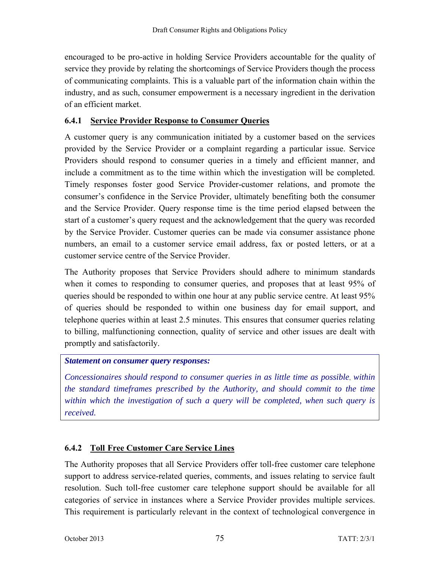encouraged to be pro-active in holding Service Providers accountable for the quality of service they provide by relating the shortcomings of Service Providers though the process of communicating complaints. This is a valuable part of the information chain within the industry, and as such, consumer empowerment is a necessary ingredient in the derivation of an efficient market.

### **6.4.1 Service Provider Response to Consumer Queries**

A customer query is any communication initiated by a customer based on the services provided by the Service Provider or a complaint regarding a particular issue. Service Providers should respond to consumer queries in a timely and efficient manner, and include a commitment as to the time within which the investigation will be completed. Timely responses foster good Service Provider-customer relations, and promote the consumer's confidence in the Service Provider, ultimately benefiting both the consumer and the Service Provider. Query response time is the time period elapsed between the start of a customer's query request and the acknowledgement that the query was recorded by the Service Provider. Customer queries can be made via consumer assistance phone numbers, an email to a customer service email address, fax or posted letters, or at a customer service centre of the Service Provider.

The Authority proposes that Service Providers should adhere to minimum standards when it comes to responding to consumer queries, and proposes that at least 95% of queries should be responded to within one hour at any public service centre. At least 95% of queries should be responded to within one business day for email support, and telephone queries within at least 2.5 minutes. This ensures that consumer queries relating to billing, malfunctioning connection, quality of service and other issues are dealt with promptly and satisfactorily.

### *Statement on consumer query responses:*

*Concessionaires should respond to consumer queries in as little time as possible*, *within the standard timeframes prescribed by the Authority, and should commit to the time within which the investigation of such a query will be completed, when such query is received.* 

### **6.4.2 Toll Free Customer Care Service Lines**

The Authority proposes that all Service Providers offer toll-free customer care telephone support to address service-related queries, comments, and issues relating to service fault resolution. Such toll-free customer care telephone support should be available for all categories of service in instances where a Service Provider provides multiple services. This requirement is particularly relevant in the context of technological convergence in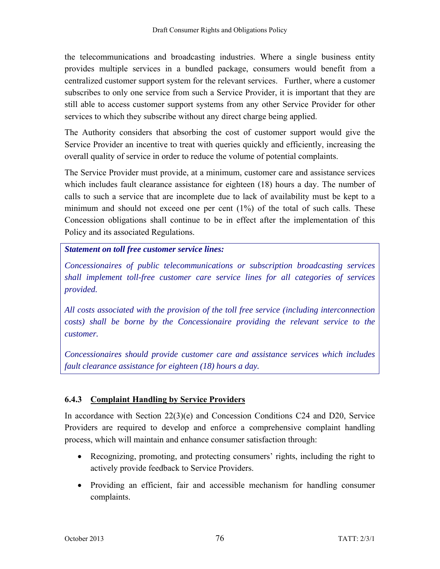the telecommunications and broadcasting industries. Where a single business entity provides multiple services in a bundled package, consumers would benefit from a centralized customer support system for the relevant services. Further, where a customer subscribes to only one service from such a Service Provider, it is important that they are still able to access customer support systems from any other Service Provider for other services to which they subscribe without any direct charge being applied.

The Authority considers that absorbing the cost of customer support would give the Service Provider an incentive to treat with queries quickly and efficiently, increasing the overall quality of service in order to reduce the volume of potential complaints.

The Service Provider must provide, at a minimum, customer care and assistance services which includes fault clearance assistance for eighteen (18) hours a day. The number of calls to such a service that are incomplete due to lack of availability must be kept to a minimum and should not exceed one per cent (1%) of the total of such calls. These Concession obligations shall continue to be in effect after the implementation of this Policy and its associated Regulations.

*Statement on toll free customer service lines:* 

*Concessionaires of public telecommunications or subscription broadcasting services shall implement toll-free customer care service lines for all categories of services provided.* 

*All costs associated with the provision of the toll free service (including interconnection costs) shall be borne by the Concessionaire providing the relevant service to the customer.* 

*Concessionaires should provide customer care and assistance services which includes fault clearance assistance for eighteen (18) hours a day.* 

### **6.4.3 Complaint Handling by Service Providers**

In accordance with Section  $22(3)(e)$  and Concession Conditions C24 and D20, Service Providers are required to develop and enforce a comprehensive complaint handling process, which will maintain and enhance consumer satisfaction through:

- Recognizing, promoting, and protecting consumers' rights, including the right to actively provide feedback to Service Providers.
- Providing an efficient, fair and accessible mechanism for handling consumer complaints.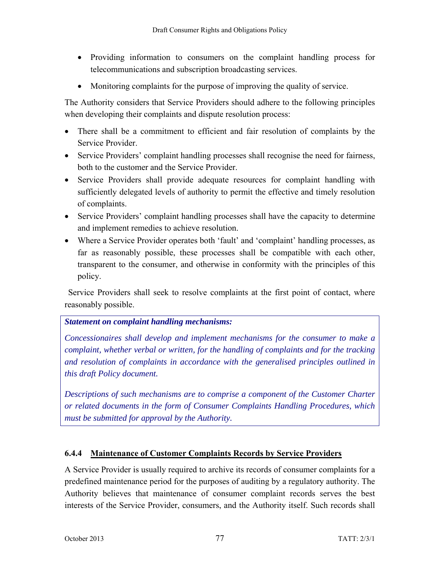- Providing information to consumers on the complaint handling process for telecommunications and subscription broadcasting services.
- Monitoring complaints for the purpose of improving the quality of service.

The Authority considers that Service Providers should adhere to the following principles when developing their complaints and dispute resolution process:

- There shall be a commitment to efficient and fair resolution of complaints by the Service Provider.
- Service Providers' complaint handling processes shall recognise the need for fairness, both to the customer and the Service Provider.
- Service Providers shall provide adequate resources for complaint handling with sufficiently delegated levels of authority to permit the effective and timely resolution of complaints.
- Service Providers' complaint handling processes shall have the capacity to determine and implement remedies to achieve resolution.
- Where a Service Provider operates both 'fault' and 'complaint' handling processes, as far as reasonably possible, these processes shall be compatible with each other, transparent to the consumer, and otherwise in conformity with the principles of this policy.

 Service Providers shall seek to resolve complaints at the first point of contact, where reasonably possible.

### *Statement on complaint handling mechanisms:*

*Concessionaires shall develop and implement mechanisms for the consumer to make a complaint, whether verbal or written, for the handling of complaints and for the tracking and resolution of complaints in accordance with the generalised principles outlined in this draft Policy document.* 

*Descriptions of such mechanisms are to comprise a component of the Customer Charter or related documents in the form of Consumer Complaints Handling Procedures, which must be submitted for approval by the Authority.* 

### **6.4.4 Maintenance of Customer Complaints Records by Service Providers**

A Service Provider is usually required to archive its records of consumer complaints for a predefined maintenance period for the purposes of auditing by a regulatory authority. The Authority believes that maintenance of consumer complaint records serves the best interests of the Service Provider, consumers, and the Authority itself. Such records shall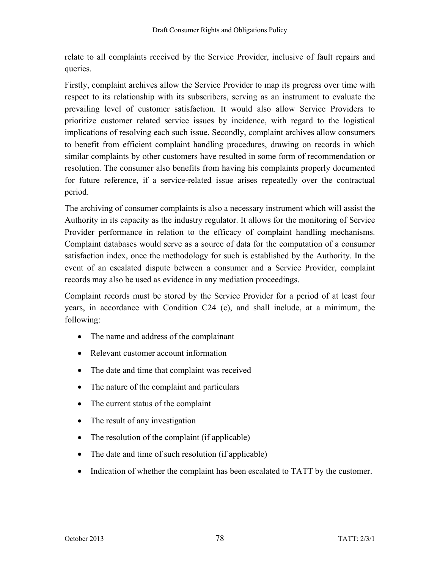relate to all complaints received by the Service Provider, inclusive of fault repairs and queries.

Firstly, complaint archives allow the Service Provider to map its progress over time with respect to its relationship with its subscribers, serving as an instrument to evaluate the prevailing level of customer satisfaction. It would also allow Service Providers to prioritize customer related service issues by incidence, with regard to the logistical implications of resolving each such issue. Secondly, complaint archives allow consumers to benefit from efficient complaint handling procedures, drawing on records in which similar complaints by other customers have resulted in some form of recommendation or resolution. The consumer also benefits from having his complaints properly documented for future reference, if a service-related issue arises repeatedly over the contractual period.

The archiving of consumer complaints is also a necessary instrument which will assist the Authority in its capacity as the industry regulator. It allows for the monitoring of Service Provider performance in relation to the efficacy of complaint handling mechanisms. Complaint databases would serve as a source of data for the computation of a consumer satisfaction index, once the methodology for such is established by the Authority. In the event of an escalated dispute between a consumer and a Service Provider, complaint records may also be used as evidence in any mediation proceedings.

Complaint records must be stored by the Service Provider for a period of at least four years, in accordance with Condition C24 (c), and shall include, at a minimum, the following:

- The name and address of the complainant
- Relevant customer account information
- The date and time that complaint was received
- The nature of the complaint and particulars
- The current status of the complaint
- The result of any investigation
- The resolution of the complaint (if applicable)
- The date and time of such resolution (if applicable)
- Indication of whether the complaint has been escalated to TATT by the customer.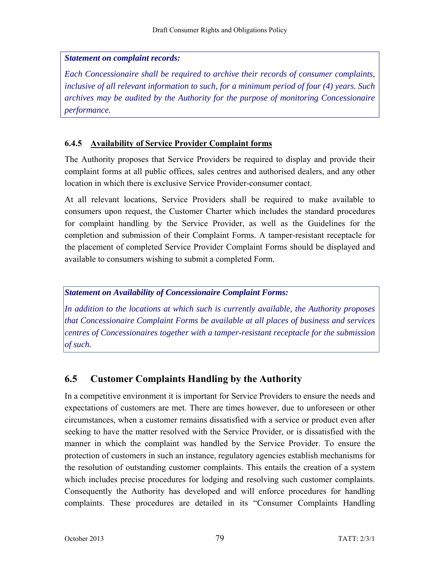### *Statement on complaint records:*

*Each Concessionaire shall be required to archive their records of consumer complaints, inclusive of all relevant information to such, for a minimum period of four (4) years. Such archives may be audited by the Authority for the purpose of monitoring Concessionaire performance.* 

### **6.4.5 Availability of Service Provider Complaint forms**

The Authority proposes that Service Providers be required to display and provide their complaint forms at all public offices, sales centres and authorised dealers, and any other location in which there is exclusive Service Provider-consumer contact.

At all relevant locations, Service Providers shall be required to make available to consumers upon request, the Customer Charter which includes the standard procedures for complaint handling by the Service Provider, as well as the Guidelines for the completion and submission of their Complaint Forms. A tamper-resistant receptacle for the placement of completed Service Provider Complaint Forms should be displayed and available to consumers wishing to submit a completed Form.

### *Statement on Availability of Concessionaire Complaint Forms:*

*In addition to the locations at which such is currently available, the Authority proposes that Concessionaire Complaint Forms be available at all places of business and services centres of Concessionaires together with a tamper-resistant receptacle for the submission of such.* 

## **6.5 Customer Complaints Handling by the Authority**

In a competitive environment it is important for Service Providers to ensure the needs and expectations of customers are met. There are times however, due to unforeseen or other circumstances, when a customer remains dissatisfied with a service or product even after seeking to have the matter resolved with the Service Provider, or is dissatisfied with the manner in which the complaint was handled by the Service Provider. To ensure the protection of customers in such an instance, regulatory agencies establish mechanisms for the resolution of outstanding customer complaints. This entails the creation of a system which includes precise procedures for lodging and resolving such customer complaints. Consequently the Authority has developed and will enforce procedures for handling complaints. These procedures are detailed in its "Consumer Complaints Handling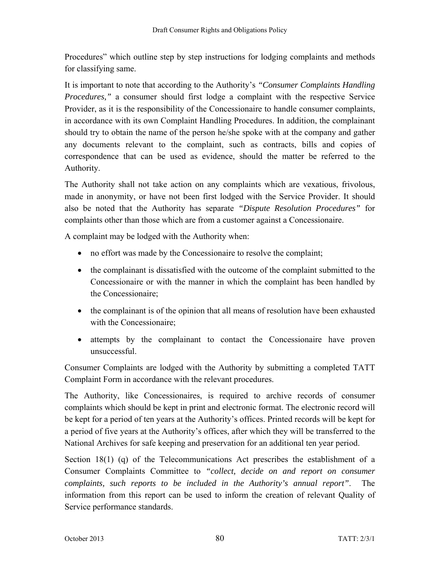Procedures" which outline step by step instructions for lodging complaints and methods for classifying same.

It is important to note that according to the Authority's *"Consumer Complaints Handling Procedures,"* a consumer should first lodge a complaint with the respective Service Provider, as it is the responsibility of the Concessionaire to handle consumer complaints, in accordance with its own Complaint Handling Procedures. In addition, the complainant should try to obtain the name of the person he/she spoke with at the company and gather any documents relevant to the complaint, such as contracts, bills and copies of correspondence that can be used as evidence, should the matter be referred to the Authority.

The Authority shall not take action on any complaints which are vexatious, frivolous, made in anonymity, or have not been first lodged with the Service Provider. It should also be noted that the Authority has separate *"Dispute Resolution Procedures"* for complaints other than those which are from a customer against a Concessionaire.

A complaint may be lodged with the Authority when:

- no effort was made by the Concessionaire to resolve the complaint;
- the complainant is dissatisfied with the outcome of the complaint submitted to the Concessionaire or with the manner in which the complaint has been handled by the Concessionaire;
- the complainant is of the opinion that all means of resolution have been exhausted with the Concessionaire;
- attempts by the complainant to contact the Concessionaire have proven unsuccessful.

Consumer Complaints are lodged with the Authority by submitting a completed TATT Complaint Form in accordance with the relevant procedures.

The Authority, like Concessionaires, is required to archive records of consumer complaints which should be kept in print and electronic format. The electronic record will be kept for a period of ten years at the Authority's offices. Printed records will be kept for a period of five years at the Authority's offices, after which they will be transferred to the National Archives for safe keeping and preservation for an additional ten year period.

Section 18(1) (q) of the Telecommunications Act prescribes the establishment of a Consumer Complaints Committee to *"collect, decide on and report on consumer complaints, such reports to be included in the Authority's annual report"*. The information from this report can be used to inform the creation of relevant Quality of Service performance standards.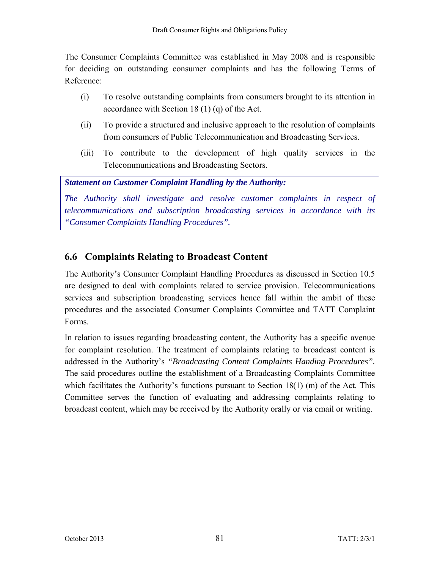The Consumer Complaints Committee was established in May 2008 and is responsible for deciding on outstanding consumer complaints and has the following Terms of Reference:

- (i) To resolve outstanding complaints from consumers brought to its attention in accordance with Section 18 (1) (q) of the Act.
- (ii) To provide a structured and inclusive approach to the resolution of complaints from consumers of Public Telecommunication and Broadcasting Services.
- (iii) To contribute to the development of high quality services in the Telecommunications and Broadcasting Sectors.

*Statement on Customer Complaint Handling by the Authority:* 

*The Authority shall investigate and resolve customer complaints in respect of telecommunications and subscription broadcasting services in accordance with its "Consumer Complaints Handling Procedures".* 

## **6.6 Complaints Relating to Broadcast Content**

The Authority's Consumer Complaint Handling Procedures as discussed in Section 10.5 are designed to deal with complaints related to service provision. Telecommunications services and subscription broadcasting services hence fall within the ambit of these procedures and the associated Consumer Complaints Committee and TATT Complaint Forms.

In relation to issues regarding broadcasting content, the Authority has a specific avenue for complaint resolution. The treatment of complaints relating to broadcast content is addressed in the Authority's *"Broadcasting Content Complaints Handing Procedures".*  The said procedures outline the establishment of a Broadcasting Complaints Committee which facilitates the Authority's functions pursuant to Section  $18(1)$  (m) of the Act. This Committee serves the function of evaluating and addressing complaints relating to broadcast content, which may be received by the Authority orally or via email or writing.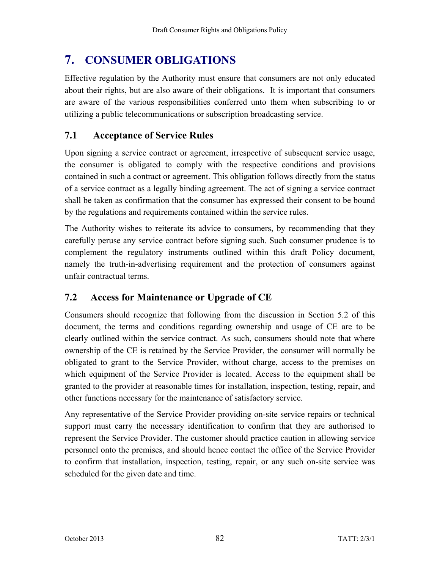# **7. CONSUMER OBLIGATIONS**

Effective regulation by the Authority must ensure that consumers are not only educated about their rights, but are also aware of their obligations. It is important that consumers are aware of the various responsibilities conferred unto them when subscribing to or utilizing a public telecommunications or subscription broadcasting service.

## **7.1 Acceptance of Service Rules**

Upon signing a service contract or agreement, irrespective of subsequent service usage, the consumer is obligated to comply with the respective conditions and provisions contained in such a contract or agreement. This obligation follows directly from the status of a service contract as a legally binding agreement. The act of signing a service contract shall be taken as confirmation that the consumer has expressed their consent to be bound by the regulations and requirements contained within the service rules.

The Authority wishes to reiterate its advice to consumers, by recommending that they carefully peruse any service contract before signing such. Such consumer prudence is to complement the regulatory instruments outlined within this draft Policy document, namely the truth-in-advertising requirement and the protection of consumers against unfair contractual terms.

## **7.2 Access for Maintenance or Upgrade of CE**

Consumers should recognize that following from the discussion in Section 5.2 of this document, the terms and conditions regarding ownership and usage of CE are to be clearly outlined within the service contract. As such, consumers should note that where ownership of the CE is retained by the Service Provider, the consumer will normally be obligated to grant to the Service Provider, without charge, access to the premises on which equipment of the Service Provider is located. Access to the equipment shall be granted to the provider at reasonable times for installation, inspection, testing, repair, and other functions necessary for the maintenance of satisfactory service.

Any representative of the Service Provider providing on-site service repairs or technical support must carry the necessary identification to confirm that they are authorised to represent the Service Provider. The customer should practice caution in allowing service personnel onto the premises, and should hence contact the office of the Service Provider to confirm that installation, inspection, testing, repair, or any such on-site service was scheduled for the given date and time.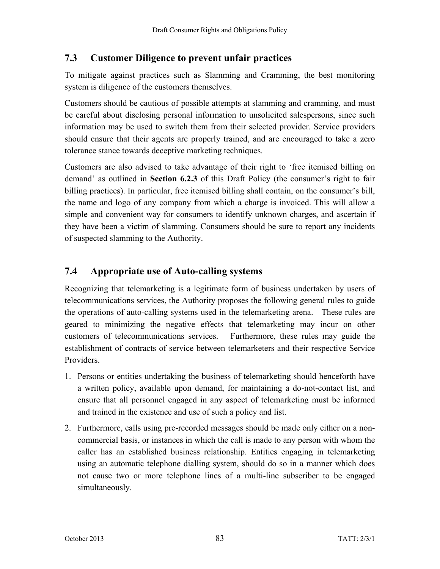## **7.3 Customer Diligence to prevent unfair practices**

To mitigate against practices such as Slamming and Cramming, the best monitoring system is diligence of the customers themselves.

Customers should be cautious of possible attempts at slamming and cramming, and must be careful about disclosing personal information to unsolicited salespersons, since such information may be used to switch them from their selected provider. Service providers should ensure that their agents are properly trained, and are encouraged to take a zero tolerance stance towards deceptive marketing techniques.

Customers are also advised to take advantage of their right to 'free itemised billing on demand' as outlined in **Section 6.2.3** of this Draft Policy (the consumer's right to fair billing practices). In particular, free itemised billing shall contain, on the consumer's bill, the name and logo of any company from which a charge is invoiced. This will allow a simple and convenient way for consumers to identify unknown charges, and ascertain if they have been a victim of slamming. Consumers should be sure to report any incidents of suspected slamming to the Authority.

## **7.4 Appropriate use of Auto-calling systems**

Recognizing that telemarketing is a legitimate form of business undertaken by users of telecommunications services, the Authority proposes the following general rules to guide the operations of auto-calling systems used in the telemarketing arena. These rules are geared to minimizing the negative effects that telemarketing may incur on other customers of telecommunications services. Furthermore, these rules may guide the establishment of contracts of service between telemarketers and their respective Service Providers.

- 1. Persons or entities undertaking the business of telemarketing should henceforth have a written policy, available upon demand, for maintaining a do-not-contact list, and ensure that all personnel engaged in any aspect of telemarketing must be informed and trained in the existence and use of such a policy and list.
- 2. Furthermore, calls using pre-recorded messages should be made only either on a noncommercial basis, or instances in which the call is made to any person with whom the caller has an established business relationship. Entities engaging in telemarketing using an automatic telephone dialling system, should do so in a manner which does not cause two or more telephone lines of a multi-line subscriber to be engaged simultaneously.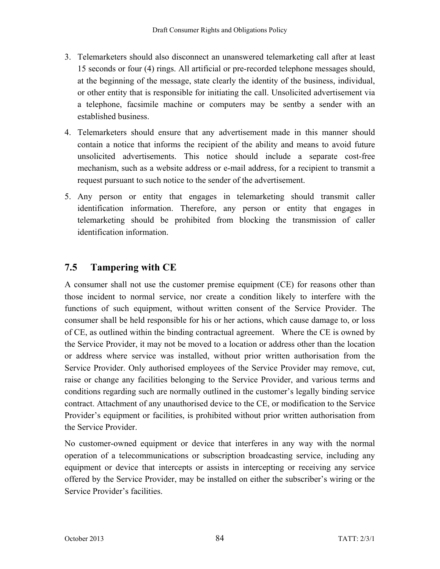- 3. Telemarketers should also disconnect an unanswered telemarketing call after at least 15 seconds or four (4) rings. All artificial or pre-recorded telephone messages should, at the beginning of the message, state clearly the identity of the business, individual, or other entity that is responsible for initiating the call. Unsolicited advertisement via a telephone, facsimile machine or computers may be sentby a sender with an established business.
- 4. Telemarketers should ensure that any advertisement made in this manner should contain a notice that informs the recipient of the ability and means to avoid future unsolicited advertisements. This notice should include a separate cost-free mechanism, such as a website address or e-mail address, for a recipient to transmit a request pursuant to such notice to the sender of the advertisement.
- 5. Any person or entity that engages in telemarketing should transmit caller identification information. Therefore, any person or entity that engages in telemarketing should be prohibited from blocking the transmission of caller identification information.

## **7.5 Tampering with CE**

A consumer shall not use the customer premise equipment (CE) for reasons other than those incident to normal service, nor create a condition likely to interfere with the functions of such equipment, without written consent of the Service Provider. The consumer shall be held responsible for his or her actions, which cause damage to, or loss of CE, as outlined within the binding contractual agreement. Where the CE is owned by the Service Provider, it may not be moved to a location or address other than the location or address where service was installed, without prior written authorisation from the Service Provider. Only authorised employees of the Service Provider may remove, cut, raise or change any facilities belonging to the Service Provider, and various terms and conditions regarding such are normally outlined in the customer's legally binding service contract. Attachment of any unauthorised device to the CE, or modification to the Service Provider's equipment or facilities, is prohibited without prior written authorisation from the Service Provider.

No customer-owned equipment or device that interferes in any way with the normal operation of a telecommunications or subscription broadcasting service, including any equipment or device that intercepts or assists in intercepting or receiving any service offered by the Service Provider, may be installed on either the subscriber's wiring or the Service Provider's facilities.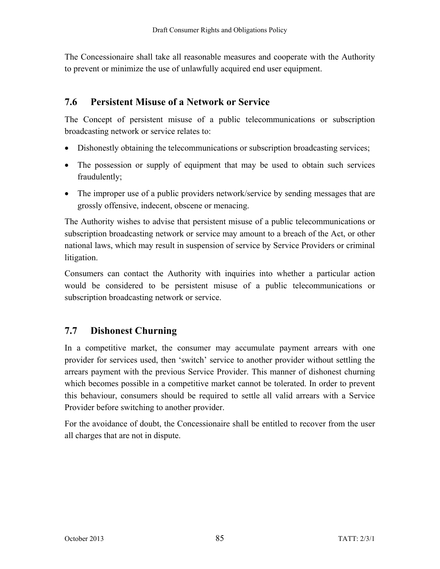The Concessionaire shall take all reasonable measures and cooperate with the Authority to prevent or minimize the use of unlawfully acquired end user equipment.

## **7.6 Persistent Misuse of a Network or Service**

The Concept of persistent misuse of a public telecommunications or subscription broadcasting network or service relates to:

- Dishonestly obtaining the telecommunications or subscription broadcasting services;
- The possession or supply of equipment that may be used to obtain such services fraudulently;
- The improper use of a public providers network/service by sending messages that are grossly offensive, indecent, obscene or menacing.

The Authority wishes to advise that persistent misuse of a public telecommunications or subscription broadcasting network or service may amount to a breach of the Act, or other national laws, which may result in suspension of service by Service Providers or criminal litigation.

Consumers can contact the Authority with inquiries into whether a particular action would be considered to be persistent misuse of a public telecommunications or subscription broadcasting network or service.

## **7.7 Dishonest Churning**

In a competitive market, the consumer may accumulate payment arrears with one provider for services used, then 'switch' service to another provider without settling the arrears payment with the previous Service Provider. This manner of dishonest churning which becomes possible in a competitive market cannot be tolerated. In order to prevent this behaviour, consumers should be required to settle all valid arrears with a Service Provider before switching to another provider.

For the avoidance of doubt, the Concessionaire shall be entitled to recover from the user all charges that are not in dispute.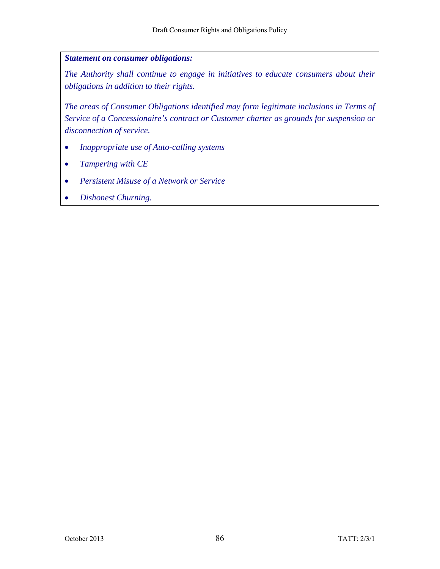### *Statement on consumer obligations:*

*The Authority shall continue to engage in initiatives to educate consumers about their obligations in addition to their rights.* 

*The areas of Consumer Obligations identified may form legitimate inclusions in Terms of Service of a Concessionaire's contract or Customer charter as grounds for suspension or disconnection of service.* 

- *Inappropriate use of Auto-calling systems*
- *Tampering with CE*
- *Persistent Misuse of a Network or Service*
- *Dishonest Churning.*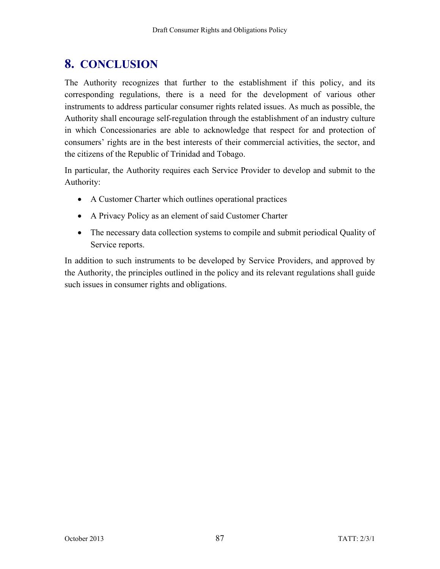# **8. CONCLUSION**

The Authority recognizes that further to the establishment if this policy, and its corresponding regulations, there is a need for the development of various other instruments to address particular consumer rights related issues. As much as possible, the Authority shall encourage self-regulation through the establishment of an industry culture in which Concessionaries are able to acknowledge that respect for and protection of consumers' rights are in the best interests of their commercial activities, the sector, and the citizens of the Republic of Trinidad and Tobago.

In particular, the Authority requires each Service Provider to develop and submit to the Authority:

- A Customer Charter which outlines operational practices
- A Privacy Policy as an element of said Customer Charter
- The necessary data collection systems to compile and submit periodical Quality of Service reports.

In addition to such instruments to be developed by Service Providers, and approved by the Authority, the principles outlined in the policy and its relevant regulations shall guide such issues in consumer rights and obligations.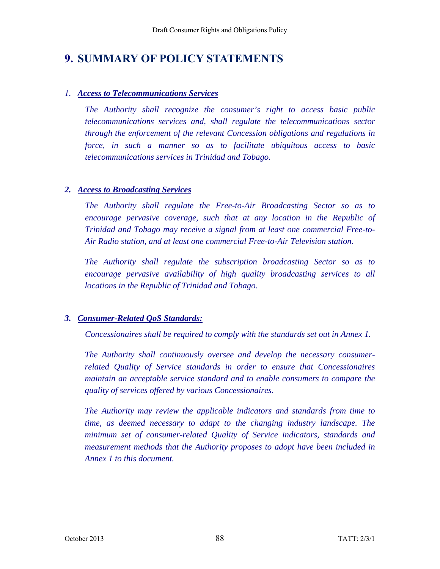## **9. SUMMARY OF POLICY STATEMENTS**

### *1. Access to Telecommunications Services*

*The Authority shall recognize the consumer's right to access basic public telecommunications services and, shall regulate the telecommunications sector through the enforcement of the relevant Concession obligations and regulations in force, in such a manner so as to facilitate ubiquitous access to basic telecommunications services in Trinidad and Tobago.* 

### *2. Access to Broadcasting Services*

*The Authority shall regulate the Free-to-Air Broadcasting Sector so as to encourage pervasive coverage, such that at any location in the Republic of Trinidad and Tobago may receive a signal from at least one commercial Free-to-Air Radio station, and at least one commercial Free-to-Air Television station.* 

*The Authority shall regulate the subscription broadcasting Sector so as to encourage pervasive availability of high quality broadcasting services to all locations in the Republic of Trinidad and Tobago.* 

### *3. Consumer-Related QoS Standards:*

*Concessionaires shall be required to comply with the standards set out in Annex 1.* 

*The Authority shall continuously oversee and develop the necessary consumerrelated Quality of Service standards in order to ensure that Concessionaires maintain an acceptable service standard and to enable consumers to compare the quality of services offered by various Concessionaires.* 

*The Authority may review the applicable indicators and standards from time to time, as deemed necessary to adapt to the changing industry landscape. The minimum set of consumer-related Quality of Service indicators, standards and measurement methods that the Authority proposes to adopt have been included in Annex 1 to this document.*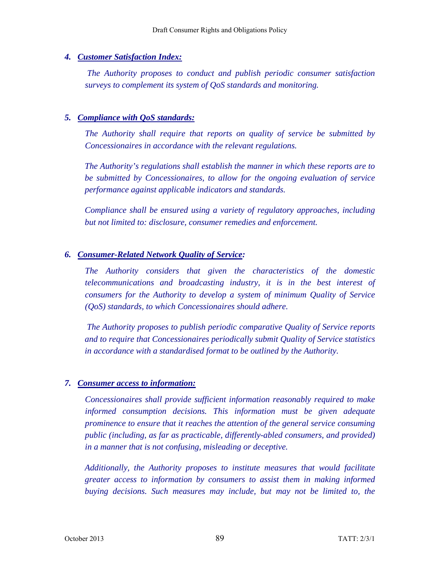### *4. Customer Satisfaction Index:*

 *The Authority proposes to conduct and publish periodic consumer satisfaction surveys to complement its system of QoS standards and monitoring.* 

### *5. Compliance with QoS standards:*

*The Authority shall require that reports on quality of service be submitted by Concessionaires in accordance with the relevant regulations.* 

*The Authority's regulations shall establish the manner in which these reports are to be submitted by Concessionaires, to allow for the ongoing evaluation of service performance against applicable indicators and standards.* 

*Compliance shall be ensured using a variety of regulatory approaches, including but not limited to: disclosure, consumer remedies and enforcement.* 

### *6. Consumer-Related Network Quality of Service:*

*The Authority considers that given the characteristics of the domestic telecommunications and broadcasting industry, it is in the best interest of consumers for the Authority to develop a system of minimum Quality of Service (QoS) standards, to which Concessionaires should adhere.* 

 *The Authority proposes to publish periodic comparative Quality of Service reports and to require that Concessionaires periodically submit Quality of Service statistics in accordance with a standardised format to be outlined by the Authority.* 

### *7. Consumer access to information:*

*Concessionaires shall provide sufficient information reasonably required to make informed consumption decisions. This information must be given adequate prominence to ensure that it reaches the attention of the general service consuming public (including, as far as practicable, differently-abled consumers, and provided) in a manner that is not confusing, misleading or deceptive.* 

*Additionally, the Authority proposes to institute measures that would facilitate greater access to information by consumers to assist them in making informed buying decisions. Such measures may include, but may not be limited to, the*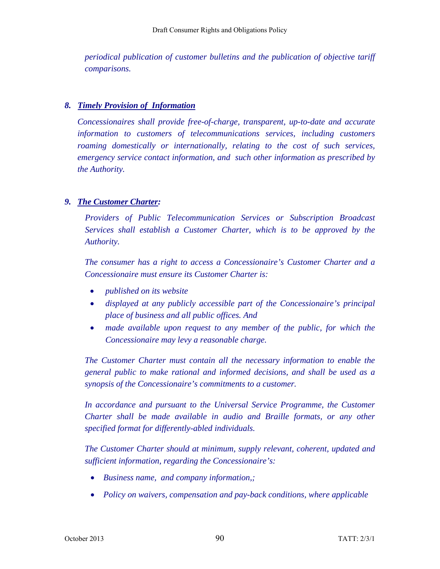*periodical publication of customer bulletins and the publication of objective tariff comparisons.* 

### *8. Timely Provision of Information*

*Concessionaires shall provide free-of-charge, transparent, up-to-date and accurate information to customers of telecommunications services, including customers roaming domestically or internationally, relating to the cost of such services, emergency service contact information, and such other information as prescribed by the Authority.* 

### *9. The Customer Charter:*

*Providers of Public Telecommunication Services or Subscription Broadcast Services shall establish a Customer Charter, which is to be approved by the Authority.* 

*The consumer has a right to access a Concessionaire's Customer Charter and a Concessionaire must ensure its Customer Charter is:* 

- *published on its website*
- *displayed at any publicly accessible part of the Concessionaire's principal place of business and all public offices. And*
- *made available upon request to any member of the public, for which the Concessionaire may levy a reasonable charge.*

*The Customer Charter must contain all the necessary information to enable the general public to make rational and informed decisions, and shall be used as a synopsis of the Concessionaire's commitments to a customer.* 

In accordance and pursuant to the Universal Service Programme, the Customer *Charter shall be made available in audio and Braille formats, or any other specified format for differently-abled individuals.* 

*The Customer Charter should at minimum, supply relevant, coherent, updated and sufficient information, regarding the Concessionaire's:* 

- *Business name, and company information,;*
- *Policy on waivers, compensation and pay-back conditions, where applicable*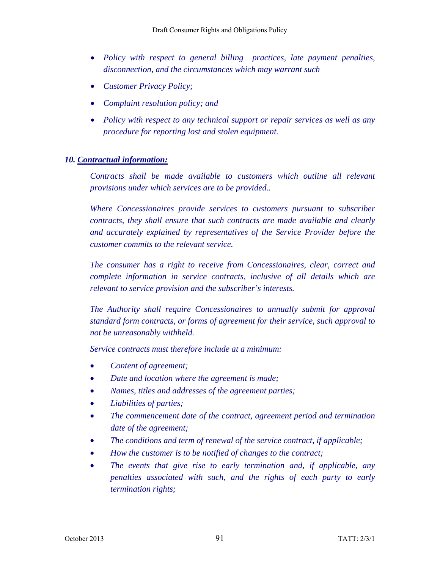- *Policy with respect to general billing practices, late payment penalties, disconnection, and the circumstances which may warrant such*
- *Customer Privacy Policy;*
- *Complaint resolution policy; and*
- *Policy with respect to any technical support or repair services as well as any procedure for reporting lost and stolen equipment.*

### *10. Contractual information:*

*Contracts shall be made available to customers which outline all relevant provisions under which services are to be provided..* 

*Where Concessionaires provide services to customers pursuant to subscriber contracts, they shall ensure that such contracts are made available and clearly and accurately explained by representatives of the Service Provider before the customer commits to the relevant service.* 

*The consumer has a right to receive from Concessionaires, clear, correct and complete information in service contracts, inclusive of all details which are relevant to service provision and the subscriber's interests.* 

*The Authority shall require Concessionaires to annually submit for approval standard form contracts, or forms of agreement for their service, such approval to not be unreasonably withheld.* 

*Service contracts must therefore include at a minimum:* 

- *Content of agreement;*
- *Date and location where the agreement is made;*
- *Names, titles and addresses of the agreement parties;*
- *Liabilities of parties;*
- *The commencement date of the contract, agreement period and termination date of the agreement;*
- *The conditions and term of renewal of the service contract, if applicable;*
- *How the customer is to be notified of changes to the contract;*
- *The events that give rise to early termination and, if applicable, any penalties associated with such, and the rights of each party to early termination rights;*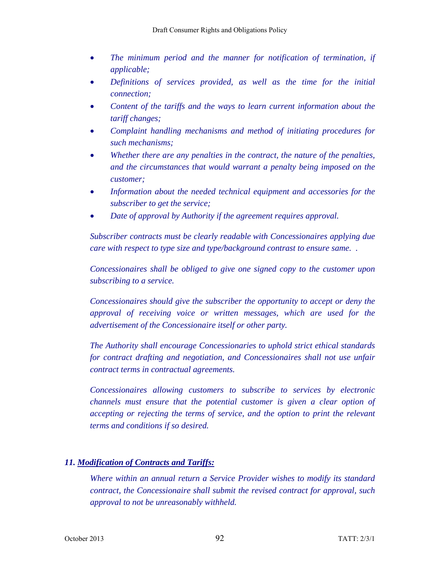- *The minimum period and the manner for notification of termination, if applicable;*
- *Definitions of services provided, as well as the time for the initial connection;*
- *Content of the tariffs and the ways to learn current information about the tariff changes;*
- *Complaint handling mechanisms and method of initiating procedures for such mechanisms;*
- *Whether there are any penalties in the contract, the nature of the penalties, and the circumstances that would warrant a penalty being imposed on the customer;*
- *Information about the needed technical equipment and accessories for the subscriber to get the service;*
- *Date of approval by Authority if the agreement requires approval.*

*Subscriber contracts must be clearly readable with Concessionaires applying due care with respect to type size and type/background contrast to ensure same. .* 

*Concessionaires shall be obliged to give one signed copy to the customer upon subscribing to a service.* 

*Concessionaires should give the subscriber the opportunity to accept or deny the approval of receiving voice or written messages, which are used for the advertisement of the Concessionaire itself or other party.* 

*The Authority shall encourage Concessionaries to uphold strict ethical standards for contract drafting and negotiation, and Concessionaires shall not use unfair contract terms in contractual agreements.* 

*Concessionaires allowing customers to subscribe to services by electronic channels must ensure that the potential customer is given a clear option of accepting or rejecting the terms of service, and the option to print the relevant terms and conditions if so desired.* 

### *11. Modification of Contracts and Tariffs:*

*Where within an annual return a Service Provider wishes to modify its standard contract, the Concessionaire shall submit the revised contract for approval, such approval to not be unreasonably withheld.*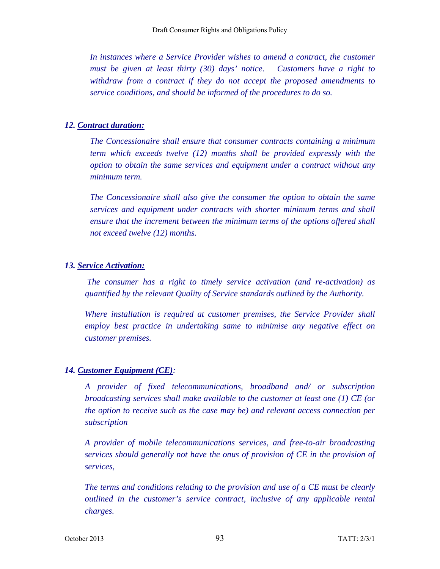In instances where a Service Provider wishes to amend a contract, the customer *must be given at least thirty (30) days' notice. Customers have a right to withdraw from a contract if they do not accept the proposed amendments to service conditions, and should be informed of the procedures to do so.* 

### *12. Contract duration:*

*The Concessionaire shall ensure that consumer contracts containing a minimum term which exceeds twelve (12) months shall be provided expressly with the option to obtain the same services and equipment under a contract without any minimum term.* 

*The Concessionaire shall also give the consumer the option to obtain the same services and equipment under contracts with shorter minimum terms and shall ensure that the increment between the minimum terms of the options offered shall not exceed twelve (12) months.* 

#### *13. Service Activation:*

 *The consumer has a right to timely service activation (and re-activation) as quantified by the relevant Quality of Service standards outlined by the Authority.* 

*Where installation is required at customer premises, the Service Provider shall employ best practice in undertaking same to minimise any negative effect on customer premises.* 

### *14. Customer Equipment (CE):*

*A provider of fixed telecommunications, broadband and/ or subscription broadcasting services shall make available to the customer at least one (1) CE (or the option to receive such as the case may be) and relevant access connection per subscription* 

*A provider of mobile telecommunications services, and free-to-air broadcasting services should generally not have the onus of provision of CE in the provision of services,* 

*The terms and conditions relating to the provision and use of a CE must be clearly outlined in the customer's service contract, inclusive of any applicable rental charges.*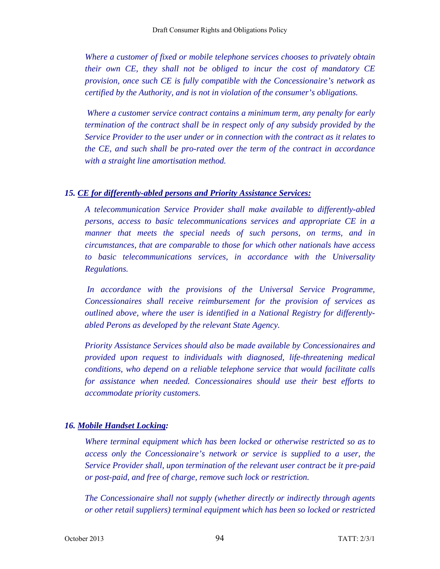*Where a customer of fixed or mobile telephone services chooses to privately obtain their own CE, they shall not be obliged to incur the cost of mandatory CE provision, once such CE is fully compatible with the Concessionaire's network as certified by the Authority, and is not in violation of the consumer's obligations.* 

 *Where a customer service contract contains a minimum term, any penalty for early termination of the contract shall be in respect only of any subsidy provided by the Service Provider to the user under or in connection with the contract as it relates to the CE, and such shall be pro-rated over the term of the contract in accordance with a straight line amortisation method.* 

#### *15. CE for differently-abled persons and Priority Assistance Services:*

*A telecommunication Service Provider shall make available to differently-abled persons, access to basic telecommunications services and appropriate CE in a manner that meets the special needs of such persons, on terms, and in circumstances, that are comparable to those for which other nationals have access to basic telecommunications services, in accordance with the Universality Regulations.* 

 *In accordance with the provisions of the Universal Service Programme, Concessionaires shall receive reimbursement for the provision of services as outlined above, where the user is identified in a National Registry for differentlyabled Perons as developed by the relevant State Agency.* 

*Priority Assistance Services should also be made available by Concessionaires and provided upon request to individuals with diagnosed, life-threatening medical conditions, who depend on a reliable telephone service that would facilitate calls for assistance when needed. Concessionaires should use their best efforts to accommodate priority customers.* 

### *16. Mobile Handset Locking:*

*Where terminal equipment which has been locked or otherwise restricted so as to access only the Concessionaire's network or service is supplied to a user, the Service Provider shall, upon termination of the relevant user contract be it pre-paid or post-paid, and free of charge, remove such lock or restriction.* 

*The Concessionaire shall not supply (whether directly or indirectly through agents or other retail suppliers) terminal equipment which has been so locked or restricted*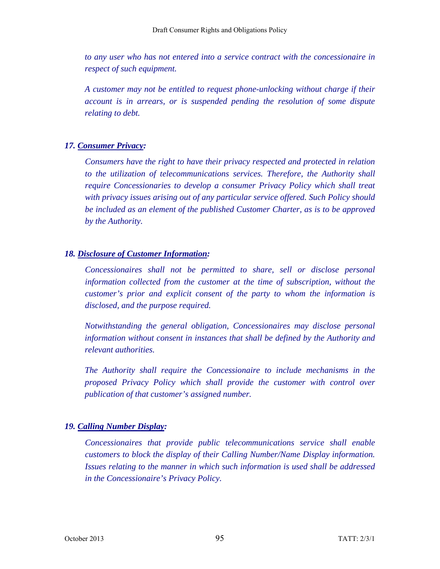*to any user who has not entered into a service contract with the concessionaire in respect of such equipment.* 

*A customer may not be entitled to request phone-unlocking without charge if their account is in arrears, or is suspended pending the resolution of some dispute relating to debt.* 

### *17. Consumer Privacy:*

*Consumers have the right to have their privacy respected and protected in relation to the utilization of telecommunications services. Therefore, the Authority shall require Concessionaries to develop a consumer Privacy Policy which shall treat with privacy issues arising out of any particular service offered. Such Policy should be included as an element of the published Customer Charter, as is to be approved by the Authority.* 

### *18. Disclosure of Customer Information:*

*Concessionaires shall not be permitted to share, sell or disclose personal information collected from the customer at the time of subscription, without the customer's prior and explicit consent of the party to whom the information is disclosed, and the purpose required.* 

*Notwithstanding the general obligation, Concessionaires may disclose personal information without consent in instances that shall be defined by the Authority and relevant authorities.* 

*The Authority shall require the Concessionaire to include mechanisms in the proposed Privacy Policy which shall provide the customer with control over publication of that customer's assigned number.* 

### *19. Calling Number Display:*

*Concessionaires that provide public telecommunications service shall enable customers to block the display of their Calling Number/Name Display information. Issues relating to the manner in which such information is used shall be addressed in the Concessionaire's Privacy Policy.*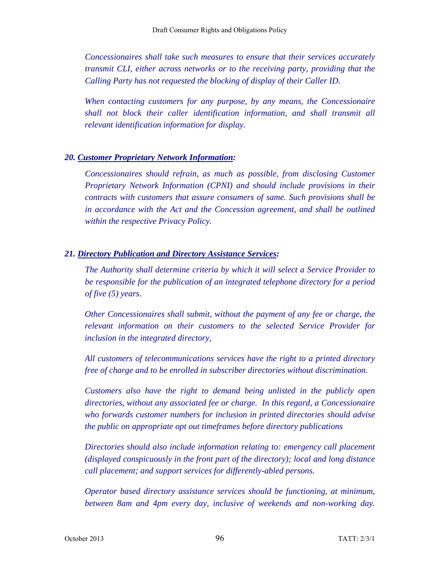*Concessionaires shall take such measures to ensure that their services accurately transmit CLI, either across networks or to the receiving party, providing that the Calling Party has not requested the blocking of display of their Caller ID.* 

*When contacting customers for any purpose, by any means, the Concessionaire shall not block their caller identification information, and shall transmit all relevant identification information for display.* 

#### *20. Customer Proprietary Network Information:*

*Concessionaires should refrain, as much as possible, from disclosing Customer Proprietary Network Information (CPNI) and should include provisions in their contracts with customers that assure consumers of same. Such provisions shall be in accordance with the Act and the Concession agreement, and shall be outlined within the respective Privacy Policy.* 

### *21. Directory Publication and Directory Assistance Services:*

*The Authority shall determine criteria by which it will select a Service Provider to be responsible for the publication of an integrated telephone directory for a period of five (5) years.* 

*Other Concessionaires shall submit, without the payment of any fee or charge, the relevant information on their customers to the selected Service Provider for inclusion in the integrated directory,* 

*All customers of telecommunications services have the right to a printed directory free of charge and to be enrolled in subscriber directories without discrimination.* 

*Customers also have the right to demand being unlisted in the publicly open directories, without any associated fee or charge. In this regard, a Concessionaire who forwards customer numbers for inclusion in printed directories should advise the public on appropriate opt out timeframes before directory publications* 

*Directories should also include information relating to: emergency call placement (displayed conspicuously in the front part of the directory); local and long distance call placement; and support services for differently-abled persons.* 

*Operator based directory assistance services should be functioning, at minimum, between 8am and 4pm every day, inclusive of weekends and non-working day.*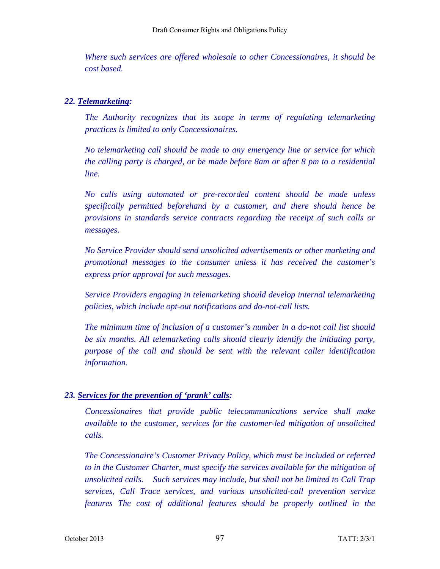*Where such services are offered wholesale to other Concessionaires, it should be cost based.* 

### *22. Telemarketing:*

*The Authority recognizes that its scope in terms of regulating telemarketing practices is limited to only Concessionaires.* 

*No telemarketing call should be made to any emergency line or service for which the calling party is charged, or be made before 8am or after 8 pm to a residential line.* 

*No calls using automated or pre-recorded content should be made unless specifically permitted beforehand by a customer, and there should hence be provisions in standards service contracts regarding the receipt of such calls or messages.* 

*No Service Provider should send unsolicited advertisements or other marketing and promotional messages to the consumer unless it has received the customer's express prior approval for such messages.* 

*Service Providers engaging in telemarketing should develop internal telemarketing policies, which include opt-out notifications and do-not-call lists.* 

*The minimum time of inclusion of a customer's number in a do-not call list should be six months. All telemarketing calls should clearly identify the initiating party, purpose of the call and should be sent with the relevant caller identification information.* 

### *23. Services for the prevention of 'prank' calls:*

*Concessionaires that provide public telecommunications service shall make available to the customer, services for the customer-led mitigation of unsolicited calls.* 

*The Concessionaire's Customer Privacy Policy, which must be included or referred to in the Customer Charter, must specify the services available for the mitigation of unsolicited calls. Such services may include, but shall not be limited to Call Trap services, Call Trace services, and various unsolicited-call prevention service features The cost of additional features should be properly outlined in the*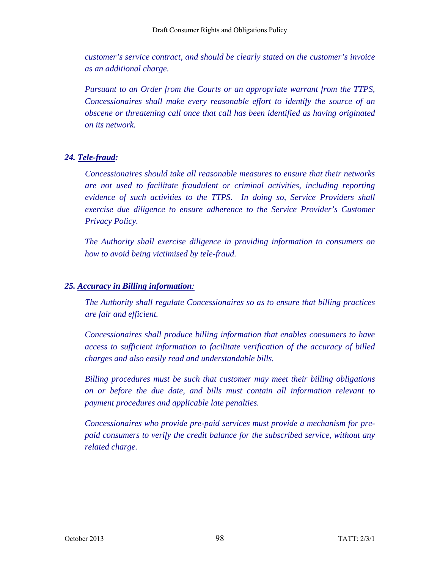*customer's service contract, and should be clearly stated on the customer's invoice as an additional charge.* 

*Pursuant to an Order from the Courts or an appropriate warrant from the TTPS, Concessionaires shall make every reasonable effort to identify the source of an obscene or threatening call once that call has been identified as having originated on its network.* 

### *24. Tele-fraud:*

*Concessionaires should take all reasonable measures to ensure that their networks are not used to facilitate fraudulent or criminal activities, including reporting evidence of such activities to the TTPS. In doing so, Service Providers shall exercise due diligence to ensure adherence to the Service Provider's Customer Privacy Policy.* 

*The Authority shall exercise diligence in providing information to consumers on how to avoid being victimised by tele-fraud.* 

### *25. Accuracy in Billing information:*

*The Authority shall regulate Concessionaires so as to ensure that billing practices are fair and efficient.* 

*Concessionaires shall produce billing information that enables consumers to have access to sufficient information to facilitate verification of the accuracy of billed charges and also easily read and understandable bills.* 

*Billing procedures must be such that customer may meet their billing obligations on or before the due date, and bills must contain all information relevant to payment procedures and applicable late penalties.* 

*Concessionaires who provide pre-paid services must provide a mechanism for prepaid consumers to verify the credit balance for the subscribed service, without any related charge.*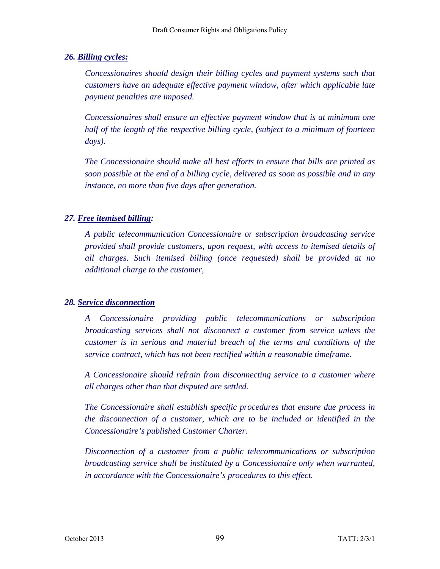*26. Billing cycles:* 

*Concessionaires should design their billing cycles and payment systems such that customers have an adequate effective payment window, after which applicable late payment penalties are imposed.* 

*Concessionaires shall ensure an effective payment window that is at minimum one half of the length of the respective billing cycle, (subject to a minimum of fourteen days).* 

*The Concessionaire should make all best efforts to ensure that bills are printed as soon possible at the end of a billing cycle, delivered as soon as possible and in any instance, no more than five days after generation.* 

### *27. Free itemised billing:*

*A public telecommunication Concessionaire or subscription broadcasting service provided shall provide customers, upon request, with access to itemised details of all charges. Such itemised billing (once requested) shall be provided at no additional charge to the customer,* 

### *28. Service disconnection*

*A Concessionaire providing public telecommunications or subscription broadcasting services shall not disconnect a customer from service unless the customer is in serious and material breach of the terms and conditions of the service contract, which has not been rectified within a reasonable timeframe.* 

*A Concessionaire should refrain from disconnecting service to a customer where all charges other than that disputed are settled.* 

*The Concessionaire shall establish specific procedures that ensure due process in the disconnection of a customer, which are to be included or identified in the Concessionaire's published Customer Charter.* 

*Disconnection of a customer from a public telecommunications or subscription broadcasting service shall be instituted by a Concessionaire only when warranted, in accordance with the Concessionaire's procedures to this effect.*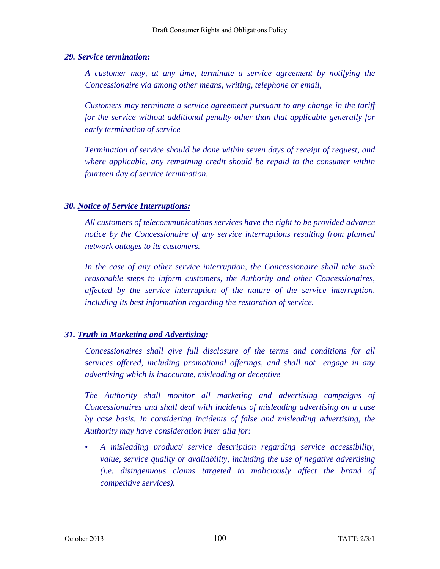### *29. Service termination:*

*A customer may, at any time, terminate a service agreement by notifying the Concessionaire via among other means, writing, telephone or email,* 

*Customers may terminate a service agreement pursuant to any change in the tariff for the service without additional penalty other than that applicable generally for early termination of service* 

*Termination of service should be done within seven days of receipt of request, and where applicable, any remaining credit should be repaid to the consumer within fourteen day of service termination.* 

### *30. Notice of Service Interruptions:*

*All customers of telecommunications services have the right to be provided advance notice by the Concessionaire of any service interruptions resulting from planned network outages to its customers.* 

*In the case of any other service interruption, the Concessionaire shall take such reasonable steps to inform customers, the Authority and other Concessionaires, affected by the service interruption of the nature of the service interruption, including its best information regarding the restoration of service.* 

### *31. Truth in Marketing and Advertising:*

*Concessionaires shall give full disclosure of the terms and conditions for all services offered, including promotional offerings, and shall not engage in any advertising which is inaccurate, misleading or deceptive* 

*The Authority shall monitor all marketing and advertising campaigns of Concessionaires and shall deal with incidents of misleading advertising on a case by case basis. In considering incidents of false and misleading advertising, the Authority may have consideration inter alia for:* 

• *A misleading product/ service description regarding service accessibility, value, service quality or availability, including the use of negative advertising (i.e. disingenuous claims targeted to maliciously affect the brand of competitive services).*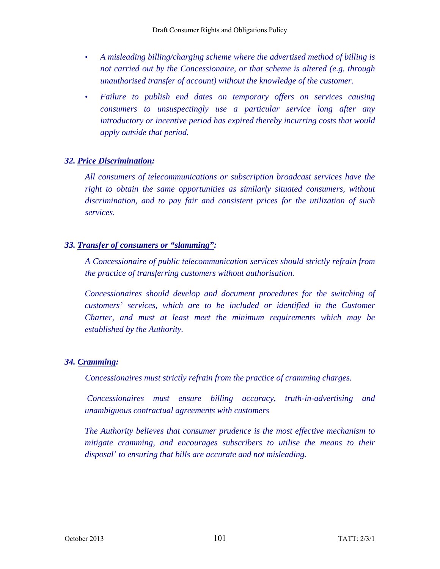- *A misleading billing/charging scheme where the advertised method of billing is not carried out by the Concessionaire, or that scheme is altered (e.g. through unauthorised transfer of account) without the knowledge of the customer.*
- *Failure to publish end dates on temporary offers on services causing consumers to unsuspectingly use a particular service long after any introductory or incentive period has expired thereby incurring costs that would apply outside that period.*

### *32. Price Discrimination:*

*All consumers of telecommunications or subscription broadcast services have the*  right to obtain the same opportunities as similarly situated consumers, without *discrimination, and to pay fair and consistent prices for the utilization of such services.* 

### *33. Transfer of consumers or "slamming":*

*A Concessionaire of public telecommunication services should strictly refrain from the practice of transferring customers without authorisation.* 

*Concessionaires should develop and document procedures for the switching of customers' services, which are to be included or identified in the Customer Charter, and must at least meet the minimum requirements which may be established by the Authority.* 

## *34. Cramming:*

*Concessionaires must strictly refrain from the practice of cramming charges.* 

 *Concessionaires must ensure billing accuracy, truth-in-advertising and unambiguous contractual agreements with customers* 

*The Authority believes that consumer prudence is the most effective mechanism to mitigate cramming, and encourages subscribers to utilise the means to their disposal' to ensuring that bills are accurate and not misleading.*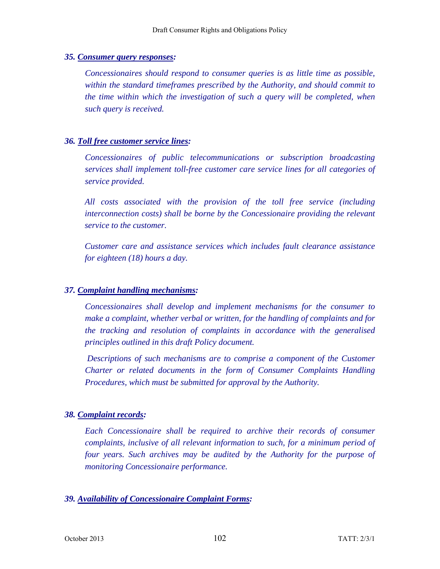#### *35. Consumer query responses:*

*Concessionaires should respond to consumer queries is as little time as possible, within the standard timeframes prescribed by the Authority, and should commit to the time within which the investigation of such a query will be completed, when such query is received.* 

#### *36. Toll free customer service lines:*

*Concessionaires of public telecommunications or subscription broadcasting services shall implement toll-free customer care service lines for all categories of service provided.* 

*All costs associated with the provision of the toll free service (including interconnection costs) shall be borne by the Concessionaire providing the relevant service to the customer.* 

*Customer care and assistance services which includes fault clearance assistance for eighteen (18) hours a day.* 

#### *37. Complaint handling mechanisms:*

*Concessionaires shall develop and implement mechanisms for the consumer to make a complaint, whether verbal or written, for the handling of complaints and for the tracking and resolution of complaints in accordance with the generalised principles outlined in this draft Policy document.* 

*Descriptions of such mechanisms are to comprise a component of the Customer Charter or related documents in the form of Consumer Complaints Handling Procedures, which must be submitted for approval by the Authority.* 

#### *38. Complaint records:*

*Each Concessionaire shall be required to archive their records of consumer complaints, inclusive of all relevant information to such, for a minimum period of four years. Such archives may be audited by the Authority for the purpose of monitoring Concessionaire performance.* 

#### *39. Availability of Concessionaire Complaint Forms:*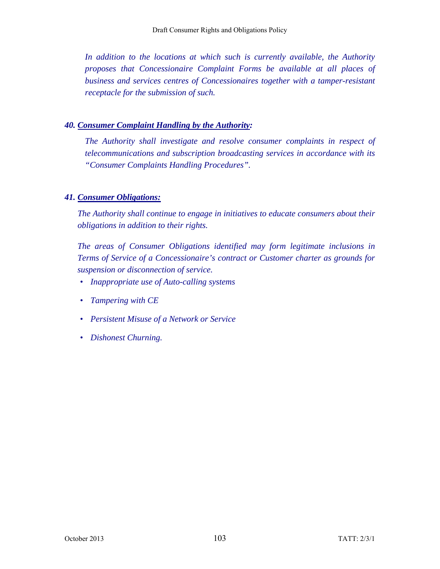In addition to the locations at which such is currently available, the Authority *proposes that Concessionaire Complaint Forms be available at all places of business and services centres of Concessionaires together with a tamper-resistant receptacle for the submission of such.* 

### *40. Consumer Complaint Handling by the Authority:*

*The Authority shall investigate and resolve consumer complaints in respect of telecommunications and subscription broadcasting services in accordance with its "Consumer Complaints Handling Procedures".* 

### *41. Consumer Obligations:*

*The Authority shall continue to engage in initiatives to educate consumers about their obligations in addition to their rights.* 

*The areas of Consumer Obligations identified may form legitimate inclusions in Terms of Service of a Concessionaire's contract or Customer charter as grounds for suspension or disconnection of service.* 

- *Inappropriate use of Auto-calling systems*
- *Tampering with CE*
- *Persistent Misuse of a Network or Service*
- *Dishonest Churning.*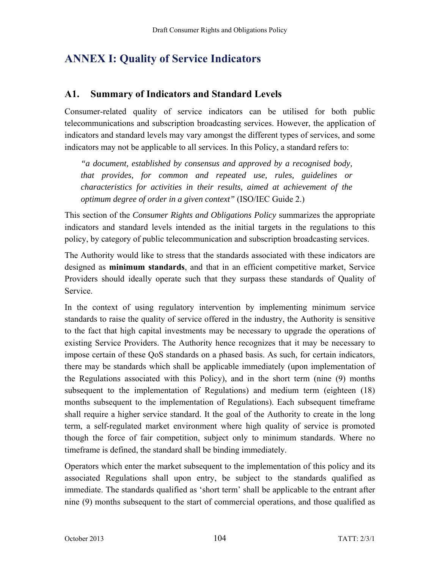# **ANNEX I: Quality of Service Indicators**

## **A1. Summary of Indicators and Standard Levels**

Consumer-related quality of service indicators can be utilised for both public telecommunications and subscription broadcasting services. However, the application of indicators and standard levels may vary amongst the different types of services, and some indicators may not be applicable to all services. In this Policy, a standard refers to:

*"a document, established by consensus and approved by a recognised body, that provides, for common and repeated use, rules, guidelines or characteristics for activities in their results, aimed at achievement of the optimum degree of order in a given context"* (ISO/IEC Guide 2.)

This section of the *Consumer Rights and Obligations Policy* summarizes the appropriate indicators and standard levels intended as the initial targets in the regulations to this policy, by category of public telecommunication and subscription broadcasting services.

The Authority would like to stress that the standards associated with these indicators are designed as **minimum standards**, and that in an efficient competitive market, Service Providers should ideally operate such that they surpass these standards of Quality of Service.

In the context of using regulatory intervention by implementing minimum service standards to raise the quality of service offered in the industry, the Authority is sensitive to the fact that high capital investments may be necessary to upgrade the operations of existing Service Providers. The Authority hence recognizes that it may be necessary to impose certain of these QoS standards on a phased basis. As such, for certain indicators, there may be standards which shall be applicable immediately (upon implementation of the Regulations associated with this Policy), and in the short term (nine (9) months subsequent to the implementation of Regulations) and medium term (eighteen (18) months subsequent to the implementation of Regulations). Each subsequent timeframe shall require a higher service standard. It the goal of the Authority to create in the long term, a self-regulated market environment where high quality of service is promoted though the force of fair competition, subject only to minimum standards. Where no timeframe is defined, the standard shall be binding immediately.

Operators which enter the market subsequent to the implementation of this policy and its associated Regulations shall upon entry, be subject to the standards qualified as immediate. The standards qualified as 'short term' shall be applicable to the entrant after nine (9) months subsequent to the start of commercial operations, and those qualified as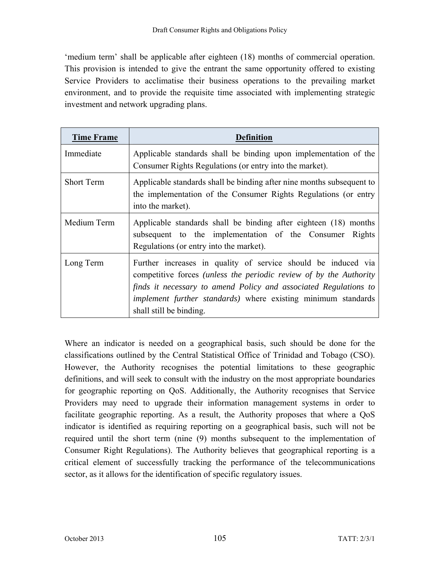'medium term' shall be applicable after eighteen (18) months of commercial operation. This provision is intended to give the entrant the same opportunity offered to existing Service Providers to acclimatise their business operations to the prevailing market environment, and to provide the requisite time associated with implementing strategic investment and network upgrading plans.

| <b>Time Frame</b> | Definition                                                                                                                                                                                                                                                                                          |
|-------------------|-----------------------------------------------------------------------------------------------------------------------------------------------------------------------------------------------------------------------------------------------------------------------------------------------------|
| Immediate         | Applicable standards shall be binding upon implementation of the<br>Consumer Rights Regulations (or entry into the market).                                                                                                                                                                         |
| <b>Short Term</b> | Applicable standards shall be binding after nine months subsequent to<br>the implementation of the Consumer Rights Regulations (or entry<br>into the market).                                                                                                                                       |
| Medium Term       | Applicable standards shall be binding after eighteen (18) months<br>subsequent to the implementation of the Consumer<br>Rights<br>Regulations (or entry into the market).                                                                                                                           |
| Long Term         | Further increases in quality of service should be induced via<br>competitive forces (unless the periodic review of by the Authority<br>finds it necessary to amend Policy and associated Regulations to<br>implement further standards) where existing minimum standards<br>shall still be binding. |

Where an indicator is needed on a geographical basis, such should be done for the classifications outlined by the Central Statistical Office of Trinidad and Tobago (CSO). However, the Authority recognises the potential limitations to these geographic definitions, and will seek to consult with the industry on the most appropriate boundaries for geographic reporting on QoS. Additionally, the Authority recognises that Service Providers may need to upgrade their information management systems in order to facilitate geographic reporting. As a result, the Authority proposes that where a QoS indicator is identified as requiring reporting on a geographical basis, such will not be required until the short term (nine (9) months subsequent to the implementation of Consumer Right Regulations). The Authority believes that geographical reporting is a critical element of successfully tracking the performance of the telecommunications sector, as it allows for the identification of specific regulatory issues.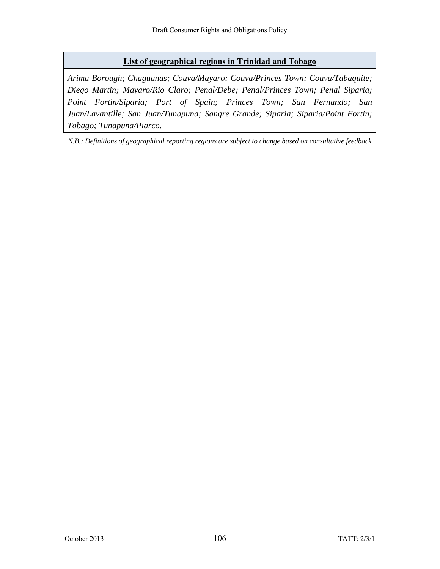#### **List of geographical regions in Trinidad and Tobago**

*Arima Borough; Chaguanas; Couva/Mayaro; Couva/Princes Town; Couva/Tabaquite; Diego Martin; Mayaro/Rio Claro; Penal/Debe; Penal/Princes Town; Penal Siparia; Point Fortin/Siparia; Port of Spain; Princes Town; San Fernando; San Juan/Lavantille; San Juan/Tunapuna; Sangre Grande; Siparia; Siparia/Point Fortin; Tobago; Tunapuna/Piarco.*

*N.B.: Definitions of geographical reporting regions are subject to change based on consultative feedback*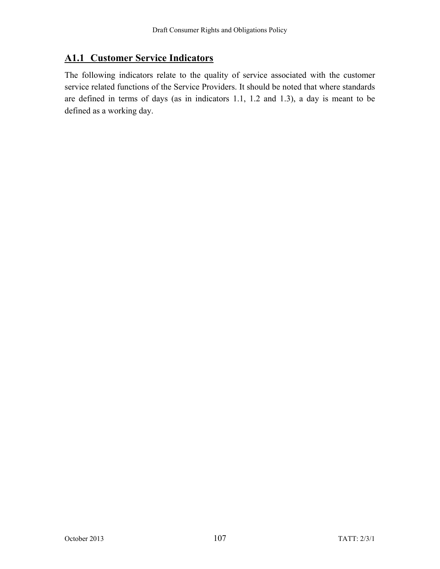# **A1.1 Customer Service Indicators**

The following indicators relate to the quality of service associated with the customer service related functions of the Service Providers. It should be noted that where standards are defined in terms of days (as in indicators 1.1, 1.2 and 1.3), a day is meant to be defined as a working day.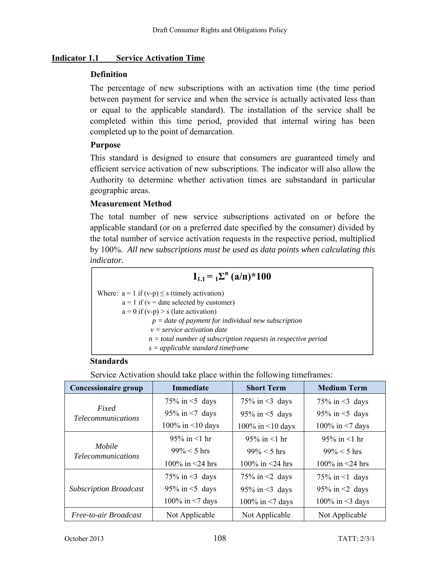#### **Indicator 1.1 Service Activation Time**

#### **Definition**

The percentage of new subscriptions with an activation time (the time period between payment for service and when the service is actually activated less than or equal to the applicable standard). The installation of the service shall be completed within this time period, provided that internal wiring has been completed up to the point of demarcation.

### **Purpose**

This standard is designed to ensure that consumers are guaranteed timely and efficient service activation of new subscriptions. The indicator will also allow the Authority to determine whether activation times are substandard in particular geographic areas.

### **Measurement Method**

The total number of new service subscriptions activated on or before the applicable standard (or on a preferred date specified by the consumer) divided by the total number of service activation requests in the respective period, multiplied by 100%. *All new subscriptions must be used as data points when calculating this indicator.* 

| $I_{1,1} = \Sigma^{n} (a/n)^{*} 100$ |  |  |  |  |
|--------------------------------------|--|--|--|--|
|                                      |  |  |  |  |
|                                      |  |  |  |  |
|                                      |  |  |  |  |
|                                      |  |  |  |  |
|                                      |  |  |  |  |
|                                      |  |  |  |  |
|                                      |  |  |  |  |
|                                      |  |  |  |  |

#### **Standards**

Service Activation should take place within the following timeframes:

| <b>Concessionaire group</b>         | <b>Immediate</b>       | <b>Short Term</b>      | <b>Medium Term</b>     |
|-------------------------------------|------------------------|------------------------|------------------------|
|                                     | 75% in $\leq$ 5 days   | 75% in $\leq$ 3 days   | 75% in $\leq$ 3 days   |
| Fixed<br><i>Telecommunications</i>  | 95% in $\leq$ 7 days   | 95% in $<$ 5 days      | 95% in $\leq$ 5 days   |
|                                     | 100% in $\leq$ 10 days | 100% in $\leq$ 10 days | 100% in $<$ 7 days     |
|                                     | 95% in $<$ 1 hr        | 95% in $<$ 1 hr        | 95% in $<$ 1 hr        |
| Mobile<br><i>Telecommunications</i> | $99\% < 5$ hrs         | $99\% < 5$ hrs         | $99\% < 5$ hrs         |
|                                     | 100\% in $\leq$ 24 hrs | 100\% in $\leq$ 24 hrs | 100\% in $\leq$ 24 hrs |
|                                     | 75% in $\leq$ 3 days   | 75% in $\leq$ days     | 75% in $\leq$ 1 days   |
| <b>Subscription Broadcast</b>       | $95\%$ in $\leq$ days  | 95% in $\leq$ 3 days   | 95% in $\leq$ days     |
|                                     | 100% in $<$ 7 days     | 100% in $<$ 7 days     | 100% in $\leq$ 3 days  |
| Free-to-air Broadcast               | Not Applicable         | Not Applicable         | Not Applicable         |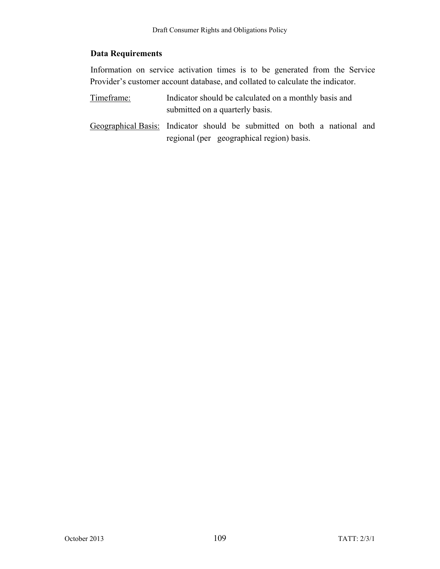#### **Data Requirements**

Information on service activation times is to be generated from the Service Provider's customer account database, and collated to calculate the indicator.

- Timeframe: Indicator should be calculated on a monthly basis and submitted on a quarterly basis.
- Geographical Basis: Indicator should be submitted on both a national and regional (per geographical region) basis.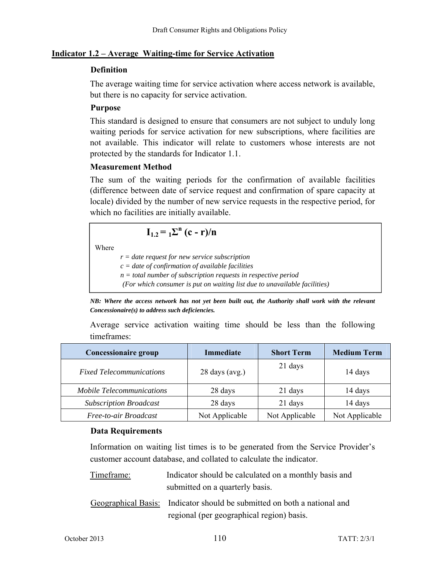#### **Indicator 1.2 – Average Waiting-time for Service Activation**

#### **Definition**

The average waiting time for service activation where access network is available, but there is no capacity for service activation.

#### **Purpose**

This standard is designed to ensure that consumers are not subject to unduly long waiting periods for service activation for new subscriptions, where facilities are not available. This indicator will relate to customers whose interests are not protected by the standards for Indicator 1.1.

#### **Measurement Method**

The sum of the waiting periods for the confirmation of available facilities (difference between date of service request and confirmation of spare capacity at locale) divided by the number of new service requests in the respective period, for which no facilities are initially available.

$$
\mathbf{I}_{1.2} = \mathbf{I} \Sigma^{\mathbf{n}} (\mathbf{c} - \mathbf{r})/\mathbf{n}
$$

Where

*r = date request for new service subscription* 

- *c = date of confirmation of available facilities*
- *n = total number of subscription requests in respective period*

 *(For which consumer is put on waiting list due to unavailable facilities)* 

*NB: Where the access network has not yet been built out, the Authority shall work with the relevant Concessionaire(s) to address such deficiencies.* 

|             | Average service activation waiting time should be less than the following |  |  |  |  |
|-------------|---------------------------------------------------------------------------|--|--|--|--|
| timeframes: |                                                                           |  |  |  |  |

| <b>Concessionaire group</b>      | Immediate        | <b>Short Term</b> | <b>Medium Term</b> |
|----------------------------------|------------------|-------------------|--------------------|
| <b>Fixed Telecommunications</b>  | $28$ days (avg.) | 21 days           | 14 days            |
| <b>Mobile Telecommunications</b> | 28 days          | 21 days           | 14 days            |
| <b>Subscription Broadcast</b>    | 28 days          | 21 days           | 14 days            |
| Free-to-air Broadcast            | Not Applicable   | Not Applicable    | Not Applicable     |

#### **Data Requirements**

Information on waiting list times is to be generated from the Service Provider's customer account database, and collated to calculate the indicator.

| Timeframe: | Indicator should be calculated on a monthly basis and<br>submitted on a quarterly basis.                              |
|------------|-----------------------------------------------------------------------------------------------------------------------|
|            | Geographical Basis: Indicator should be submitted on both a national and<br>regional (per geographical region) basis. |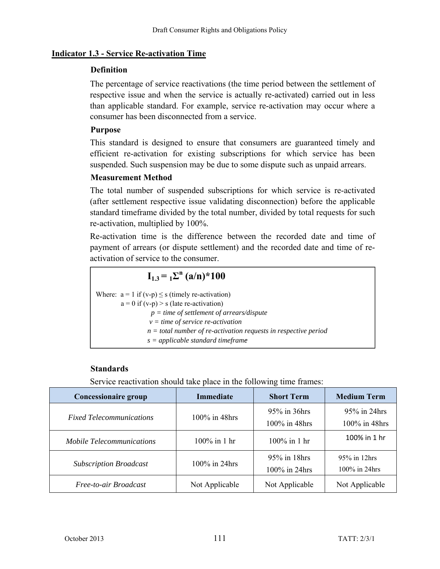#### **Indicator 1.3 - Service Re-activation Time**

### **Definition**

The percentage of service reactivations (the time period between the settlement of respective issue and when the service is actually re-activated) carried out in less than applicable standard. For example, service re-activation may occur where a consumer has been disconnected from a service.

### **Purpose**

This standard is designed to ensure that consumers are guaranteed timely and efficient re-activation for existing subscriptions for which service has been suspended. Such suspension may be due to some dispute such as unpaid arrears.

## **Measurement Method**

The total number of suspended subscriptions for which service is re-activated (after settlement respective issue validating disconnection) before the applicable standard timeframe divided by the total number, divided by total requests for such re-activation, multiplied by 100%.

Re-activation time is the difference between the recorded date and time of payment of arrears (or dispute settlement) and the recorded date and time of reactivation of service to the consumer.

$$
I_{1,3} = {}_{1}\Sigma^{n} (a/n)^* 100
$$

Where:  $a = 1$  if  $(v-p) \leq s$  (timely re-activation)  $a = 0$  if  $(v-p) > s$  (late re-activation)  *p = time of settlement of arrears/dispute v = time of service re-activation n = total number of re-activation requests in respective period s = applicable standard timeframe*

#### **Standards**

Service reactivation should take place in the following time frames:

| <b>Concessionaire group</b>      | <b>Immediate</b> | <b>Short Term</b>                | <b>Medium Term</b>               |
|----------------------------------|------------------|----------------------------------|----------------------------------|
| <b>Fixed Telecommunications</b>  | 100% in 48hrs    | 95% in 36hrs<br>$100\%$ in 48hrs | 95% in 24hrs<br>100% in 48hrs    |
| <i>Mobile Telecommunications</i> | 100% in 1 hr     | 100% in 1 hr                     | 100% in 1 hr                     |
| <b>Subscription Broadcast</b>    | 100% in 24hrs    | $95\%$ in 18hrs<br>100% in 24hrs | $95\%$ in 12hrs<br>100% in 24hrs |
| Free-to-air Broadcast            | Not Applicable   | Not Applicable                   | Not Applicable                   |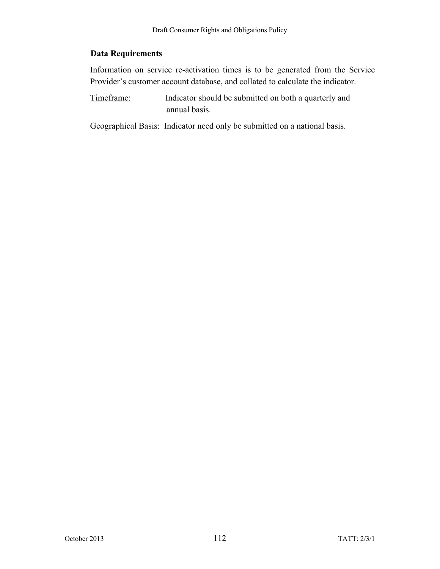### **Data Requirements**

Information on service re-activation times is to be generated from the Service Provider's customer account database, and collated to calculate the indicator.

Timeframe: Indicator should be submitted on both a quarterly and annual basis.

Geographical Basis: Indicator need only be submitted on a national basis.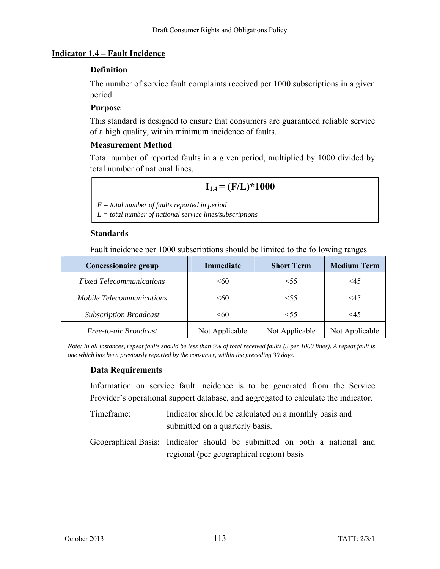#### **Indicator 1.4 – Fault Incidence**

#### **Definition**

The number of service fault complaints received per 1000 subscriptions in a given period.

### **Purpose**

This standard is designed to ensure that consumers are guaranteed reliable service of a high quality, within minimum incidence of faults.

## **Measurement Method**

Total number of reported faults in a given period, multiplied by 1000 divided by total number of national lines.

## $I_{1.4} = (F/L)*1000$

*F = total number of faults reported in period L = total number of national service lines/subscriptions* 

### **Standards**

Fault incidence per 1000 subscriptions should be limited to the following ranges

| <b>Concessionaire group</b>      | <b>Immediate</b> | <b>Short Term</b> | <b>Medium Term</b> |
|----------------------------------|------------------|-------------------|--------------------|
| <b>Fixed Telecommunications</b>  | < 60             | $<$ 55            | $\leq 45$          |
| <b>Mobile Telecommunications</b> | < 60             | $<$ 55            | <45                |
| <b>Subscription Broadcast</b>    | < 60             | $<$ 55            | $\leq 45$          |
| Free-to-air Broadcast            | Not Applicable   | Not Applicable    | Not Applicable     |

*Note: In all instances, repeat faults should be less than 5% of total received faults (3 per 1000 lines). A repeat fault is one which has been previously reported by the consumer, within the preceding 30 days.* 

## **Data Requirements**

Information on service fault incidence is to be generated from the Service Provider's operational support database, and aggregated to calculate the indicator.

- Timeframe: Indicator should be calculated on a monthly basis and submitted on a quarterly basis.
- Geographical Basis: Indicator should be submitted on both a national and regional (per geographical region) basis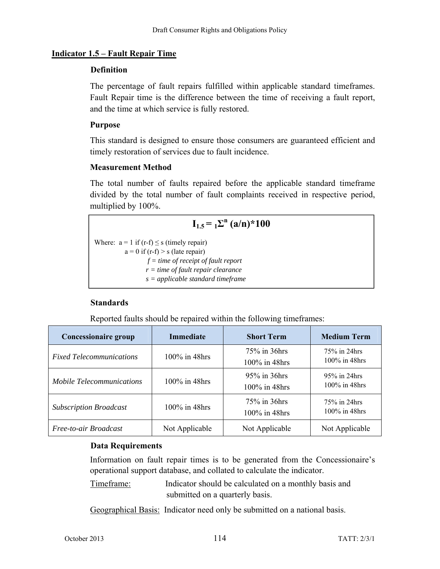#### **Indicator 1.5 – Fault Repair Time**

#### **Definition**

The percentage of fault repairs fulfilled within applicable standard timeframes. Fault Repair time is the difference between the time of receiving a fault report, and the time at which service is fully restored.

#### **Purpose**

This standard is designed to ensure those consumers are guaranteed efficient and timely restoration of services due to fault incidence.

### **Measurement Method**

The total number of faults repaired before the applicable standard timeframe divided by the total number of fault complaints received in respective period, multiplied by 100%.

## $I_{1.5} = I_{2}^n (a/n)^* 100$

Where:  $a = 1$  if (r-f)  $\leq s$  (timely repair)  $a = 0$  if  $(r-f) > s$  (late repair)  *f = time of receipt of fault report r = time of fault repair clearance s = applicable standard timeframe*

## **Standards**

Reported faults should be repaired within the following timeframes:

| <b>Concessionaire group</b>      | <b>Immediate</b> | <b>Short Term</b>                | <b>Medium Term</b>               |
|----------------------------------|------------------|----------------------------------|----------------------------------|
| <b>Fixed Telecommunications</b>  | 100% in 48hrs    | 75% in 36hrs<br>$100\%$ in 48hrs | 75% in 24hrs<br>$100\%$ in 48hrs |
| <b>Mobile Telecommunications</b> | 100% in 48hrs    | 95% in 36hrs<br>$100\%$ in 48hrs | 95% in 24hrs<br>$100\%$ in 48hrs |
| <b>Subscription Broadcast</b>    | 100% in 48hrs    | 75% in 36hrs<br>$100\%$ in 48hrs | 75% in 24hrs<br>$100\%$ in 48hrs |
| Free-to-air Broadcast            | Not Applicable   | Not Applicable                   | Not Applicable                   |

## **Data Requirements**

Information on fault repair times is to be generated from the Concessionaire's operational support database, and collated to calculate the indicator.

Timeframe: Indicator should be calculated on a monthly basis and submitted on a quarterly basis.

Geographical Basis: Indicator need only be submitted on a national basis.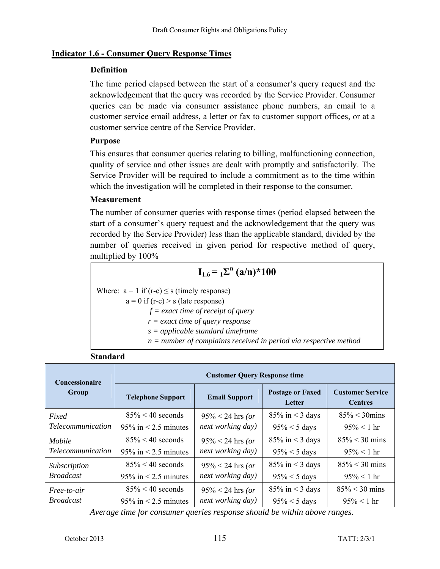#### **Indicator 1.6 - Consumer Query Response Times**

#### **Definition**

The time period elapsed between the start of a consumer's query request and the acknowledgement that the query was recorded by the Service Provider. Consumer queries can be made via consumer assistance phone numbers, an email to a customer service email address, a letter or fax to customer support offices, or at a customer service centre of the Service Provider.

#### **Purpose**

This ensures that consumer queries relating to billing, malfunctioning connection, quality of service and other issues are dealt with promptly and satisfactorily. The Service Provider will be required to include a commitment as to the time within which the investigation will be completed in their response to the consumer.

#### **Measurement**

**Standard** 

The number of consumer queries with response times (period elapsed between the start of a consumer's query request and the acknowledgement that the query was recorded by the Service Provider) less than the applicable standard, divided by the number of queries received in given period for respective method of query, multiplied by 100%

## $I_{1.6} = I_{2}^n (a/n)^* 100$

Where:  $a = 1$  if (r-c)  $\leq s$  (timely response)

 $a = 0$  if (r-c) > s (late response)  *f = exact time of receipt of query r = exact time of query response s = applicable standard timeframe n = number of complaints received in period via respective method*

| <b>Concessionaire</b> | <b>Customer Query Response time</b> |                      |                                   |                                           |  |  |
|-----------------------|-------------------------------------|----------------------|-----------------------------------|-------------------------------------------|--|--|
| Group                 | <b>Telephone Support</b>            | <b>Email Support</b> | <b>Postage or Faxed</b><br>Letter | <b>Customer Service</b><br><b>Centres</b> |  |  |
| Fixed                 | $85\% < 40$ seconds                 | $95\% < 24$ hrs (or  | $85\%$ in < 3 days                | $85\% < 30 \text{mins}$                   |  |  |
| Telecommunication     | 95% in $\leq$ 2.5 minutes           | next working day)    | $95\% < 5$ days                   | $95\% < 1$ hr                             |  |  |
| Mobile                | $85\% < 40$ seconds                 | $95\% < 24$ hrs (or  | $85\%$ in < 3 days                | $85\% < 30$ mins                          |  |  |
| Telecommunication     | $95\%$ in < 2.5 minutes             | next working day)    | $95\% < 5$ days                   | $95\% < 1$ hr                             |  |  |
| <b>Subscription</b>   | $85\% < 40$ seconds                 | $95\% < 24$ hrs (or  | $85\%$ in < 3 days                | $85\% < 30$ mins                          |  |  |
| Broadcast             | $95\%$ in < 2.5 minutes             | next working day)    | $95\% < 5$ days                   | $95\% < 1$ hr                             |  |  |
| Free-to-air           | $85\% < 40$ seconds                 | $95\% < 24$ hrs (or  | $85\%$ in < 3 days                | $85\% < 30$ mins                          |  |  |
| Broadcast             | $95\%$ in < 2.5 minutes             | next working day)    | $95\% < 5$ days                   | $95\% < 1$ hr                             |  |  |

*Average time for consumer queries response should be within above ranges.*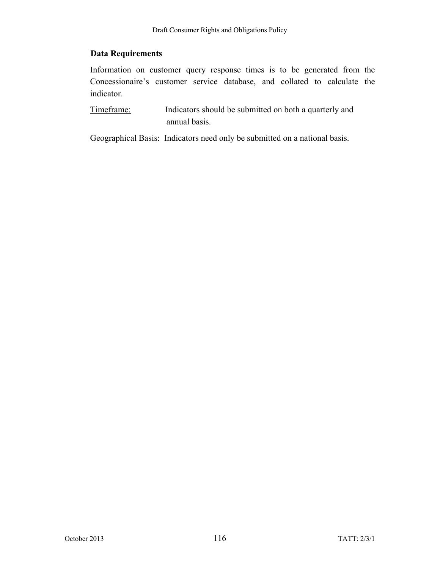### **Data Requirements**

Information on customer query response times is to be generated from the Concessionaire's customer service database, and collated to calculate the indicator.

Timeframe: Indicators should be submitted on both a quarterly and annual basis.

Geographical Basis: Indicators need only be submitted on a national basis.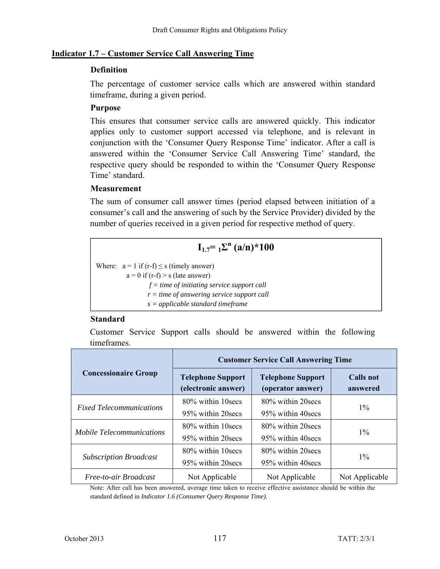#### **Indicator 1.7 – Customer Service Call Answering Time**

#### **Definition**

The percentage of customer service calls which are answered within standard timeframe, during a given period.

#### **Purpose**

This ensures that consumer service calls are answered quickly. This indicator applies only to customer support accessed via telephone, and is relevant in conjunction with the 'Consumer Query Response Time' indicator. After a call is answered within the 'Consumer Service Call Answering Time' standard, the respective query should be responded to within the 'Consumer Query Response Time' standard.

#### **Measurement**

The sum of consumer call answer times (period elapsed between initiation of a consumer's call and the answering of such by the Service Provider) divided by the number of queries received in a given period for respective method of query.

## $I_{1.7} = I_{1} \Sigma^{n} (a/n)^* 100$

Where:  $a = 1$  if (r-f)  $\leq$  s (timely answer)  $a = 0$  if  $(r-f) > s$  (late answer)

 *f = time of initiating service support call* 

*r = time of answering service support call s = applicable standard timeframe*

#### **Standard**

Customer Service Support calls should be answered within the following timeframes.

|                                  | <b>Customer Service Call Answering Time</b>     |                                               |                       |  |
|----------------------------------|-------------------------------------------------|-----------------------------------------------|-----------------------|--|
| <b>Concessionaire Group</b>      | <b>Telephone Support</b><br>(electronic answer) | <b>Telephone Support</b><br>(operator answer) | Calls not<br>answered |  |
|                                  | 80% within 10 secs                              | 80% within 20 secs                            |                       |  |
| <b>Fixed Telecommunications</b>  | 95% within 20 secs                              | 95% within 40 secs                            | $1\%$                 |  |
|                                  | 80% within 10 secs                              | 80% within 20 secs                            |                       |  |
| <b>Mobile Telecommunications</b> | 95% within 20 secs                              | 95% within 40 secs                            | $1\%$                 |  |
|                                  | 80% within 10 secs                              | 80% within 20 secs                            |                       |  |
| <b>Subscription Broadcast</b>    | 95% within 20 secs                              | 95% within 40 secs                            | $1\%$                 |  |
| Free-to-air Broadcast            | Not Applicable                                  | Not Applicable                                | Not Applicable        |  |

Note: After call has been answered, average time taken to receive effective assistance should be within the standard defined in *Indicator 1.6 (Consumer Query Response Time).*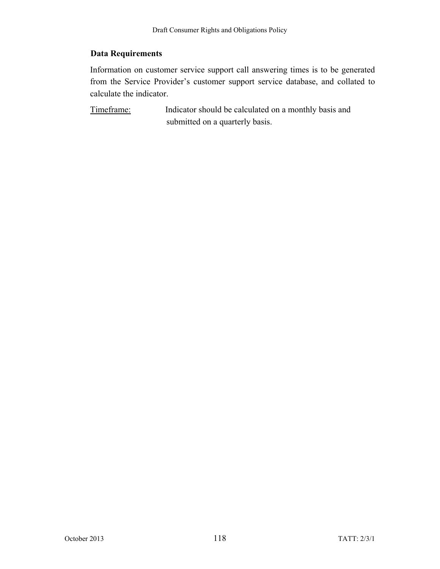### **Data Requirements**

Information on customer service support call answering times is to be generated from the Service Provider's customer support service database, and collated to calculate the indicator.

Timeframe: Indicator should be calculated on a monthly basis and submitted on a quarterly basis.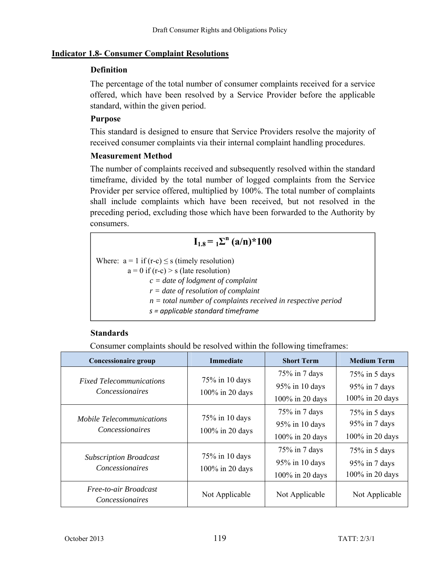#### **Indicator 1.8- Consumer Complaint Resolutions**

#### **Definition**

The percentage of the total number of consumer complaints received for a service offered, which have been resolved by a Service Provider before the applicable standard, within the given period.

#### **Purpose**

This standard is designed to ensure that Service Providers resolve the majority of received consumer complaints via their internal complaint handling procedures.

#### **Measurement Method**

The number of complaints received and subsequently resolved within the standard timeframe, divided by the total number of logged complaints from the Service Provider per service offered, multiplied by 100%. The total number of complaints shall include complaints which have been received, but not resolved in the preceding period, excluding those which have been forwarded to the Authority by consumers.

## $I_{1.8} = I_{1.8}^{\text{D}}$  (a/n)\*100

Where:  $a = 1$  if  $(r-c) \leq s$  (timely resolution)  $a = 0$  if  $(r-c) > s$  (late resolution)  *c = date of lodgment of complaint r = date of resolution of complaint n = total number of complaints received in respective period s = applicable standard timeframe*

#### **Standards**

Consumer complaints should be resolved within the following timeframes:

| <b>Concessionaire group</b>                                | <b>Immediate</b>                  | <b>Short Term</b> | <b>Medium Term</b> |
|------------------------------------------------------------|-----------------------------------|-------------------|--------------------|
| <b>Fixed Telecommunications</b>                            | $75\%$ in 10 days                 | $75\%$ in 7 days  | $75\%$ in 5 days   |
| <i>Concessionaires</i>                                     |                                   | 95% in 10 days    | 95% in 7 days      |
|                                                            | 100% in 20 days                   | 100% in 20 days   | 100% in 20 days    |
|                                                            |                                   | $75\%$ in 7 days  | $75\%$ in 5 days   |
| <i>Mobile Telecommunications</i><br><i>Concessionaires</i> | 75% in 10 days<br>100% in 20 days | 95% in 10 days    | 95% in 7 days      |
|                                                            |                                   | 100% in 20 days   | 100% in 20 days    |
|                                                            |                                   | $75\%$ in 7 days  | $75\%$ in 5 days   |
| <b>Subscription Broadcast</b><br><i>Concessionaires</i>    | 75% in 10 days                    | 95% in 10 days    | $95\%$ in 7 days   |
|                                                            | 100% in 20 days                   | 100% in 20 days   | 100% in 20 days    |
| Free-to-air Broadcast<br><i>Concessionaires</i>            | Not Applicable                    | Not Applicable    | Not Applicable     |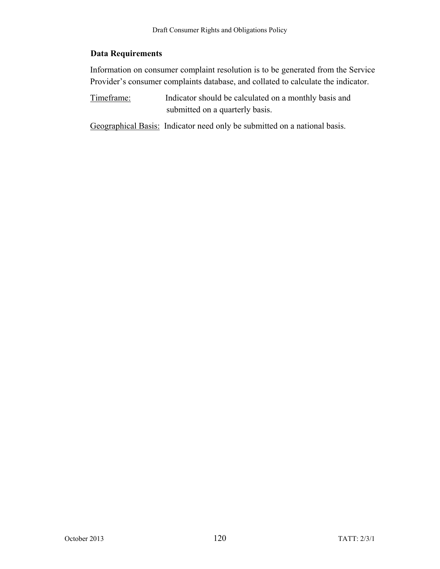### **Data Requirements**

Information on consumer complaint resolution is to be generated from the Service Provider's consumer complaints database, and collated to calculate the indicator.

Timeframe: Indicator should be calculated on a monthly basis and submitted on a quarterly basis.

Geographical Basis: Indicator need only be submitted on a national basis.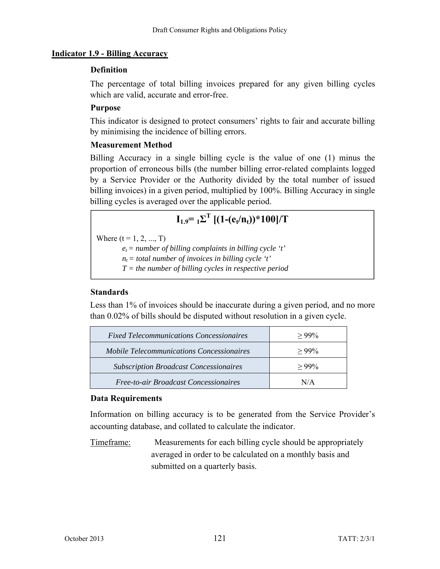#### **Indicator 1.9 - Billing Accuracy**

#### **Definition**

The percentage of total billing invoices prepared for any given billing cycles which are valid, accurate and error-free.

#### **Purpose**

This indicator is designed to protect consumers' rights to fair and accurate billing by minimising the incidence of billing errors.

#### **Measurement Method**

Billing Accuracy in a single billing cycle is the value of one (1) minus the proportion of erroneous bills (the number billing error-related complaints logged by a Service Provider or the Authority divided by the total number of issued billing invoices) in a given period, multiplied by 100%. Billing Accuracy in single billing cycles is averaged over the applicable period.

# $I_{1.9} = I_{1} \Sigma^{T}$  [(1-(e<sub>t</sub>/n<sub>t</sub>))\*100]/T

Where  $(t = 1, 2, ..., T)$ 

 $e_t$  = number of billing complaints in billing cycle 't'

 $n_t =$  total number of invoices in billing cycle 't'

*T = the number of billing cycles in respective period* 

#### **Standards**

Less than 1% of invoices should be inaccurate during a given period, and no more than 0.02% of bills should be disputed without resolution in a given cycle.

| <i>Fixed Telecommunications Concessionaires</i>  | $>99\%$  |
|--------------------------------------------------|----------|
| <b>Mobile Telecommunications Concessionaires</b> | $>99\%$  |
| <b>Subscription Broadcast Concessionaires</b>    | $> 99\%$ |
| <b>Free-to-air Broadcast Concessionaires</b>     | N/A      |

#### **Data Requirements**

Information on billing accuracy is to be generated from the Service Provider's accounting database, and collated to calculate the indicator.

Timeframe: Measurements for each billing cycle should be appropriately averaged in order to be calculated on a monthly basis and submitted on a quarterly basis.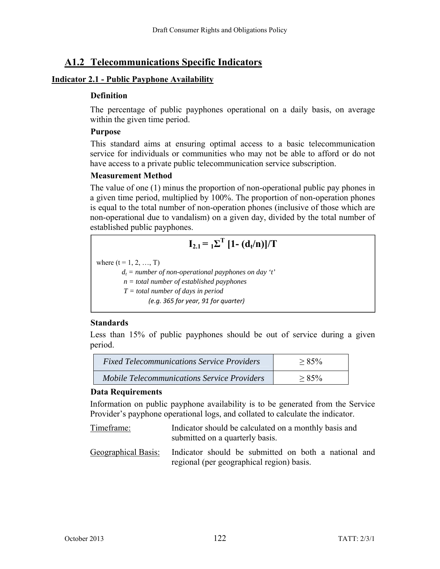## **A1.2 Telecommunications Specific Indicators**

#### **Indicator 2.1 - Public Payphone Availability**

#### **Definition**

The percentage of public payphones operational on a daily basis, on average within the given time period.

### **Purpose**

This standard aims at ensuring optimal access to a basic telecommunication service for individuals or communities who may not be able to afford or do not have access to a private public telecommunication service subscription.

## **Measurement Method**

The value of one (1) minus the proportion of non-operational public pay phones in a given time period, multiplied by 100%. The proportion of non-operation phones is equal to the total number of non-operation phones (inclusive of those which are non-operational due to vandalism) on a given day, divided by the total number of established public payphones.

$$
I_{2.1} = {}_1\Sigma^T [1 - (d_t/n)]/T
$$

where  $(t = 1, 2, ..., T)$ 

 $d_t$  = number of non-operational payphones on day 't'

 *n = total number of established payphones* 

 *T = total number of days in period* 

 *(e.g. 365 for year, 91 for quarter)*

## **Standards**

Less than 15% of public payphones should be out of service during a given period.

| <b>Fixed Telecommunications Service Providers</b>  | $> 85\%$  |
|----------------------------------------------------|-----------|
| <i>Mobile Telecommunications Service Providers</i> | $> 8.5\%$ |

#### **Data Requirements**

Information on public payphone availability is to be generated from the Service Provider's payphone operational logs, and collated to calculate the indicator.

- Timeframe: Indicator should be calculated on a monthly basis and submitted on a quarterly basis.
- Geographical Basis: Indicator should be submitted on both a national and regional (per geographical region) basis.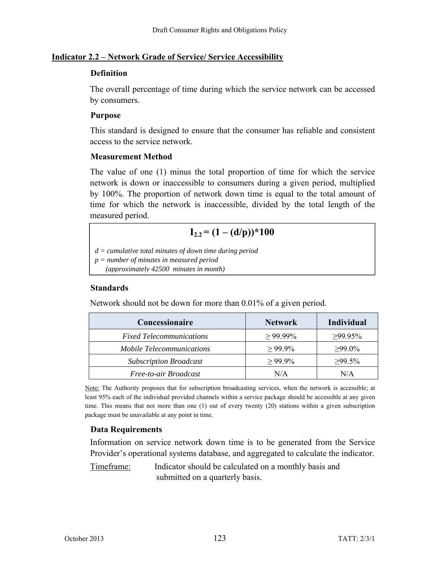#### **Indicator 2.2 – Network Grade of Service/ Service Accessibility**

#### **Definition**

The overall percentage of time during which the service network can be accessed by consumers.

### **Purpose**

This standard is designed to ensure that the consumer has reliable and consistent access to the service network.

## **Measurement Method**

The value of one (1) minus the total proportion of time for which the service network is down or inaccessible to consumers during a given period, multiplied by 100%. The proportion of network down time is equal to the total amount of time for which the network is inaccessible, divided by the total length of the measured period.

## $I_{2.2} = (1 - (d/p))^* 100$

*d = cumulative total minutes of down time during period* 

*p = number of minutes in measured period* 

 *(approximately 42500 minutes in month)*

### **Standards**

Network should not be down for more than 0.01% of a given period.

| Concessionaire                   | <b>Network</b> | <b>Individual</b> |
|----------------------------------|----------------|-------------------|
| <b>Fixed Telecommunications</b>  | $\geq 99.99\%$ | $>99.95\%$        |
| <i>Mobile Telecommunications</i> | $>99.9\%$      | $≥99.0\%$         |
| <b>Subscription Broadcast</b>    | $>99.9\%$      | $>99.5\%$         |
| Free-to-air Broadcast            | N/A            | N/A               |

Note: The Authority proposes that for subscription broadcasting services, when the network is accessible; at least 95% each of the individual provided channels within a service package should be accessible at any given time. This means that not more than one (1) out of every twenty (20) stations within a given subscription package must be unavailable at any point in time.

## **Data Requirements**

Information on service network down time is to be generated from the Service Provider's operational systems database, and aggregated to calculate the indicator.

Timeframe: Indicator should be calculated on a monthly basis and submitted on a quarterly basis.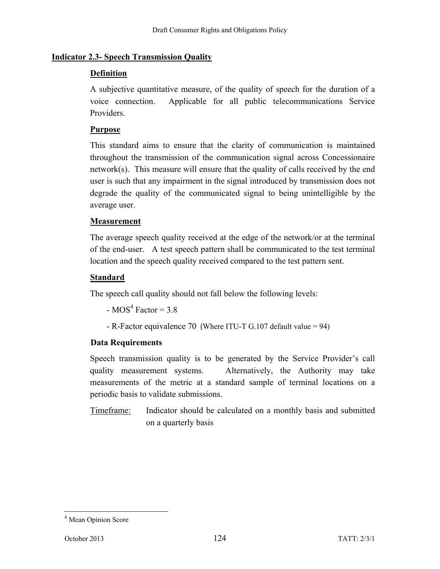### **Indicator 2.3- Speech Transmission Quality**

### **Definition**

A subjective quantitative measure, of the quality of speech for the duration of a voice connection. Applicable for all public telecommunications Service Providers.

### **Purpose**

This standard aims to ensure that the clarity of communication is maintained throughout the transmission of the communication signal across Concessionaire network(s). This measure will ensure that the quality of calls received by the end user is such that any impairment in the signal introduced by transmission does not degrade the quality of the communicated signal to being unintelligible by the average user.

### **Measurement**

The average speech quality received at the edge of the network/or at the terminal of the end-user. A test speech pattern shall be communicated to the test terminal location and the speech quality received compared to the test pattern sent.

### **Standard**

The speech call quality should not fall below the following levels:

 $-MOS<sup>4</sup> Factor = 3.8$ 

- R-Factor equivalence 70 (Where ITU-T G.107 default value = 94)

## **Data Requirements**

Speech transmission quality is to be generated by the Service Provider's call quality measurement systems. Alternatively, the Authority may take measurements of the metric at a standard sample of terminal locations on a periodic basis to validate submissions.

Timeframe: Indicator should be calculated on a monthly basis and submitted on a quarterly basis

 4 Mean Opinion Score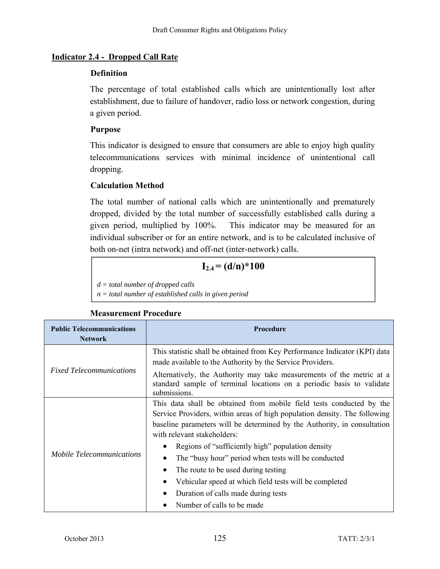### **Indicator 2.4 - Dropped Call Rate**

#### **Definition**

The percentage of total established calls which are unintentionally lost after establishment, due to failure of handover, radio loss or network congestion, during a given period.

### **Purpose**

This indicator is designed to ensure that consumers are able to enjoy high quality telecommunications services with minimal incidence of unintentional call dropping.

## **Calculation Method**

The total number of national calls which are unintentionally and prematurely dropped, divided by the total number of successfully established calls during a given period, multiplied by 100%. This indicator may be measured for an individual subscriber or for an entire network, and is to be calculated inclusive of both on-net (intra network) and off-net (inter-network) calls.

## $I_{2.4} = (d/n)^* 100$

*d = total number of dropped calls* 

*n = total number of established calls in given period* 

#### **Public Telecommunications Network Procedure**  *Fixed Telecommunications*  This statistic shall be obtained from Key Performance Indicator (KPI) data made available to the Authority by the Service Providers. Alternatively, the Authority may take measurements of the metric at a standard sample of terminal locations on a periodic basis to validate submissions. *Mobile Telecommunications*  This data shall be obtained from mobile field tests conducted by the Service Providers, within areas of high population density. The following baseline parameters will be determined by the Authority, in consultation with relevant stakeholders: • Regions of "sufficiently high" population density • The "busy hour" period when tests will be conducted • The route to be used during testing Vehicular speed at which field tests will be completed Duration of calls made during tests • Number of calls to be made

#### **Measurement Procedure**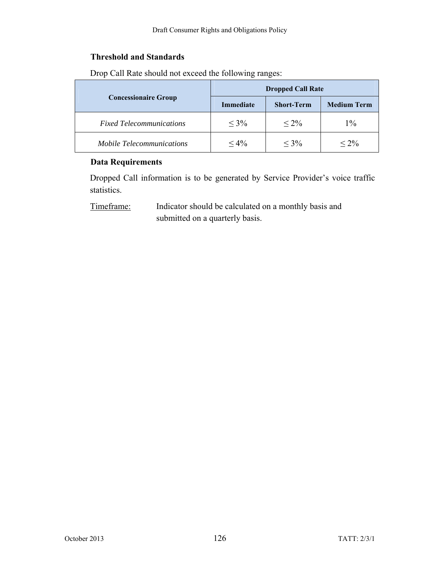### **Threshold and Standards**

|                                  | <b>Dropped Call Rate</b> |                   |                    |
|----------------------------------|--------------------------|-------------------|--------------------|
| <b>Concessionaire Group</b>      | <b>Immediate</b>         | <b>Short-Term</b> | <b>Medium Term</b> |
| <b>Fixed Telecommunications</b>  | $< 3\%$                  | $< 2\%$           | $1\%$              |
| <i>Mobile Telecommunications</i> | $< 4\%$                  | $< 3\%$           | $< 2\%$            |

Drop Call Rate should not exceed the following ranges:

#### **Data Requirements**

Dropped Call information is to be generated by Service Provider's voice traffic statistics.

Timeframe: Indicator should be calculated on a monthly basis and submitted on a quarterly basis.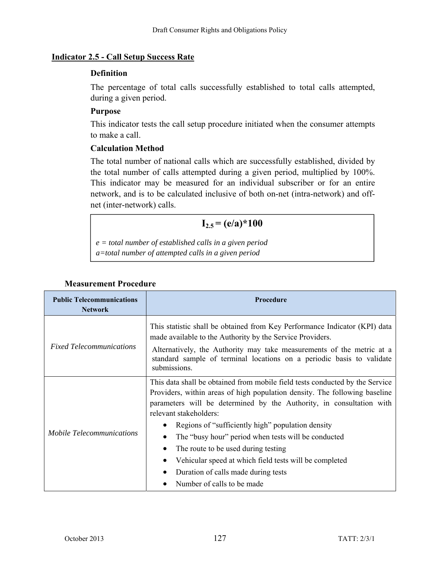#### **Indicator 2.5 - Call Setup Success Rate**

#### **Definition**

The percentage of total calls successfully established to total calls attempted, during a given period.

#### **Purpose**

This indicator tests the call setup procedure initiated when the consumer attempts to make a call.

#### **Calculation Method**

The total number of national calls which are successfully established, divided by the total number of calls attempted during a given period, multiplied by 100%. This indicator may be measured for an individual subscriber or for an entire network, and is to be calculated inclusive of both on-net (intra-network) and offnet (inter-network) calls.

## $I_{2.5} = (e/a)^* 100$

*e = total number of established calls in a given period a=total number of attempted calls in a given period* 

| <b>Public Telecommunications</b><br><b>Network</b> | Procedure                                                                                                                                                                                                                                                                                                                                                                                                                                                                 |  |  |  |
|----------------------------------------------------|---------------------------------------------------------------------------------------------------------------------------------------------------------------------------------------------------------------------------------------------------------------------------------------------------------------------------------------------------------------------------------------------------------------------------------------------------------------------------|--|--|--|
| <b>Fixed Telecommunications</b>                    | This statistic shall be obtained from Key Performance Indicator (KPI) data<br>made available to the Authority by the Service Providers.<br>Alternatively, the Authority may take measurements of the metric at a<br>standard sample of terminal locations on a periodic basis to validate<br>submissions.                                                                                                                                                                 |  |  |  |
| <i>Mobile Telecommunications</i>                   | This data shall be obtained from mobile field tests conducted by the Service<br>Providers, within areas of high population density. The following baseline<br>parameters will be determined by the Authority, in consultation with<br>relevant stakeholders:<br>Regions of "sufficiently high" population density<br>The "busy hour" period when tests will be conducted<br>The route to be used during testing<br>Vehicular speed at which field tests will be completed |  |  |  |
|                                                    | Duration of calls made during tests<br>٠<br>Number of calls to be made                                                                                                                                                                                                                                                                                                                                                                                                    |  |  |  |

### **Measurement Procedure**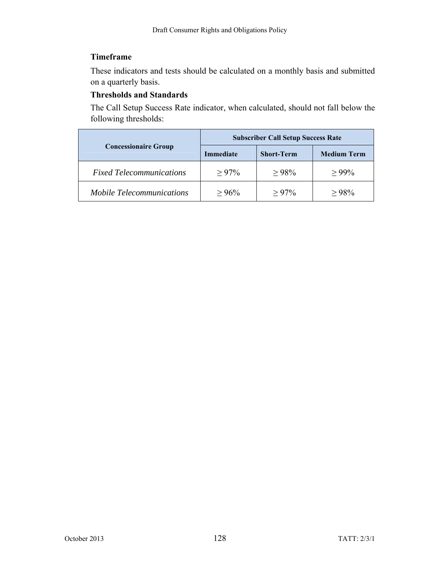## **Timeframe**

These indicators and tests should be calculated on a monthly basis and submitted on a quarterly basis.

### **Thresholds and Standards**

The Call Setup Success Rate indicator, when calculated, should not fall below the following thresholds:

|                                  | <b>Subscriber Call Setup Success Rate</b> |                   |                    |
|----------------------------------|-------------------------------------------|-------------------|--------------------|
| <b>Concessionaire Group</b>      | <b>Immediate</b>                          | <b>Short-Term</b> | <b>Medium Term</b> |
| <b>Fixed Telecommunications</b>  | $> 97\%$                                  | >98%              | $> 99\%$           |
| <i>Mobile Telecommunications</i> | $> 96\%$                                  | $> 97\%$          | $>98\%$            |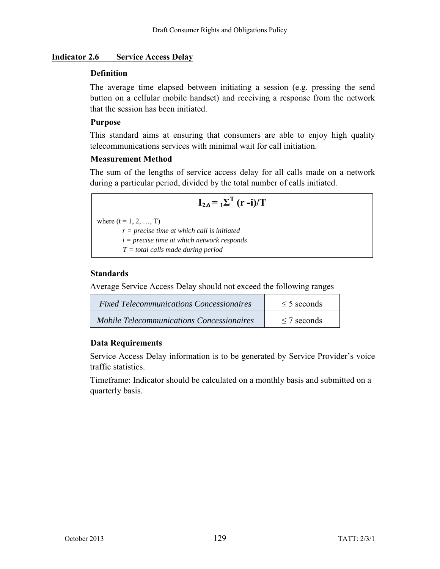#### **Indicator 2.6 Service Access Delay**

### **Definition**

The average time elapsed between initiating a session (e.g. pressing the send button on a cellular mobile handset) and receiving a response from the network that the session has been initiated.

### **Purpose**

This standard aims at ensuring that consumers are able to enjoy high quality telecommunications services with minimal wait for call initiation.

## **Measurement Method**

The sum of the lengths of service access delay for all calls made on a network during a particular period, divided by the total number of calls initiated.

$$
\mathbf{I}_{2.6} = \mathbf{I} \Sigma^{\mathrm{T}} (\mathbf{r} - \mathbf{i}) / \mathrm{T}
$$

where  $(t = 1, 2, ..., T)$ 

*r = precise time at which call is initiated i = precise time at which network responds* 

*T = total calls made during period*

## **Standards**

Average Service Access Delay should not exceed the following ranges

| <i>Fixed Telecommunications Concessionaires</i> | $\leq$ 5 seconds |
|-------------------------------------------------|------------------|
| Mobile Telecommunications Concessionaires       | $\leq$ 7 seconds |

## **Data Requirements**

Service Access Delay information is to be generated by Service Provider's voice traffic statistics.

Timeframe: Indicator should be calculated on a monthly basis and submitted on a quarterly basis.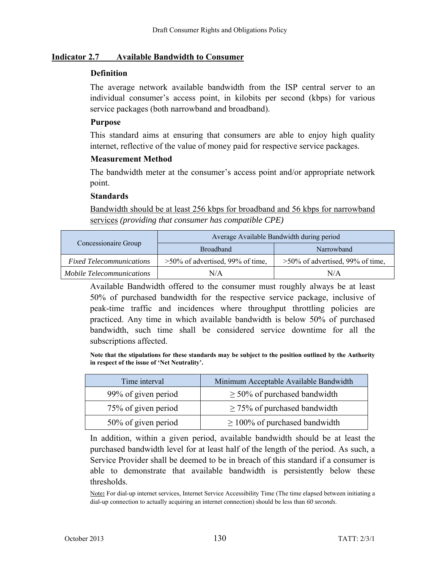#### **Indicator 2.7 Available Bandwidth to Consumer**

#### **Definition**

The average network available bandwidth from the ISP central server to an individual consumer's access point, in kilobits per second (kbps) for various service packages (both narrowband and broadband).

#### **Purpose**

This standard aims at ensuring that consumers are able to enjoy high quality internet, reflective of the value of money paid for respective service packages.

#### **Measurement Method**

The bandwidth meter at the consumer's access point and/or appropriate network point.

#### **Standards**

Bandwidth should be at least 256 kbps for broadband and 56 kbps for narrowband services *(providing that consumer has compatible CPE)*

|                                 |                                     | Average Available Bandwidth during period |  |
|---------------------------------|-------------------------------------|-------------------------------------------|--|
| Concessionaire Group            | <b>Broadband</b>                    | Narrowband                                |  |
| <b>Fixed Telecommunications</b> | $>50\%$ of advertised, 99% of time, | $>50\%$ of advertised, 99% of time,       |  |
| Mobile Telecommunications       | N/A                                 | N/A                                       |  |

Available Bandwidth offered to the consumer must roughly always be at least 50% of purchased bandwidth for the respective service package, inclusive of peak-time traffic and incidences where throughput throttling policies are practiced. Any time in which available bandwidth is below 50% of purchased bandwidth, such time shall be considered service downtime for all the subscriptions affected.

**Note that the stipulations for these standards may be subject to the position outlined by the Authority in respect of the issue of 'Net Neutrality'.** 

| Time interval       | Minimum Acceptable Available Bandwidth |
|---------------------|----------------------------------------|
| 99% of given period | $\geq$ 50% of purchased bandwidth      |
| 75% of given period | $\geq$ 75% of purchased bandwidth      |
| 50% of given period | $\geq 100\%$ of purchased bandwidth    |

In addition, within a given period, available bandwidth should be at least the purchased bandwidth level for at least half of the length of the period. As such, a Service Provider shall be deemed to be in breach of this standard if a consumer is able to demonstrate that available bandwidth is persistently below these thresholds.

Note**:** For dial-up internet services, Internet Service Accessibility Time (The time elapsed between initiating a dial-up connection to actually acquiring an internet connection) should be less than *60 seconds*.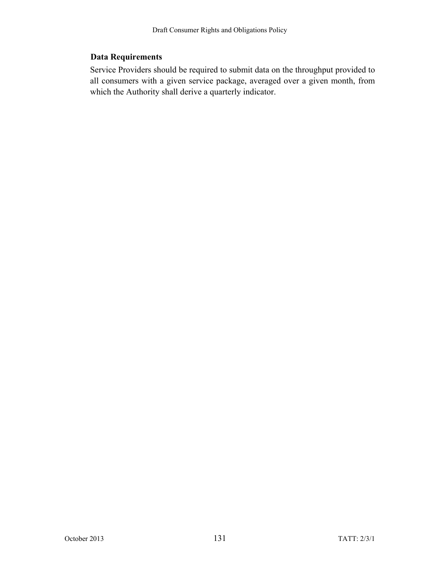## **Data Requirements**

Service Providers should be required to submit data on the throughput provided to all consumers with a given service package, averaged over a given month, from which the Authority shall derive a quarterly indicator.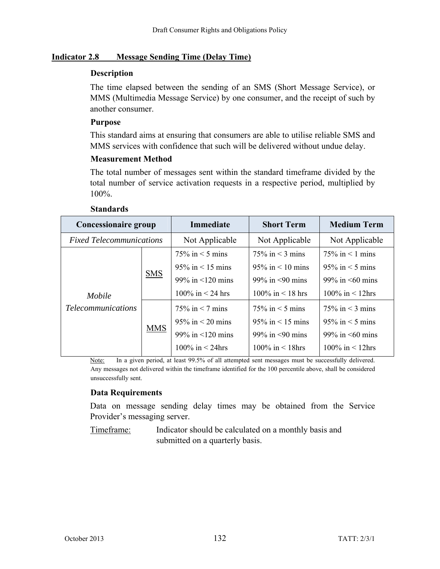#### **Indicator 2.8 Message Sending Time (Delay Time)**

#### **Description**

The time elapsed between the sending of an SMS (Short Message Service), or MMS (Multimedia Message Service) by one consumer, and the receipt of such by another consumer.

### **Purpose**

This standard aims at ensuring that consumers are able to utilise reliable SMS and MMS services with confidence that such will be delivered without undue delay.

### **Measurement Method**

The total number of messages sent within the standard timeframe divided by the total number of service activation requests in a respective period, multiplied by 100%.

| Concessionaire group            |                        | <b>Immediate</b>         | <b>Short Term</b>        | <b>Medium Term</b>       |
|---------------------------------|------------------------|--------------------------|--------------------------|--------------------------|
| <b>Fixed Telecommunications</b> |                        | Not Applicable           | Not Applicable           | Not Applicable           |
|                                 |                        | $75\%$ in $\leq$ 5 mins  | $75\%$ in $\leq$ 3 mins  | $75\%$ in < 1 mins       |
|                                 |                        | $95\%$ in < 15 mins      | $95\%$ in < 10 mins      | $95\%$ in $\leq$ 5 mins  |
| <b>SMS</b>                      | 99% in $\leq 120$ mins | 99% in $\leq 90$ mins    | 99% in $\leq 60$ mins    |                          |
| Mobile                          |                        | 100\% in $\leq$ 24 hrs   | $100\%$ in $\leq 18$ hrs | 100\% in $\leq$ 12hrs    |
| <b>Telecommunications</b>       | <b>MMS</b>             | $75\%$ in $\leq$ 7 mins  | $75\%$ in $\leq 5$ mins  | $75\%$ in $\leq$ 3 mins  |
|                                 |                        | $95\%$ in $\leq 20$ mins | $95\%$ in < 15 mins      | $95\%$ in $\leq$ 5 mins  |
|                                 |                        | 99% in $\leq 120$ mins   | 99% in $\leq$ 90 mins    | 99% in $\leq 60$ mins    |
|                                 |                        | 100\% in $\leq$ 24hrs    | 100\% in $\leq$ 18hrs    | $100\%$ in $\leq 12$ hrs |

#### **Standards**

Note: In a given period, at least 99.5% of all attempted sent messages must be successfully delivered. Any messages not delivered within the timeframe identified for the 100 percentile above, shall be considered unsuccessfully sent.

## **Data Requirements**

Data on message sending delay times may be obtained from the Service Provider's messaging server.

Timeframe: Indicator should be calculated on a monthly basis and submitted on a quarterly basis.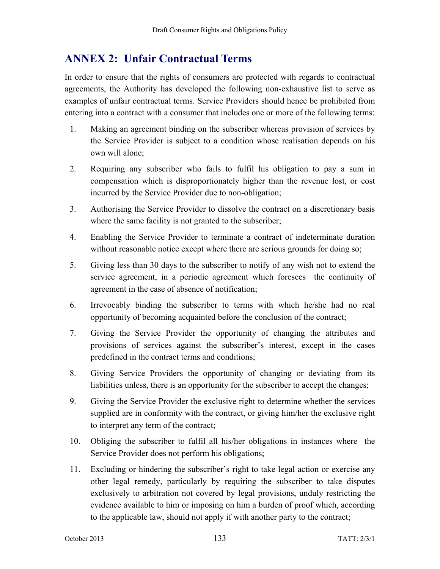# **ANNEX 2: Unfair Contractual Terms**

In order to ensure that the rights of consumers are protected with regards to contractual agreements, the Authority has developed the following non-exhaustive list to serve as examples of unfair contractual terms. Service Providers should hence be prohibited from entering into a contract with a consumer that includes one or more of the following terms:

- 1. Making an agreement binding on the subscriber whereas provision of services by the Service Provider is subject to a condition whose realisation depends on his own will alone;
- 2. Requiring any subscriber who fails to fulfil his obligation to pay a sum in compensation which is disproportionately higher than the revenue lost, or cost incurred by the Service Provider due to non-obligation;
- 3. Authorising the Service Provider to dissolve the contract on a discretionary basis where the same facility is not granted to the subscriber;
- 4. Enabling the Service Provider to terminate a contract of indeterminate duration without reasonable notice except where there are serious grounds for doing so;
- 5. Giving less than 30 days to the subscriber to notify of any wish not to extend the service agreement, in a periodic agreement which foresees the continuity of agreement in the case of absence of notification;
- 6. Irrevocably binding the subscriber to terms with which he/she had no real opportunity of becoming acquainted before the conclusion of the contract;
- 7. Giving the Service Provider the opportunity of changing the attributes and provisions of services against the subscriber's interest, except in the cases predefined in the contract terms and conditions;
- 8. Giving Service Providers the opportunity of changing or deviating from its liabilities unless, there is an opportunity for the subscriber to accept the changes;
- 9. Giving the Service Provider the exclusive right to determine whether the services supplied are in conformity with the contract, or giving him/her the exclusive right to interpret any term of the contract;
- 10. Obliging the subscriber to fulfil all his/her obligations in instances where the Service Provider does not perform his obligations;
- 11. Excluding or hindering the subscriber's right to take legal action or exercise any other legal remedy, particularly by requiring the subscriber to take disputes exclusively to arbitration not covered by legal provisions, unduly restricting the evidence available to him or imposing on him a burden of proof which, according to the applicable law, should not apply if with another party to the contract;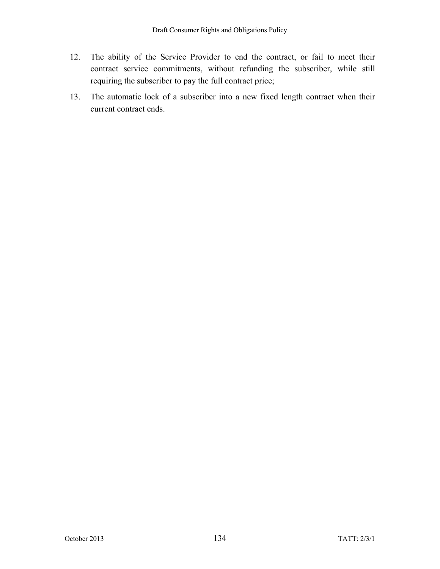- 12. The ability of the Service Provider to end the contract, or fail to meet their contract service commitments, without refunding the subscriber, while still requiring the subscriber to pay the full contract price;
- 13. The automatic lock of a subscriber into a new fixed length contract when their current contract ends.